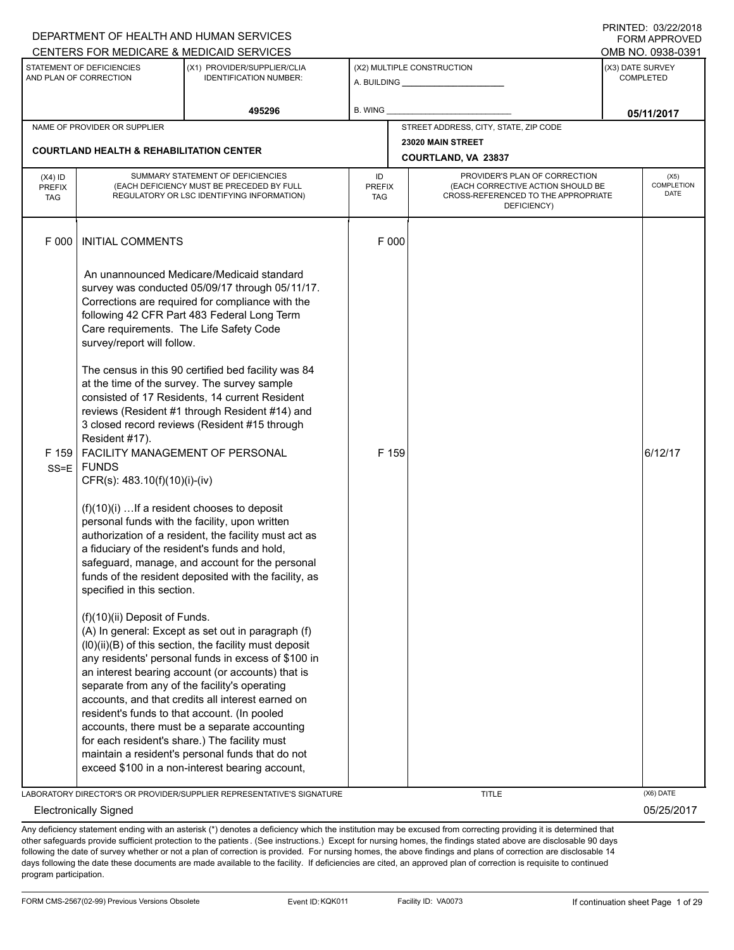|                                          |                                                                               | DEPARTMENT OF HEALTH AND HUMAN SERVICES                                                                                                                                                                                                                                                                                                                                                                                                                                                                                                 |                                   |       |                                                                                                                          | I INITILU. <i>001 LEI L</i> UIU<br><b>FORM APPROVED</b> |
|------------------------------------------|-------------------------------------------------------------------------------|-----------------------------------------------------------------------------------------------------------------------------------------------------------------------------------------------------------------------------------------------------------------------------------------------------------------------------------------------------------------------------------------------------------------------------------------------------------------------------------------------------------------------------------------|-----------------------------------|-------|--------------------------------------------------------------------------------------------------------------------------|---------------------------------------------------------|
|                                          |                                                                               | CENTERS FOR MEDICARE & MEDICAID SERVICES                                                                                                                                                                                                                                                                                                                                                                                                                                                                                                |                                   |       |                                                                                                                          | OMB NO. 0938-0391                                       |
|                                          | STATEMENT OF DEFICIENCIES<br>AND PLAN OF CORRECTION                           | (X1) PROVIDER/SUPPLIER/CLIA<br><b>IDENTIFICATION NUMBER:</b>                                                                                                                                                                                                                                                                                                                                                                                                                                                                            |                                   |       | (X2) MULTIPLE CONSTRUCTION<br>A. BUILDING A. BUILDING                                                                    | (X3) DATE SURVEY<br><b>COMPLETED</b>                    |
|                                          |                                                                               | 495296                                                                                                                                                                                                                                                                                                                                                                                                                                                                                                                                  | B. WING                           |       |                                                                                                                          | 05/11/2017                                              |
|                                          | NAME OF PROVIDER OR SUPPLIER                                                  |                                                                                                                                                                                                                                                                                                                                                                                                                                                                                                                                         |                                   |       | STREET ADDRESS, CITY, STATE, ZIP CODE                                                                                    |                                                         |
|                                          | <b>COURTLAND HEALTH &amp; REHABILITATION CENTER</b>                           |                                                                                                                                                                                                                                                                                                                                                                                                                                                                                                                                         |                                   |       | 23020 MAIN STREET                                                                                                        |                                                         |
|                                          |                                                                               |                                                                                                                                                                                                                                                                                                                                                                                                                                                                                                                                         |                                   |       | COURTLAND, VA 23837                                                                                                      |                                                         |
| $(X4)$ ID<br><b>PREFIX</b><br><b>TAG</b> |                                                                               | SUMMARY STATEMENT OF DEFICIENCIES<br>(EACH DEFICIENCY MUST BE PRECEDED BY FULL<br>REGULATORY OR LSC IDENTIFYING INFORMATION)                                                                                                                                                                                                                                                                                                                                                                                                            | ID<br><b>PREFIX</b><br><b>TAG</b> |       | PROVIDER'S PLAN OF CORRECTION<br>(EACH CORRECTIVE ACTION SHOULD BE<br>CROSS-REFERENCED TO THE APPROPRIATE<br>DEFICIENCY) | (X5)<br><b>COMPLETION</b><br><b>DATE</b>                |
| F 000                                    | <b>INITIAL COMMENTS</b>                                                       |                                                                                                                                                                                                                                                                                                                                                                                                                                                                                                                                         |                                   | F 000 |                                                                                                                          |                                                         |
|                                          | Care requirements. The Life Safety Code<br>survey/report will follow.         | An unannounced Medicare/Medicaid standard<br>survey was conducted 05/09/17 through 05/11/17.<br>Corrections are required for compliance with the<br>following 42 CFR Part 483 Federal Long Term                                                                                                                                                                                                                                                                                                                                         |                                   |       |                                                                                                                          |                                                         |
| F 159<br>$SS = E$                        | Resident #17).<br><b>FUNDS</b><br>CFR(s): 483.10(f)(10)(i)-(iv)               | The census in this 90 certified bed facility was 84<br>at the time of the survey. The survey sample<br>consisted of 17 Residents, 14 current Resident<br>reviews (Resident #1 through Resident #14) and<br>3 closed record reviews (Resident #15 through<br>FACILITY MANAGEMENT OF PERSONAL                                                                                                                                                                                                                                             |                                   | F 159 |                                                                                                                          | 6/12/17                                                 |
|                                          | $(f)(10)(i)$ If a resident chooses to deposit<br>specified in this section.   | personal funds with the facility, upon written<br>authorization of a resident, the facility must act as<br>a fiduciary of the resident's funds and hold,<br>safeguard, manage, and account for the personal<br>funds of the resident deposited with the facility, as                                                                                                                                                                                                                                                                    |                                   |       |                                                                                                                          |                                                         |
|                                          | (f)(10)(ii) Deposit of Funds.<br>resident's funds to that account. (In pooled | (A) In general: Except as set out in paragraph (f)<br>(I0)(ii)(B) of this section, the facility must deposit<br>any residents' personal funds in excess of \$100 in<br>an interest bearing account (or accounts) that is<br>separate from any of the facility's operating<br>accounts, and that credits all interest earned on<br>accounts, there must be a separate accounting<br>for each resident's share.) The facility must<br>maintain a resident's personal funds that do not<br>exceed \$100 in a non-interest bearing account, |                                   |       |                                                                                                                          |                                                         |
|                                          |                                                                               | LABORATORY DIRECTOR'S OR PROVIDER/SUPPLIER REPRESENTATIVE'S SIGNATURE                                                                                                                                                                                                                                                                                                                                                                                                                                                                   |                                   |       | <b>TITLE</b>                                                                                                             | (X6) DATE                                               |

Electronically Signed 05/25/2017

Any deficiency statement ending with an asterisk (\*) denotes a deficiency which the institution may be excused from correcting providing it is determined that other safeguards provide sufficient protection to the patients . (See instructions.) Except for nursing homes, the findings stated above are disclosable 90 days following the date of survey whether or not a plan of correction is provided. For nursing homes, the above findings and plans of correction are disclosable 14 days following the date these documents are made available to the facility. If deficiencies are cited, an approved plan of correction is requisite to continued program participation.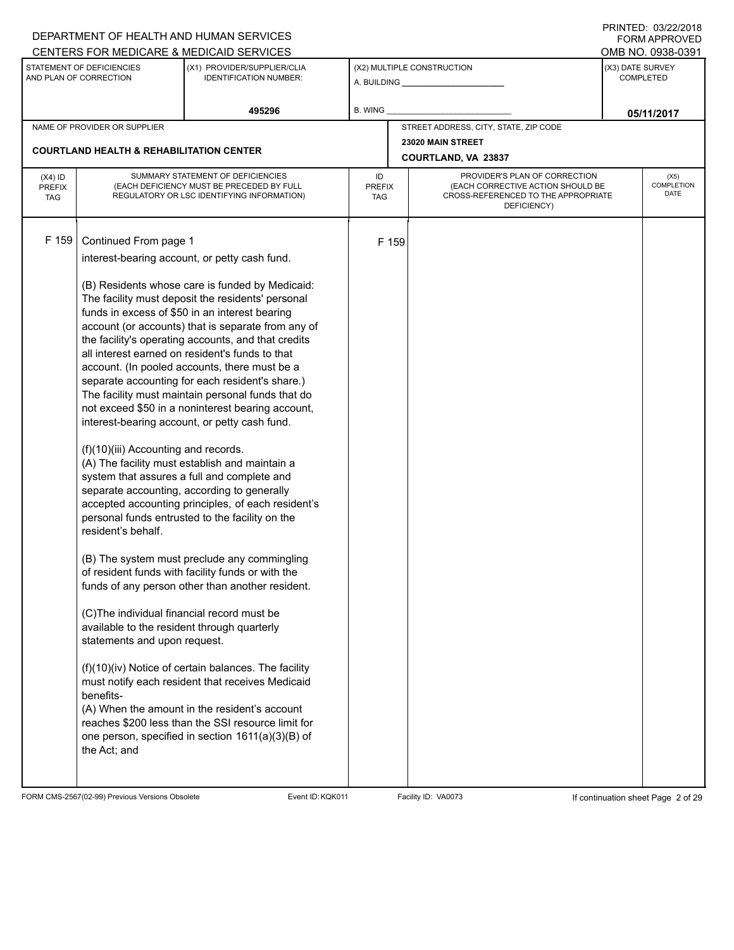|                             |                                                     | DEPARTMENT OF HEALTH AND HUMAN SERVICES                                                              |                      |       |                                                                          |                  | 11111111122.0072212010<br>FORM APPROVED |
|-----------------------------|-----------------------------------------------------|------------------------------------------------------------------------------------------------------|----------------------|-------|--------------------------------------------------------------------------|------------------|-----------------------------------------|
|                             | STATEMENT OF DEFICIENCIES                           | CENTERS FOR MEDICARE & MEDICAID SERVICES<br>(X1) PROVIDER/SUPPLIER/CLIA                              |                      |       | (X2) MULTIPLE CONSTRUCTION                                               | (X3) DATE SURVEY | OMB NO. 0938-0391                       |
|                             | AND PLAN OF CORRECTION                              | <b>IDENTIFICATION NUMBER:</b>                                                                        |                      |       |                                                                          |                  | <b>COMPLETED</b>                        |
|                             |                                                     | 495296                                                                                               | B. WING              |       |                                                                          |                  |                                         |
|                             | NAME OF PROVIDER OR SUPPLIER                        |                                                                                                      |                      |       | STREET ADDRESS, CITY, STATE, ZIP CODE                                    |                  | 05/11/2017                              |
|                             |                                                     |                                                                                                      |                      |       | 23020 MAIN STREET                                                        |                  |                                         |
|                             | <b>COURTLAND HEALTH &amp; REHABILITATION CENTER</b> |                                                                                                      |                      |       | COURTLAND, VA 23837                                                      |                  |                                         |
| $(X4)$ ID                   |                                                     | SUMMARY STATEMENT OF DEFICIENCIES                                                                    | ID                   |       | PROVIDER'S PLAN OF CORRECTION                                            |                  | (X5)                                    |
| <b>PREFIX</b><br><b>TAG</b> |                                                     | (EACH DEFICIENCY MUST BE PRECEDED BY FULL<br>REGULATORY OR LSC IDENTIFYING INFORMATION)              | <b>PREFIX</b><br>TAG |       | (EACH CORRECTIVE ACTION SHOULD BE<br>CROSS-REFERENCED TO THE APPROPRIATE |                  | COMPLETION<br>DATE                      |
|                             |                                                     |                                                                                                      |                      |       | DEFICIENCY)                                                              |                  |                                         |
|                             |                                                     |                                                                                                      |                      |       |                                                                          |                  |                                         |
| F 159                       | Continued From page 1                               |                                                                                                      |                      | F 159 |                                                                          |                  |                                         |
|                             |                                                     | interest-bearing account, or petty cash fund.                                                        |                      |       |                                                                          |                  |                                         |
|                             |                                                     | (B) Residents whose care is funded by Medicaid:                                                      |                      |       |                                                                          |                  |                                         |
|                             |                                                     | The facility must deposit the residents' personal                                                    |                      |       |                                                                          |                  |                                         |
|                             |                                                     | funds in excess of \$50 in an interest bearing<br>account (or accounts) that is separate from any of |                      |       |                                                                          |                  |                                         |
|                             |                                                     | the facility's operating accounts, and that credits                                                  |                      |       |                                                                          |                  |                                         |
|                             |                                                     | all interest earned on resident's funds to that                                                      |                      |       |                                                                          |                  |                                         |
|                             |                                                     | account. (In pooled accounts, there must be a<br>separate accounting for each resident's share.)     |                      |       |                                                                          |                  |                                         |
|                             |                                                     | The facility must maintain personal funds that do                                                    |                      |       |                                                                          |                  |                                         |
|                             |                                                     | not exceed \$50 in a noninterest bearing account,                                                    |                      |       |                                                                          |                  |                                         |
|                             |                                                     | interest-bearing account, or petty cash fund.                                                        |                      |       |                                                                          |                  |                                         |
|                             | (f)(10)(iii) Accounting and records.                |                                                                                                      |                      |       |                                                                          |                  |                                         |
|                             |                                                     | (A) The facility must establish and maintain a                                                       |                      |       |                                                                          |                  |                                         |
|                             |                                                     | system that assures a full and complete and                                                          |                      |       |                                                                          |                  |                                         |
|                             |                                                     | separate accounting, according to generally<br>accepted accounting principles, of each resident's    |                      |       |                                                                          |                  |                                         |
|                             |                                                     | personal funds entrusted to the facility on the                                                      |                      |       |                                                                          |                  |                                         |
|                             | resident's behalf.                                  |                                                                                                      |                      |       |                                                                          |                  |                                         |
|                             |                                                     | (B) The system must preclude any commingling                                                         |                      |       |                                                                          |                  |                                         |
|                             |                                                     | of resident funds with facility funds or with the                                                    |                      |       |                                                                          |                  |                                         |
|                             |                                                     | funds of any person other than another resident.                                                     |                      |       |                                                                          |                  |                                         |
|                             | (C)The individual financial record must be          |                                                                                                      |                      |       |                                                                          |                  |                                         |
|                             | available to the resident through quarterly         |                                                                                                      |                      |       |                                                                          |                  |                                         |
|                             | statements and upon request.                        |                                                                                                      |                      |       |                                                                          |                  |                                         |
|                             |                                                     | (f)(10)(iv) Notice of certain balances. The facility                                                 |                      |       |                                                                          |                  |                                         |
|                             |                                                     | must notify each resident that receives Medicaid                                                     |                      |       |                                                                          |                  |                                         |
|                             | benefits-                                           |                                                                                                      |                      |       |                                                                          |                  |                                         |
|                             |                                                     | (A) When the amount in the resident's account<br>reaches \$200 less than the SSI resource limit for  |                      |       |                                                                          |                  |                                         |
|                             |                                                     | one person, specified in section 1611(a)(3)(B) of                                                    |                      |       |                                                                          |                  |                                         |
|                             | the Act; and                                        |                                                                                                      |                      |       |                                                                          |                  |                                         |
|                             |                                                     |                                                                                                      |                      |       |                                                                          |                  |                                         |

FORM CMS-2567(02-99) Previous Versions Obsolete Event ID:KQK011 Facility ID: VA0073 If continuation sheet Page 2 of 29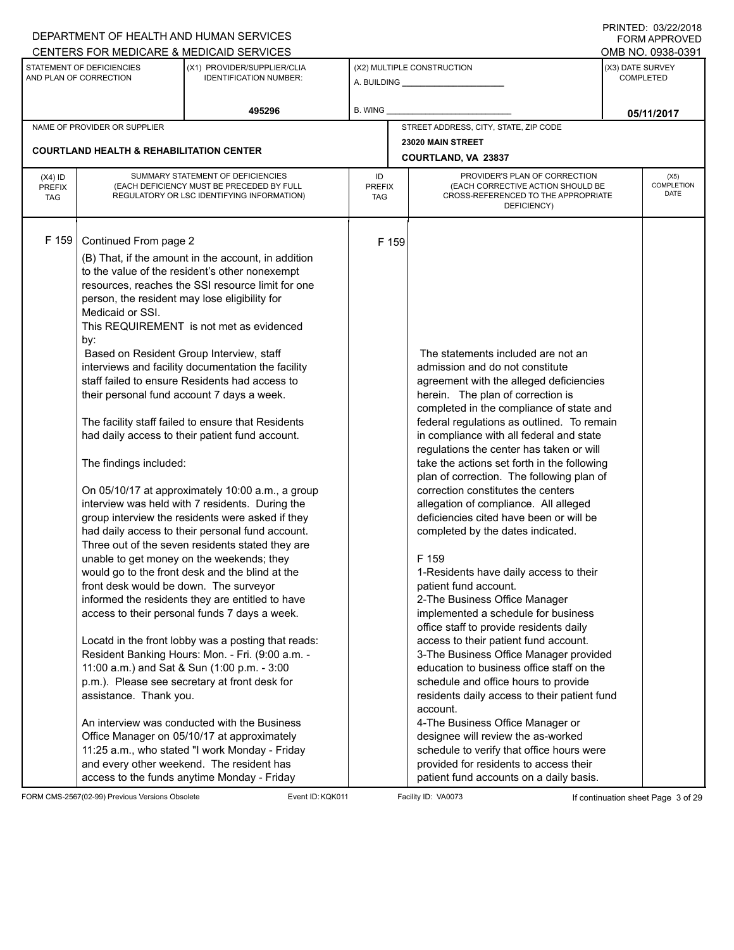|                                          |                                                                                                                                                                                                                                             | DEPARTMENT OF HEALTH AND HUMAN SERVICES<br>CENTERS FOR MEDICARE & MEDICAID SERVICES                                                                                                                                                                                                                                                                                                                                                                                                                                                                                                                                                                                                                                                                                                                                                                                                                                                                                                                                                                                                                                                                                                                                                                                                                                                                                                                   |                                   |                                                                                                                                                                                                                                                                                                                                                                                                                                                                                                                                                                                                                                                                                                                                                                                                                                                                                                                                                                                                                                                                                                                                                                                                                                                   | <b>FININILU. VJIZZIZVIO</b><br><b>FORM APPROVED</b><br>OMB NO. 0938-0391 |  |  |
|------------------------------------------|---------------------------------------------------------------------------------------------------------------------------------------------------------------------------------------------------------------------------------------------|-------------------------------------------------------------------------------------------------------------------------------------------------------------------------------------------------------------------------------------------------------------------------------------------------------------------------------------------------------------------------------------------------------------------------------------------------------------------------------------------------------------------------------------------------------------------------------------------------------------------------------------------------------------------------------------------------------------------------------------------------------------------------------------------------------------------------------------------------------------------------------------------------------------------------------------------------------------------------------------------------------------------------------------------------------------------------------------------------------------------------------------------------------------------------------------------------------------------------------------------------------------------------------------------------------------------------------------------------------------------------------------------------------|-----------------------------------|---------------------------------------------------------------------------------------------------------------------------------------------------------------------------------------------------------------------------------------------------------------------------------------------------------------------------------------------------------------------------------------------------------------------------------------------------------------------------------------------------------------------------------------------------------------------------------------------------------------------------------------------------------------------------------------------------------------------------------------------------------------------------------------------------------------------------------------------------------------------------------------------------------------------------------------------------------------------------------------------------------------------------------------------------------------------------------------------------------------------------------------------------------------------------------------------------------------------------------------------------|--------------------------------------------------------------------------|--|--|
|                                          | STATEMENT OF DEFICIENCIES<br>AND PLAN OF CORRECTION                                                                                                                                                                                         | (X1) PROVIDER/SUPPLIER/CLIA<br><b>IDENTIFICATION NUMBER:</b>                                                                                                                                                                                                                                                                                                                                                                                                                                                                                                                                                                                                                                                                                                                                                                                                                                                                                                                                                                                                                                                                                                                                                                                                                                                                                                                                          |                                   | (X2) MULTIPLE CONSTRUCTION                                                                                                                                                                                                                                                                                                                                                                                                                                                                                                                                                                                                                                                                                                                                                                                                                                                                                                                                                                                                                                                                                                                                                                                                                        | (X3) DATE SURVEY<br>COMPLETED                                            |  |  |
|                                          |                                                                                                                                                                                                                                             | 495296                                                                                                                                                                                                                                                                                                                                                                                                                                                                                                                                                                                                                                                                                                                                                                                                                                                                                                                                                                                                                                                                                                                                                                                                                                                                                                                                                                                                | <b>B. WING</b>                    |                                                                                                                                                                                                                                                                                                                                                                                                                                                                                                                                                                                                                                                                                                                                                                                                                                                                                                                                                                                                                                                                                                                                                                                                                                                   | 05/11/2017                                                               |  |  |
|                                          | NAME OF PROVIDER OR SUPPLIER                                                                                                                                                                                                                |                                                                                                                                                                                                                                                                                                                                                                                                                                                                                                                                                                                                                                                                                                                                                                                                                                                                                                                                                                                                                                                                                                                                                                                                                                                                                                                                                                                                       |                                   | STREET ADDRESS, CITY, STATE, ZIP CODE                                                                                                                                                                                                                                                                                                                                                                                                                                                                                                                                                                                                                                                                                                                                                                                                                                                                                                                                                                                                                                                                                                                                                                                                             |                                                                          |  |  |
|                                          | <b>COURTLAND HEALTH &amp; REHABILITATION CENTER</b>                                                                                                                                                                                         |                                                                                                                                                                                                                                                                                                                                                                                                                                                                                                                                                                                                                                                                                                                                                                                                                                                                                                                                                                                                                                                                                                                                                                                                                                                                                                                                                                                                       |                                   | 23020 MAIN STREET<br>COURTLAND, VA 23837                                                                                                                                                                                                                                                                                                                                                                                                                                                                                                                                                                                                                                                                                                                                                                                                                                                                                                                                                                                                                                                                                                                                                                                                          |                                                                          |  |  |
| $(X4)$ ID<br><b>PREFIX</b><br><b>TAG</b> |                                                                                                                                                                                                                                             | SUMMARY STATEMENT OF DEFICIENCIES<br>(EACH DEFICIENCY MUST BE PRECEDED BY FULL<br>REGULATORY OR LSC IDENTIFYING INFORMATION)                                                                                                                                                                                                                                                                                                                                                                                                                                                                                                                                                                                                                                                                                                                                                                                                                                                                                                                                                                                                                                                                                                                                                                                                                                                                          | ID<br><b>PREFIX</b><br><b>TAG</b> | PROVIDER'S PLAN OF CORRECTION<br>(EACH CORRECTIVE ACTION SHOULD BE<br>CROSS-REFERENCED TO THE APPROPRIATE<br>DEFICIENCY)                                                                                                                                                                                                                                                                                                                                                                                                                                                                                                                                                                                                                                                                                                                                                                                                                                                                                                                                                                                                                                                                                                                          | (X5)<br>COMPLETION<br><b>DATE</b>                                        |  |  |
| $F$ 159                                  | Continued From page 2<br>person, the resident may lose eligibility for<br>Medicaid or SSI.<br>by:<br>Based on Resident Group Interview, staff<br>The findings included:<br>front desk would be down. The surveyor<br>assistance. Thank you. | (B) That, if the amount in the account, in addition<br>to the value of the resident's other nonexempt<br>resources, reaches the SSI resource limit for one<br>This REQUIREMENT is not met as evidenced<br>interviews and facility documentation the facility<br>staff failed to ensure Residents had access to<br>their personal fund account 7 days a week.<br>The facility staff failed to ensure that Residents<br>had daily access to their patient fund account.<br>On 05/10/17 at approximately 10:00 a.m., a group<br>interview was held with 7 residents. During the<br>group interview the residents were asked if they<br>had daily access to their personal fund account.<br>Three out of the seven residents stated they are<br>unable to get money on the weekends; they<br>would go to the front desk and the blind at the<br>informed the residents they are entitled to have<br>access to their personal funds 7 days a week.<br>Locatd in the front lobby was a posting that reads:<br>Resident Banking Hours: Mon. - Fri. (9:00 a.m. -<br>11:00 a.m.) and Sat & Sun (1:00 p.m. - 3:00<br>p.m.). Please see secretary at front desk for<br>An interview was conducted with the Business<br>Office Manager on 05/10/17 at approximately<br>11:25 a.m., who stated "I work Monday - Friday<br>and every other weekend. The resident has<br>access to the funds anytime Monday - Friday | F 159                             | The statements included are not an<br>admission and do not constitute<br>agreement with the alleged deficiencies<br>herein. The plan of correction is<br>completed in the compliance of state and<br>federal regulations as outlined. To remain<br>in compliance with all federal and state<br>regulations the center has taken or will<br>take the actions set forth in the following<br>plan of correction. The following plan of<br>correction constitutes the centers<br>allegation of compliance. All alleged<br>deficiencies cited have been or will be<br>completed by the dates indicated.<br>F 159<br>1-Residents have daily access to their<br>patient fund account.<br>2-The Business Office Manager<br>implemented a schedule for business<br>office staff to provide residents daily<br>access to their patient fund account.<br>3-The Business Office Manager provided<br>education to business office staff on the<br>schedule and office hours to provide<br>residents daily access to their patient fund<br>account.<br>4-The Business Office Manager or<br>designee will review the as-worked<br>schedule to verify that office hours were<br>provided for residents to access their<br>patient fund accounts on a daily basis. |                                                                          |  |  |

FORM CMS-2567(02-99) Previous Versions Obsolete Event ID: KQK011 Facility ID: VA0073 If continuation sheet Page 3 of 29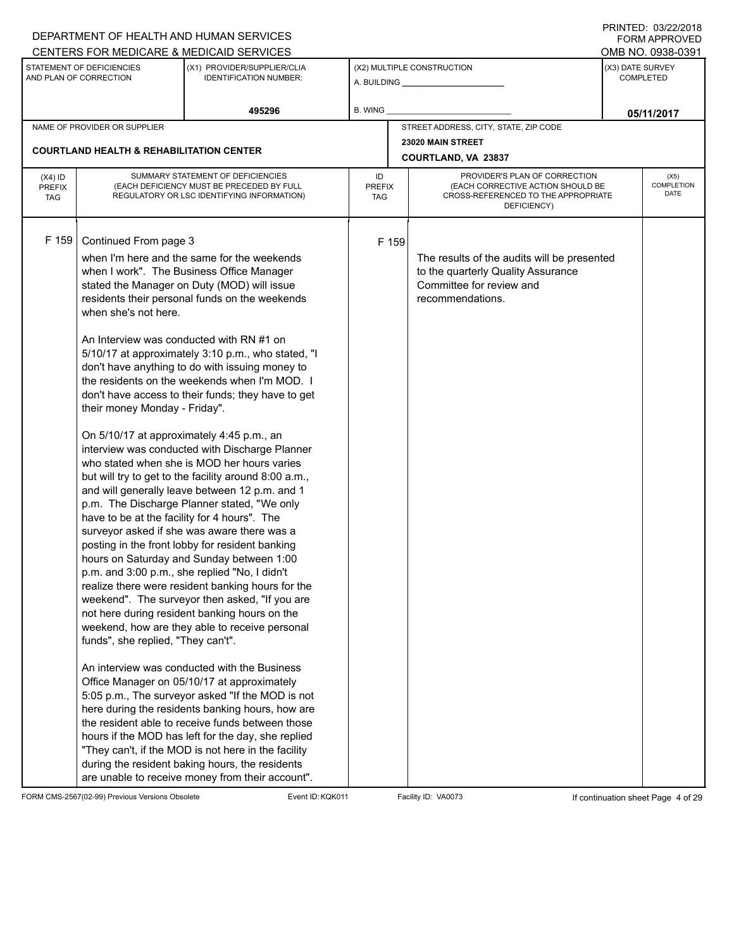|                                                                                                                                                                                                                                                                                                                                                                                                                                                                                                                                                                                                                                                                                                                                                                                                                                                                                                                                                                                                                                                                                                                                                                                                                                                                                                                                                                                                                                                                                                                                                                                                                                                                                                                                                                                     | DEPARTMENT OF HEALTH AND HUMAN SERVICES                      |                            |       |                                                                                                                                   |                   | FORM APPROVED              |  |
|-------------------------------------------------------------------------------------------------------------------------------------------------------------------------------------------------------------------------------------------------------------------------------------------------------------------------------------------------------------------------------------------------------------------------------------------------------------------------------------------------------------------------------------------------------------------------------------------------------------------------------------------------------------------------------------------------------------------------------------------------------------------------------------------------------------------------------------------------------------------------------------------------------------------------------------------------------------------------------------------------------------------------------------------------------------------------------------------------------------------------------------------------------------------------------------------------------------------------------------------------------------------------------------------------------------------------------------------------------------------------------------------------------------------------------------------------------------------------------------------------------------------------------------------------------------------------------------------------------------------------------------------------------------------------------------------------------------------------------------------------------------------------------------|--------------------------------------------------------------|----------------------------|-------|-----------------------------------------------------------------------------------------------------------------------------------|-------------------|----------------------------|--|
| CENTERS FOR MEDICARE & MEDICAID SERVICES                                                                                                                                                                                                                                                                                                                                                                                                                                                                                                                                                                                                                                                                                                                                                                                                                                                                                                                                                                                                                                                                                                                                                                                                                                                                                                                                                                                                                                                                                                                                                                                                                                                                                                                                            |                                                              |                            |       |                                                                                                                                   | OMB NO. 0938-0391 |                            |  |
| STATEMENT OF DEFICIENCIES<br>AND PLAN OF CORRECTION                                                                                                                                                                                                                                                                                                                                                                                                                                                                                                                                                                                                                                                                                                                                                                                                                                                                                                                                                                                                                                                                                                                                                                                                                                                                                                                                                                                                                                                                                                                                                                                                                                                                                                                                 | (X1) PROVIDER/SUPPLIER/CLIA<br><b>IDENTIFICATION NUMBER:</b> |                            |       | (X2) MULTIPLE CONSTRUCTION                                                                                                        | (X3) DATE SURVEY  | <b>COMPLETED</b>           |  |
|                                                                                                                                                                                                                                                                                                                                                                                                                                                                                                                                                                                                                                                                                                                                                                                                                                                                                                                                                                                                                                                                                                                                                                                                                                                                                                                                                                                                                                                                                                                                                                                                                                                                                                                                                                                     | 495296                                                       | B. WING                    |       |                                                                                                                                   |                   | 05/11/2017                 |  |
| NAME OF PROVIDER OR SUPPLIER                                                                                                                                                                                                                                                                                                                                                                                                                                                                                                                                                                                                                                                                                                                                                                                                                                                                                                                                                                                                                                                                                                                                                                                                                                                                                                                                                                                                                                                                                                                                                                                                                                                                                                                                                        |                                                              |                            |       | STREET ADDRESS, CITY, STATE, ZIP CODE                                                                                             |                   |                            |  |
|                                                                                                                                                                                                                                                                                                                                                                                                                                                                                                                                                                                                                                                                                                                                                                                                                                                                                                                                                                                                                                                                                                                                                                                                                                                                                                                                                                                                                                                                                                                                                                                                                                                                                                                                                                                     |                                                              |                            |       | 23020 MAIN STREET                                                                                                                 |                   |                            |  |
| <b>COURTLAND HEALTH &amp; REHABILITATION CENTER</b>                                                                                                                                                                                                                                                                                                                                                                                                                                                                                                                                                                                                                                                                                                                                                                                                                                                                                                                                                                                                                                                                                                                                                                                                                                                                                                                                                                                                                                                                                                                                                                                                                                                                                                                                 |                                                              |                            |       | COURTLAND, VA 23837                                                                                                               |                   |                            |  |
| SUMMARY STATEMENT OF DEFICIENCIES<br>$(X4)$ ID<br>(EACH DEFICIENCY MUST BE PRECEDED BY FULL<br><b>PREFIX</b><br>REGULATORY OR LSC IDENTIFYING INFORMATION)<br><b>TAG</b>                                                                                                                                                                                                                                                                                                                                                                                                                                                                                                                                                                                                                                                                                                                                                                                                                                                                                                                                                                                                                                                                                                                                                                                                                                                                                                                                                                                                                                                                                                                                                                                                            |                                                              | ID<br><b>PREFIX</b><br>TAG |       | PROVIDER'S PLAN OF CORRECTION<br>(EACH CORRECTIVE ACTION SHOULD BE<br>CROSS-REFERENCED TO THE APPROPRIATE<br>DEFICIENCY)          |                   | (X5)<br>COMPLETION<br>DATE |  |
| F 159<br>Continued From page 3<br>when I'm here and the same for the weekends<br>when I work". The Business Office Manager<br>stated the Manager on Duty (MOD) will issue<br>residents their personal funds on the weekends<br>when she's not here.<br>An Interview was conducted with RN #1 on<br>5/10/17 at approximately 3:10 p.m., who stated, "I<br>don't have anything to do with issuing money to<br>the residents on the weekends when I'm MOD. I<br>don't have access to their funds; they have to get<br>their money Monday - Friday".<br>On 5/10/17 at approximately 4:45 p.m., an<br>interview was conducted with Discharge Planner<br>who stated when she is MOD her hours varies<br>but will try to get to the facility around 8:00 a.m.,<br>and will generally leave between 12 p.m. and 1<br>p.m. The Discharge Planner stated, "We only<br>have to be at the facility for 4 hours". The<br>surveyor asked if she was aware there was a<br>posting in the front lobby for resident banking<br>hours on Saturday and Sunday between 1:00<br>p.m. and 3:00 p.m., she replied "No, I didn't<br>realize there were resident banking hours for the<br>weekend". The surveyor then asked, "If you are<br>not here during resident banking hours on the<br>weekend, how are they able to receive personal<br>funds", she replied, "They can't".<br>An interview was conducted with the Business<br>Office Manager on 05/10/17 at approximately<br>5:05 p.m., The surveyor asked "If the MOD is not<br>here during the residents banking hours, how are<br>the resident able to receive funds between those<br>hours if the MOD has left for the day, she replied<br>"They can't, if the MOD is not here in the facility<br>during the resident baking hours, the residents |                                                              |                            | F 159 | The results of the audits will be presented<br>to the quarterly Quality Assurance<br>Committee for review and<br>recommendations. |                   |                            |  |

FORM CMS-2567(02-99) Previous Versions Obsolete Event ID:KQK011 Facility ID: VA0073 If continuation sheet Page 4 of 29

PRINTED: 03/22/2018 FORM APPROVED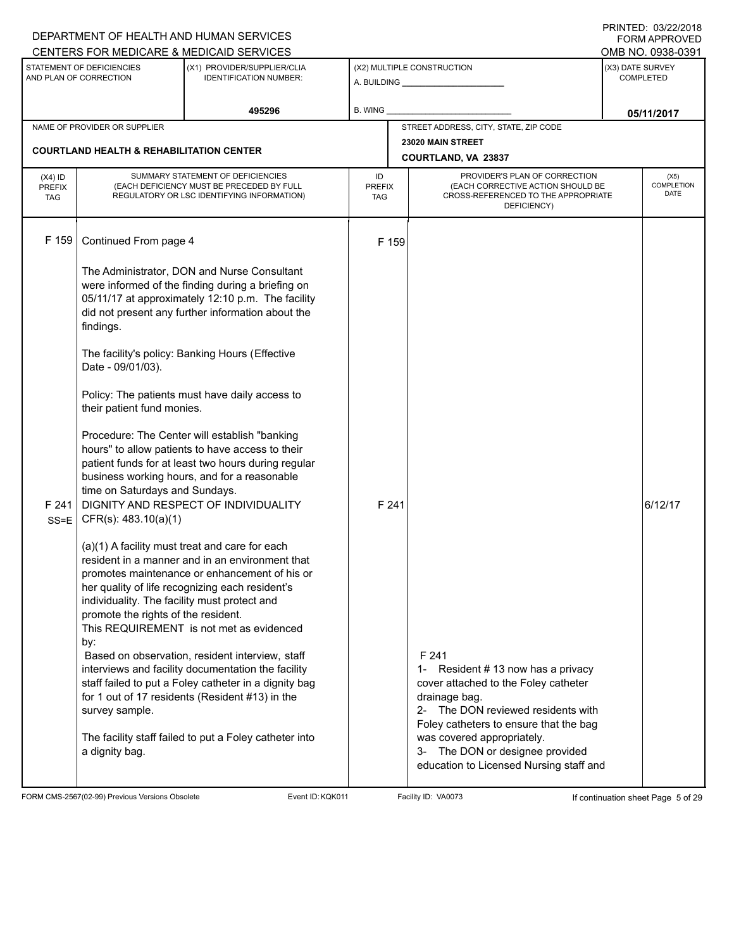|                                          |                                                                                            | DEPARTMENT OF HEALTH AND HUMAN SERVICES                                                                                                                                                                                                           |                                   |                                                                                                                                                                                     | 11111111122.0012212010<br><b>FORM APPROVED</b>            |
|------------------------------------------|--------------------------------------------------------------------------------------------|---------------------------------------------------------------------------------------------------------------------------------------------------------------------------------------------------------------------------------------------------|-----------------------------------|-------------------------------------------------------------------------------------------------------------------------------------------------------------------------------------|-----------------------------------------------------------|
|                                          | STATEMENT OF DEFICIENCIES<br>AND PLAN OF CORRECTION                                        | CENTERS FOR MEDICARE & MEDICAID SERVICES<br>(X1) PROVIDER/SUPPLIER/CLIA<br><b>IDENTIFICATION NUMBER:</b>                                                                                                                                          |                                   | (X2) MULTIPLE CONSTRUCTION                                                                                                                                                          | OMB NO. 0938-0391<br>(X3) DATE SURVEY<br><b>COMPLETED</b> |
|                                          |                                                                                            | 495296                                                                                                                                                                                                                                            | B. WING                           |                                                                                                                                                                                     | 05/11/2017                                                |
|                                          | NAME OF PROVIDER OR SUPPLIER                                                               |                                                                                                                                                                                                                                                   |                                   | STREET ADDRESS, CITY, STATE, ZIP CODE                                                                                                                                               |                                                           |
|                                          | <b>COURTLAND HEALTH &amp; REHABILITATION CENTER</b>                                        |                                                                                                                                                                                                                                                   |                                   | 23020 MAIN STREET<br>COURTLAND, VA 23837                                                                                                                                            |                                                           |
| $(X4)$ ID<br><b>PREFIX</b><br><b>TAG</b> |                                                                                            | SUMMARY STATEMENT OF DEFICIENCIES<br>(EACH DEFICIENCY MUST BE PRECEDED BY FULL<br>REGULATORY OR LSC IDENTIFYING INFORMATION)                                                                                                                      | ID<br><b>PREFIX</b><br><b>TAG</b> | PROVIDER'S PLAN OF CORRECTION<br>(EACH CORRECTIVE ACTION SHOULD BE<br>CROSS-REFERENCED TO THE APPROPRIATE<br>DEFICIENCY)                                                            | (X5)<br>COMPLETION<br>DATE                                |
| F 159                                    | Continued From page 4                                                                      |                                                                                                                                                                                                                                                   | F 159                             |                                                                                                                                                                                     |                                                           |
|                                          | findings.                                                                                  | The Administrator, DON and Nurse Consultant<br>were informed of the finding during a briefing on<br>05/11/17 at approximately 12:10 p.m. The facility<br>did not present any further information about the                                        |                                   |                                                                                                                                                                                     |                                                           |
|                                          | Date - 09/01/03).                                                                          | The facility's policy: Banking Hours (Effective                                                                                                                                                                                                   |                                   |                                                                                                                                                                                     |                                                           |
|                                          | their patient fund monies.                                                                 | Policy: The patients must have daily access to                                                                                                                                                                                                    |                                   |                                                                                                                                                                                     |                                                           |
| F 241<br>$SS = E$                        | time on Saturdays and Sundays.<br>CFR(s): 483.10(a)(1)                                     | Procedure: The Center will establish "banking<br>hours" to allow patients to have access to their<br>patient funds for at least two hours during regular<br>business working hours, and for a reasonable<br>DIGNITY AND RESPECT OF INDIVIDUALITY  | F 241                             |                                                                                                                                                                                     | 6/12/17                                                   |
|                                          | individuality. The facility must protect and<br>promote the rights of the resident.<br>by: | (a)(1) A facility must treat and care for each<br>resident in a manner and in an environment that<br>promotes maintenance or enhancement of his or<br>her quality of life recognizing each resident's<br>This REQUIREMENT is not met as evidenced |                                   |                                                                                                                                                                                     |                                                           |
|                                          | survey sample.                                                                             | Based on observation, resident interview, staff<br>interviews and facility documentation the facility<br>staff failed to put a Foley catheter in a dignity bag<br>for 1 out of 17 residents (Resident #13) in the                                 |                                   | F 241<br>1- Resident #13 now has a privacy<br>cover attached to the Foley catheter<br>drainage bag.<br>2- The DON reviewed residents with<br>Foley catheters to ensure that the bag |                                                           |
|                                          | a dignity bag.                                                                             | The facility staff failed to put a Foley catheter into                                                                                                                                                                                            |                                   | was covered appropriately.<br>3- The DON or designee provided<br>education to Licensed Nursing staff and                                                                            |                                                           |

FORM CMS-2567(02-99) Previous Versions Obsolete Event ID:KQK011 Facility ID: VA0073 If continuation sheet Page 5 of 29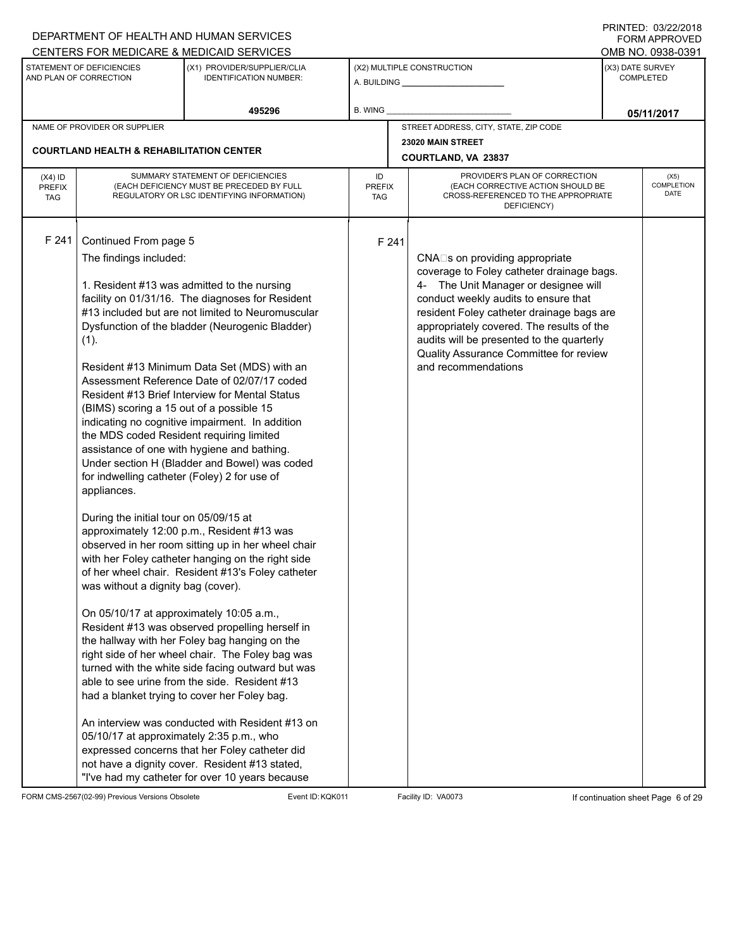|                                          |                                                                                                                                                                                                                                                                                                                                                                                        | DEPARTMENT OF HEALTH AND HUMAN SERVICES                                                                                                                                                                                                                                                                                                                                                                                                                                                                                                                                                                                                                                                                                                                                                                                                                                                                                                                                                                                                                                                                                                                                                                                                          |                            |                                                                                                                                                                                                                                                                                                                                                                     | FORM APPROVED                        |                            |
|------------------------------------------|----------------------------------------------------------------------------------------------------------------------------------------------------------------------------------------------------------------------------------------------------------------------------------------------------------------------------------------------------------------------------------------|--------------------------------------------------------------------------------------------------------------------------------------------------------------------------------------------------------------------------------------------------------------------------------------------------------------------------------------------------------------------------------------------------------------------------------------------------------------------------------------------------------------------------------------------------------------------------------------------------------------------------------------------------------------------------------------------------------------------------------------------------------------------------------------------------------------------------------------------------------------------------------------------------------------------------------------------------------------------------------------------------------------------------------------------------------------------------------------------------------------------------------------------------------------------------------------------------------------------------------------------------|----------------------------|---------------------------------------------------------------------------------------------------------------------------------------------------------------------------------------------------------------------------------------------------------------------------------------------------------------------------------------------------------------------|--------------------------------------|----------------------------|
|                                          |                                                                                                                                                                                                                                                                                                                                                                                        | CENTERS FOR MEDICARE & MEDICAID SERVICES                                                                                                                                                                                                                                                                                                                                                                                                                                                                                                                                                                                                                                                                                                                                                                                                                                                                                                                                                                                                                                                                                                                                                                                                         |                            |                                                                                                                                                                                                                                                                                                                                                                     | OMB NO. 0938-0391                    |                            |
|                                          | STATEMENT OF DEFICIENCIES<br>AND PLAN OF CORRECTION                                                                                                                                                                                                                                                                                                                                    | (X1) PROVIDER/SUPPLIER/CLIA<br><b>IDENTIFICATION NUMBER:</b>                                                                                                                                                                                                                                                                                                                                                                                                                                                                                                                                                                                                                                                                                                                                                                                                                                                                                                                                                                                                                                                                                                                                                                                     |                            | (X2) MULTIPLE CONSTRUCTION                                                                                                                                                                                                                                                                                                                                          | (X3) DATE SURVEY<br><b>COMPLETED</b> |                            |
|                                          |                                                                                                                                                                                                                                                                                                                                                                                        | 495296                                                                                                                                                                                                                                                                                                                                                                                                                                                                                                                                                                                                                                                                                                                                                                                                                                                                                                                                                                                                                                                                                                                                                                                                                                           | <b>B. WING</b>             |                                                                                                                                                                                                                                                                                                                                                                     | 05/11/2017                           |                            |
|                                          | NAME OF PROVIDER OR SUPPLIER                                                                                                                                                                                                                                                                                                                                                           |                                                                                                                                                                                                                                                                                                                                                                                                                                                                                                                                                                                                                                                                                                                                                                                                                                                                                                                                                                                                                                                                                                                                                                                                                                                  |                            | STREET ADDRESS, CITY, STATE, ZIP CODE                                                                                                                                                                                                                                                                                                                               |                                      |                            |
|                                          |                                                                                                                                                                                                                                                                                                                                                                                        |                                                                                                                                                                                                                                                                                                                                                                                                                                                                                                                                                                                                                                                                                                                                                                                                                                                                                                                                                                                                                                                                                                                                                                                                                                                  |                            | 23020 MAIN STREET                                                                                                                                                                                                                                                                                                                                                   |                                      |                            |
|                                          | <b>COURTLAND HEALTH &amp; REHABILITATION CENTER</b>                                                                                                                                                                                                                                                                                                                                    |                                                                                                                                                                                                                                                                                                                                                                                                                                                                                                                                                                                                                                                                                                                                                                                                                                                                                                                                                                                                                                                                                                                                                                                                                                                  |                            | COURTLAND, VA 23837                                                                                                                                                                                                                                                                                                                                                 |                                      |                            |
| $(X4)$ ID<br><b>PREFIX</b><br><b>TAG</b> |                                                                                                                                                                                                                                                                                                                                                                                        | SUMMARY STATEMENT OF DEFICIENCIES<br>(EACH DEFICIENCY MUST BE PRECEDED BY FULL<br>REGULATORY OR LSC IDENTIFYING INFORMATION)                                                                                                                                                                                                                                                                                                                                                                                                                                                                                                                                                                                                                                                                                                                                                                                                                                                                                                                                                                                                                                                                                                                     | ID<br><b>PREFIX</b><br>TAG | PROVIDER'S PLAN OF CORRECTION<br>(EACH CORRECTIVE ACTION SHOULD BE<br>CROSS-REFERENCED TO THE APPROPRIATE<br>DEFICIENCY)                                                                                                                                                                                                                                            |                                      | (X5)<br>COMPLETION<br>DATE |
| F 241                                    | Continued From page 5<br>The findings included:<br>(1).<br>(BIMS) scoring a 15 out of a possible 15<br>the MDS coded Resident requiring limited<br>for indwelling catheter (Foley) 2 for use of<br>appliances.<br>During the initial tour on 05/09/15 at<br>was without a dignity bag (cover).<br>On 05/10/17 at approximately 10:05 a.m.,<br>05/10/17 at approximately 2:35 p.m., who | 1. Resident #13 was admitted to the nursing<br>facility on 01/31/16. The diagnoses for Resident<br>#13 included but are not limited to Neuromuscular<br>Dysfunction of the bladder (Neurogenic Bladder)<br>Resident #13 Minimum Data Set (MDS) with an<br>Assessment Reference Date of 02/07/17 coded<br>Resident #13 Brief Interview for Mental Status<br>indicating no cognitive impairment. In addition<br>assistance of one with hygiene and bathing.<br>Under section H (Bladder and Bowel) was coded<br>approximately 12:00 p.m., Resident #13 was<br>observed in her room sitting up in her wheel chair<br>with her Foley catheter hanging on the right side<br>of her wheel chair. Resident #13's Foley catheter<br>Resident #13 was observed propelling herself in<br>the hallway with her Foley bag hanging on the<br>right side of her wheel chair. The Foley bag was<br>turned with the white side facing outward but was<br>able to see urine from the side. Resident #13<br>had a blanket trying to cover her Foley bag.<br>An interview was conducted with Resident #13 on<br>expressed concerns that her Foley catheter did<br>not have a dignity cover. Resident #13 stated,<br>"I've had my catheter for over 10 years because | F 241                      | CNA□s on providing appropriate<br>coverage to Foley catheter drainage bags.<br>4- The Unit Manager or designee will<br>conduct weekly audits to ensure that<br>resident Foley catheter drainage bags are<br>appropriately covered. The results of the<br>audits will be presented to the quarterly<br>Quality Assurance Committee for review<br>and recommendations |                                      |                            |

FORM CMS-2567(02-99) Previous Versions Obsolete Event ID:KQK011 Facility ID: VA0073 If continuation sheet Page 6 of 29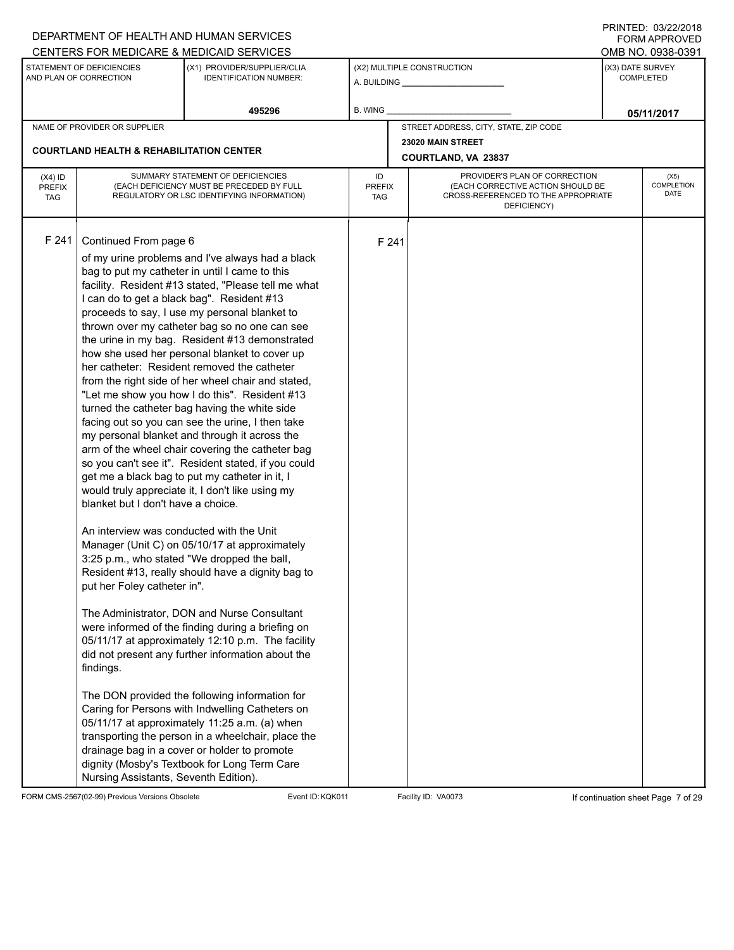|                                   |                                                                                                                                                                                                                                            | DEPARTMENT OF HEALTH AND HUMAN SERVICES                                                                                                                                                                                                                                                                                                                                                                                                                                                                                                                                                                                                                                                                                                                                                                                                                                                                                                                                                                                                                                                                                                                                                                                                                                                                                                                                                                                                                                                                                                                                    |                            |       |                                                                                                                          |                  | <b>FORM APPROVED</b>       |
|-----------------------------------|--------------------------------------------------------------------------------------------------------------------------------------------------------------------------------------------------------------------------------------------|----------------------------------------------------------------------------------------------------------------------------------------------------------------------------------------------------------------------------------------------------------------------------------------------------------------------------------------------------------------------------------------------------------------------------------------------------------------------------------------------------------------------------------------------------------------------------------------------------------------------------------------------------------------------------------------------------------------------------------------------------------------------------------------------------------------------------------------------------------------------------------------------------------------------------------------------------------------------------------------------------------------------------------------------------------------------------------------------------------------------------------------------------------------------------------------------------------------------------------------------------------------------------------------------------------------------------------------------------------------------------------------------------------------------------------------------------------------------------------------------------------------------------------------------------------------------------|----------------------------|-------|--------------------------------------------------------------------------------------------------------------------------|------------------|----------------------------|
|                                   |                                                                                                                                                                                                                                            | CENTERS FOR MEDICARE & MEDICAID SERVICES                                                                                                                                                                                                                                                                                                                                                                                                                                                                                                                                                                                                                                                                                                                                                                                                                                                                                                                                                                                                                                                                                                                                                                                                                                                                                                                                                                                                                                                                                                                                   |                            |       |                                                                                                                          |                  | OMB NO. 0938-0391          |
| AND PLAN OF CORRECTION            | STATEMENT OF DEFICIENCIES                                                                                                                                                                                                                  | (X1) PROVIDER/SUPPLIER/CLIA<br><b>IDENTIFICATION NUMBER:</b>                                                                                                                                                                                                                                                                                                                                                                                                                                                                                                                                                                                                                                                                                                                                                                                                                                                                                                                                                                                                                                                                                                                                                                                                                                                                                                                                                                                                                                                                                                               |                            |       | (X2) MULTIPLE CONSTRUCTION                                                                                               | (X3) DATE SURVEY | <b>COMPLETED</b>           |
|                                   |                                                                                                                                                                                                                                            | 495296                                                                                                                                                                                                                                                                                                                                                                                                                                                                                                                                                                                                                                                                                                                                                                                                                                                                                                                                                                                                                                                                                                                                                                                                                                                                                                                                                                                                                                                                                                                                                                     | B. WING                    |       |                                                                                                                          |                  | 05/11/2017                 |
|                                   | NAME OF PROVIDER OR SUPPLIER                                                                                                                                                                                                               |                                                                                                                                                                                                                                                                                                                                                                                                                                                                                                                                                                                                                                                                                                                                                                                                                                                                                                                                                                                                                                                                                                                                                                                                                                                                                                                                                                                                                                                                                                                                                                            |                            |       | STREET ADDRESS, CITY, STATE, ZIP CODE                                                                                    |                  |                            |
|                                   | <b>COURTLAND HEALTH &amp; REHABILITATION CENTER</b>                                                                                                                                                                                        |                                                                                                                                                                                                                                                                                                                                                                                                                                                                                                                                                                                                                                                                                                                                                                                                                                                                                                                                                                                                                                                                                                                                                                                                                                                                                                                                                                                                                                                                                                                                                                            |                            |       | 23020 MAIN STREET                                                                                                        |                  |                            |
|                                   |                                                                                                                                                                                                                                            |                                                                                                                                                                                                                                                                                                                                                                                                                                                                                                                                                                                                                                                                                                                                                                                                                                                                                                                                                                                                                                                                                                                                                                                                                                                                                                                                                                                                                                                                                                                                                                            |                            |       | COURTLAND, VA 23837                                                                                                      |                  |                            |
| $(X4)$ ID<br>PREFIX<br><b>TAG</b> |                                                                                                                                                                                                                                            | SUMMARY STATEMENT OF DEFICIENCIES<br>(EACH DEFICIENCY MUST BE PRECEDED BY FULL<br>REGULATORY OR LSC IDENTIFYING INFORMATION)                                                                                                                                                                                                                                                                                                                                                                                                                                                                                                                                                                                                                                                                                                                                                                                                                                                                                                                                                                                                                                                                                                                                                                                                                                                                                                                                                                                                                                               | ID<br><b>PREFIX</b><br>TAG |       | PROVIDER'S PLAN OF CORRECTION<br>(EACH CORRECTIVE ACTION SHOULD BE<br>CROSS-REFERENCED TO THE APPROPRIATE<br>DEFICIENCY) |                  | (X5)<br>COMPLETION<br>DATE |
| F 241                             | Continued From page 6<br>I can do to get a black bag". Resident #13<br>blanket but I don't have a choice.<br>An interview was conducted with the Unit<br>put her Foley catheter in".<br>findings.<br>Nursing Assistants, Seventh Edition). | of my urine problems and I've always had a black<br>bag to put my catheter in until I came to this<br>facility. Resident #13 stated, "Please tell me what<br>proceeds to say, I use my personal blanket to<br>thrown over my catheter bag so no one can see<br>the urine in my bag. Resident #13 demonstrated<br>how she used her personal blanket to cover up<br>her catheter: Resident removed the catheter<br>from the right side of her wheel chair and stated,<br>"Let me show you how I do this". Resident #13<br>turned the catheter bag having the white side<br>facing out so you can see the urine, I then take<br>my personal blanket and through it across the<br>arm of the wheel chair covering the catheter bag<br>so you can't see it". Resident stated, if you could<br>get me a black bag to put my catheter in it, I<br>would truly appreciate it, I don't like using my<br>Manager (Unit C) on 05/10/17 at approximately<br>3:25 p.m., who stated "We dropped the ball,<br>Resident #13, really should have a dignity bag to<br>The Administrator, DON and Nurse Consultant<br>were informed of the finding during a briefing on<br>05/11/17 at approximately 12:10 p.m. The facility<br>did not present any further information about the<br>The DON provided the following information for<br>Caring for Persons with Indwelling Catheters on<br>05/11/17 at approximately 11:25 a.m. (a) when<br>transporting the person in a wheelchair, place the<br>drainage bag in a cover or holder to promote<br>dignity (Mosby's Textbook for Long Term Care |                            | F 241 |                                                                                                                          |                  |                            |

FORM CMS-2567(02-99) Previous Versions Obsolete Event ID:KQK011 Facility ID: VA0073 If continuation sheet Page 7 of 29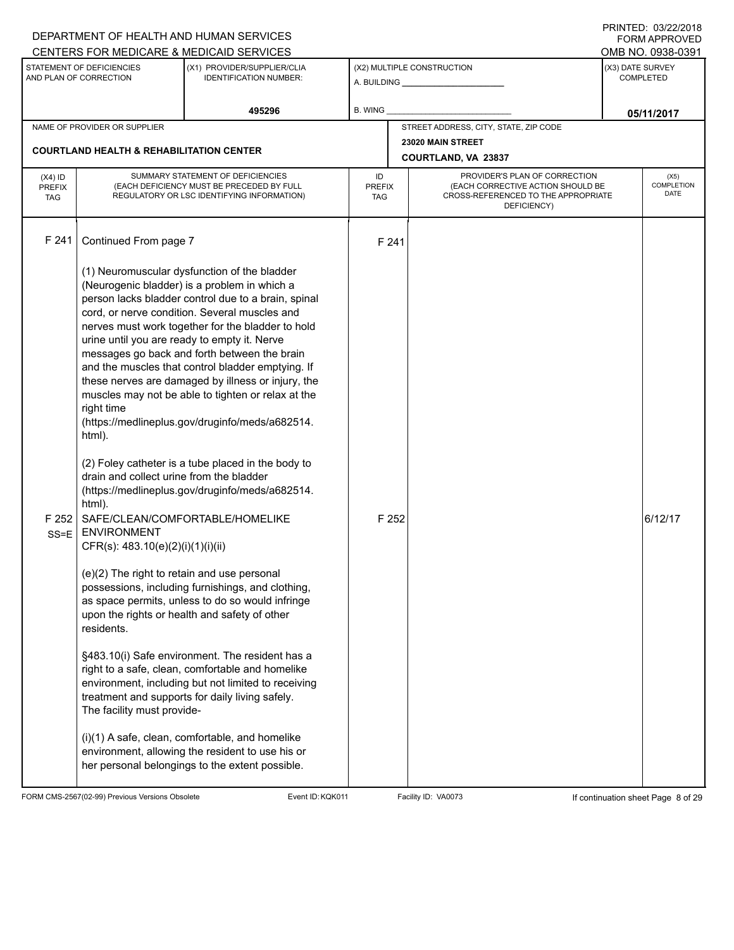|                                          |                                                                                                                                                                                                                                                                                                           | DEPARTMENT OF HEALTH AND HUMAN SERVICES<br>CENTERS FOR MEDICARE & MEDICAID SERVICES                                                                                                                                                                                                                                                                                                                                                                                                                                                                                                                                                                                                                                                                                                                                                                                                                                                                                                                                                                  |                                   |                |                                                                                                                          |                  | I INITILLY. 09/44/4010<br>FORM APPROVED |
|------------------------------------------|-----------------------------------------------------------------------------------------------------------------------------------------------------------------------------------------------------------------------------------------------------------------------------------------------------------|------------------------------------------------------------------------------------------------------------------------------------------------------------------------------------------------------------------------------------------------------------------------------------------------------------------------------------------------------------------------------------------------------------------------------------------------------------------------------------------------------------------------------------------------------------------------------------------------------------------------------------------------------------------------------------------------------------------------------------------------------------------------------------------------------------------------------------------------------------------------------------------------------------------------------------------------------------------------------------------------------------------------------------------------------|-----------------------------------|----------------|--------------------------------------------------------------------------------------------------------------------------|------------------|-----------------------------------------|
|                                          | STATEMENT OF DEFICIENCIES<br>AND PLAN OF CORRECTION                                                                                                                                                                                                                                                       | (X1) PROVIDER/SUPPLIER/CLIA<br><b>IDENTIFICATION NUMBER:</b>                                                                                                                                                                                                                                                                                                                                                                                                                                                                                                                                                                                                                                                                                                                                                                                                                                                                                                                                                                                         |                                   |                | (X2) MULTIPLE CONSTRUCTION<br>A. BUILDING A. BUILDING                                                                    | (X3) DATE SURVEY | OMB NO. 0938-0391<br><b>COMPLETED</b>   |
|                                          |                                                                                                                                                                                                                                                                                                           | 495296                                                                                                                                                                                                                                                                                                                                                                                                                                                                                                                                                                                                                                                                                                                                                                                                                                                                                                                                                                                                                                               | B. WING                           |                |                                                                                                                          |                  | 05/11/2017                              |
|                                          | NAME OF PROVIDER OR SUPPLIER                                                                                                                                                                                                                                                                              |                                                                                                                                                                                                                                                                                                                                                                                                                                                                                                                                                                                                                                                                                                                                                                                                                                                                                                                                                                                                                                                      |                                   |                | STREET ADDRESS, CITY, STATE, ZIP CODE                                                                                    |                  |                                         |
|                                          | <b>COURTLAND HEALTH &amp; REHABILITATION CENTER</b>                                                                                                                                                                                                                                                       |                                                                                                                                                                                                                                                                                                                                                                                                                                                                                                                                                                                                                                                                                                                                                                                                                                                                                                                                                                                                                                                      |                                   |                | 23020 MAIN STREET<br>COURTLAND, VA 23837                                                                                 |                  |                                         |
| $(X4)$ ID<br><b>PREFIX</b><br><b>TAG</b> |                                                                                                                                                                                                                                                                                                           | SUMMARY STATEMENT OF DEFICIENCIES<br>(EACH DEFICIENCY MUST BE PRECEDED BY FULL<br>REGULATORY OR LSC IDENTIFYING INFORMATION)                                                                                                                                                                                                                                                                                                                                                                                                                                                                                                                                                                                                                                                                                                                                                                                                                                                                                                                         | ID<br><b>PREFIX</b><br><b>TAG</b> |                | PROVIDER'S PLAN OF CORRECTION<br>(EACH CORRECTIVE ACTION SHOULD BE<br>CROSS-REFERENCED TO THE APPROPRIATE<br>DEFICIENCY) |                  | (X5)<br>COMPLETION<br>DATE              |
| F 241<br>F 252<br>SS=E                   | Continued From page 7<br>urine until you are ready to empty it. Nerve<br>right time<br>html).<br>drain and collect urine from the bladder<br>html).<br><b>ENVIRONMENT</b><br>CFR(s): 483.10(e)(2)(i)(1)(i)(ii)<br>(e)(2) The right to retain and use personal<br>residents.<br>The facility must provide- | (1) Neuromuscular dysfunction of the bladder<br>(Neurogenic bladder) is a problem in which a<br>person lacks bladder control due to a brain, spinal<br>cord, or nerve condition. Several muscles and<br>nerves must work together for the bladder to hold<br>messages go back and forth between the brain<br>and the muscles that control bladder emptying. If<br>these nerves are damaged by illness or injury, the<br>muscles may not be able to tighten or relax at the<br>(https://medlineplus.gov/druginfo/meds/a682514.<br>(2) Foley catheter is a tube placed in the body to<br>(https://medlineplus.gov/druginfo/meds/a682514.<br>SAFE/CLEAN/COMFORTABLE/HOMELIKE<br>possessions, including furnishings, and clothing,<br>as space permits, unless to do so would infringe<br>upon the rights or health and safety of other<br>§483.10(i) Safe environment. The resident has a<br>right to a safe, clean, comfortable and homelike<br>environment, including but not limited to receiving<br>treatment and supports for daily living safely. |                                   | F 241<br>F 252 |                                                                                                                          |                  | 6/12/17                                 |
|                                          |                                                                                                                                                                                                                                                                                                           | (i)(1) A safe, clean, comfortable, and homelike<br>environment, allowing the resident to use his or<br>her personal belongings to the extent possible.                                                                                                                                                                                                                                                                                                                                                                                                                                                                                                                                                                                                                                                                                                                                                                                                                                                                                               |                                   |                |                                                                                                                          |                  |                                         |

FORM CMS-2567(02-99) Previous Versions Obsolete Event ID:KQK011 Facility ID: VA0073 If continuation sheet Page 8 of 29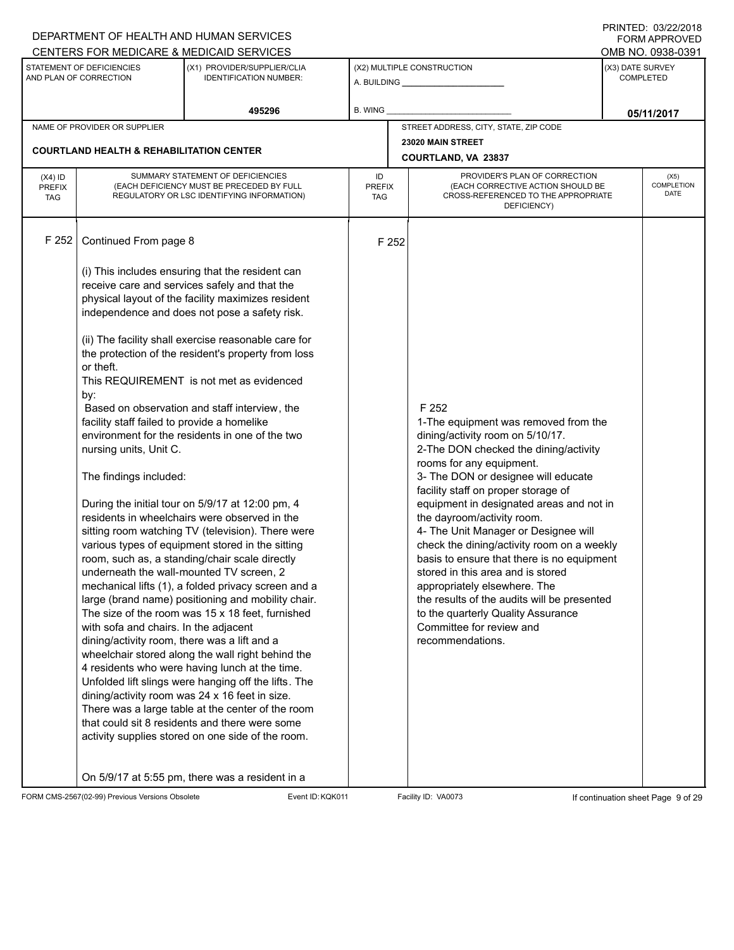|                                          |                                                                                                                                                                                                              | DEPARTMENT OF HEALTH AND HUMAN SERVICES                                                                                                                                                                                                                                                                                                                                                                                                                                                                                                                                                                                                                                                                                                                                                                                                                                                                                                                                                                                                                                                                                                                                                                                                                                                                                                                                              |                                   |       |                                                                                                                                                                                                                                                                                                                                                                                                                                                                                                                                                                                                                                                              |                  | <b>FININILU. VJIZZIZVIO</b><br><b>FORM APPROVED</b> |  |
|------------------------------------------|--------------------------------------------------------------------------------------------------------------------------------------------------------------------------------------------------------------|--------------------------------------------------------------------------------------------------------------------------------------------------------------------------------------------------------------------------------------------------------------------------------------------------------------------------------------------------------------------------------------------------------------------------------------------------------------------------------------------------------------------------------------------------------------------------------------------------------------------------------------------------------------------------------------------------------------------------------------------------------------------------------------------------------------------------------------------------------------------------------------------------------------------------------------------------------------------------------------------------------------------------------------------------------------------------------------------------------------------------------------------------------------------------------------------------------------------------------------------------------------------------------------------------------------------------------------------------------------------------------------|-----------------------------------|-------|--------------------------------------------------------------------------------------------------------------------------------------------------------------------------------------------------------------------------------------------------------------------------------------------------------------------------------------------------------------------------------------------------------------------------------------------------------------------------------------------------------------------------------------------------------------------------------------------------------------------------------------------------------------|------------------|-----------------------------------------------------|--|
|                                          | STATEMENT OF DEFICIENCIES<br>AND PLAN OF CORRECTION                                                                                                                                                          | CENTERS FOR MEDICARE & MEDICAID SERVICES<br>(X1) PROVIDER/SUPPLIER/CLIA<br><b>IDENTIFICATION NUMBER:</b>                                                                                                                                                                                                                                                                                                                                                                                                                                                                                                                                                                                                                                                                                                                                                                                                                                                                                                                                                                                                                                                                                                                                                                                                                                                                             |                                   |       | (X2) MULTIPLE CONSTRUCTION                                                                                                                                                                                                                                                                                                                                                                                                                                                                                                                                                                                                                                   | (X3) DATE SURVEY | OMB NO. 0938-0391<br><b>COMPLETED</b>               |  |
|                                          |                                                                                                                                                                                                              | 495296                                                                                                                                                                                                                                                                                                                                                                                                                                                                                                                                                                                                                                                                                                                                                                                                                                                                                                                                                                                                                                                                                                                                                                                                                                                                                                                                                                               | <b>B. WING</b>                    |       |                                                                                                                                                                                                                                                                                                                                                                                                                                                                                                                                                                                                                                                              |                  | 05/11/2017                                          |  |
|                                          | NAME OF PROVIDER OR SUPPLIER                                                                                                                                                                                 |                                                                                                                                                                                                                                                                                                                                                                                                                                                                                                                                                                                                                                                                                                                                                                                                                                                                                                                                                                                                                                                                                                                                                                                                                                                                                                                                                                                      |                                   |       | STREET ADDRESS, CITY, STATE, ZIP CODE                                                                                                                                                                                                                                                                                                                                                                                                                                                                                                                                                                                                                        |                  |                                                     |  |
|                                          |                                                                                                                                                                                                              |                                                                                                                                                                                                                                                                                                                                                                                                                                                                                                                                                                                                                                                                                                                                                                                                                                                                                                                                                                                                                                                                                                                                                                                                                                                                                                                                                                                      |                                   |       | 23020 MAIN STREET                                                                                                                                                                                                                                                                                                                                                                                                                                                                                                                                                                                                                                            |                  |                                                     |  |
|                                          | <b>COURTLAND HEALTH &amp; REHABILITATION CENTER</b>                                                                                                                                                          |                                                                                                                                                                                                                                                                                                                                                                                                                                                                                                                                                                                                                                                                                                                                                                                                                                                                                                                                                                                                                                                                                                                                                                                                                                                                                                                                                                                      |                                   |       | COURTLAND, VA 23837                                                                                                                                                                                                                                                                                                                                                                                                                                                                                                                                                                                                                                          |                  |                                                     |  |
| $(X4)$ ID<br><b>PREFIX</b><br><b>TAG</b> |                                                                                                                                                                                                              | SUMMARY STATEMENT OF DEFICIENCIES<br>(EACH DEFICIENCY MUST BE PRECEDED BY FULL<br>REGULATORY OR LSC IDENTIFYING INFORMATION)                                                                                                                                                                                                                                                                                                                                                                                                                                                                                                                                                                                                                                                                                                                                                                                                                                                                                                                                                                                                                                                                                                                                                                                                                                                         | ID<br><b>PREFIX</b><br><b>TAG</b> |       | PROVIDER'S PLAN OF CORRECTION<br>(EACH CORRECTIVE ACTION SHOULD BE<br>CROSS-REFERENCED TO THE APPROPRIATE<br>DEFICIENCY)                                                                                                                                                                                                                                                                                                                                                                                                                                                                                                                                     |                  | (X5)<br>COMPLETION<br><b>DATE</b>                   |  |
| F 252                                    | Continued From page 8                                                                                                                                                                                        |                                                                                                                                                                                                                                                                                                                                                                                                                                                                                                                                                                                                                                                                                                                                                                                                                                                                                                                                                                                                                                                                                                                                                                                                                                                                                                                                                                                      |                                   | F 252 |                                                                                                                                                                                                                                                                                                                                                                                                                                                                                                                                                                                                                                                              |                  |                                                     |  |
|                                          | or theft.<br>by:<br>facility staff failed to provide a homelike<br>nursing units, Unit C.<br>The findings included:<br>with sofa and chairs. In the adjacent<br>dining/activity room, there was a lift and a | (i) This includes ensuring that the resident can<br>receive care and services safely and that the<br>physical layout of the facility maximizes resident<br>independence and does not pose a safety risk.<br>(ii) The facility shall exercise reasonable care for<br>the protection of the resident's property from loss<br>This REQUIREMENT is not met as evidenced<br>Based on observation and staff interview, the<br>environment for the residents in one of the two<br>During the initial tour on 5/9/17 at 12:00 pm, 4<br>residents in wheelchairs were observed in the<br>sitting room watching TV (television). There were<br>various types of equipment stored in the sitting<br>room, such as, a standing/chair scale directly<br>underneath the wall-mounted TV screen, 2<br>mechanical lifts (1), a folded privacy screen and a<br>large (brand name) positioning and mobility chair.<br>The size of the room was 15 x 18 feet, furnished<br>wheelchair stored along the wall right behind the<br>4 residents who were having lunch at the time.<br>Unfolded lift slings were hanging off the lifts. The<br>dining/activity room was 24 x 16 feet in size.<br>There was a large table at the center of the room<br>that could sit 8 residents and there were some<br>activity supplies stored on one side of the room.<br>On 5/9/17 at 5:55 pm, there was a resident in a |                                   |       | F 252<br>1-The equipment was removed from the<br>dining/activity room on 5/10/17.<br>2-The DON checked the dining/activity<br>rooms for any equipment.<br>3- The DON or designee will educate<br>facility staff on proper storage of<br>equipment in designated areas and not in<br>the dayroom/activity room.<br>4- The Unit Manager or Designee will<br>check the dining/activity room on a weekly<br>basis to ensure that there is no equipment<br>stored in this area and is stored<br>appropriately elsewhere. The<br>the results of the audits will be presented<br>to the quarterly Quality Assurance<br>Committee for review and<br>recommendations. |                  |                                                     |  |

FORM CMS-2567(02-99) Previous Versions Obsolete Event ID:KQK011 Facility ID: VA0073 If continuation sheet Page 9 of 29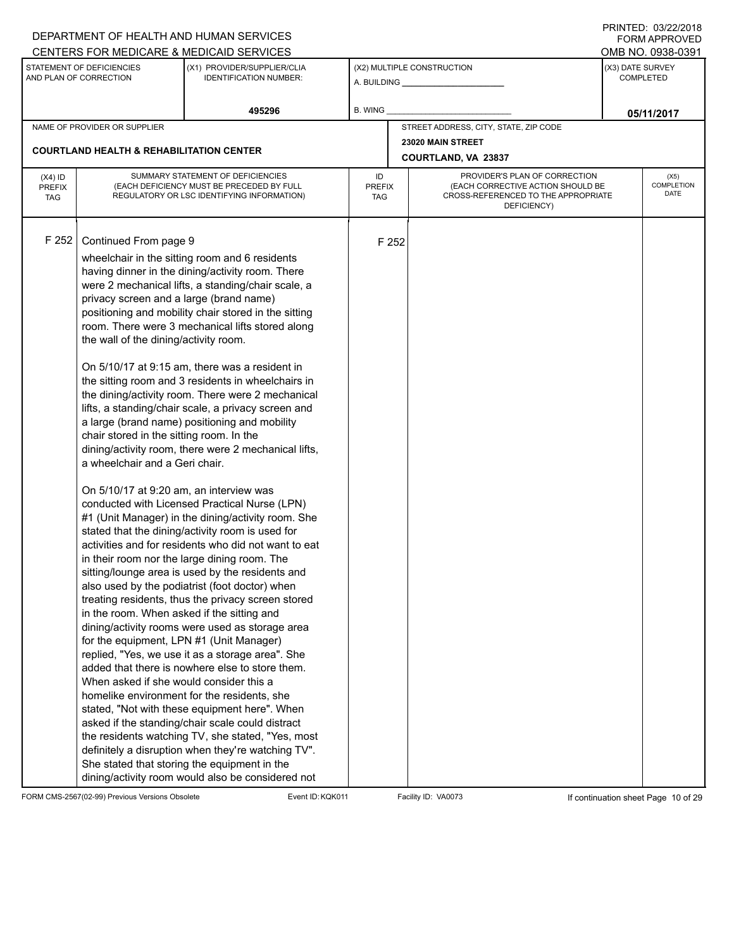|                                          |                                                                                                                                                                                                                                                                                                                                                                         | DEPARTMENT OF HEALTH AND HUMAN SERVICES                                                                                                                                                                                                                                                                                                                                                                                                                                                                                                                                                                                                                                                                                                                                                                                                                                                                                                                                                                                                                                                                                                                                                                                                                                                                                                                                                                                                                                                                                                                        |                            |                                                                                                                          |                  | <b>FORM APPROVED</b>              |
|------------------------------------------|-------------------------------------------------------------------------------------------------------------------------------------------------------------------------------------------------------------------------------------------------------------------------------------------------------------------------------------------------------------------------|----------------------------------------------------------------------------------------------------------------------------------------------------------------------------------------------------------------------------------------------------------------------------------------------------------------------------------------------------------------------------------------------------------------------------------------------------------------------------------------------------------------------------------------------------------------------------------------------------------------------------------------------------------------------------------------------------------------------------------------------------------------------------------------------------------------------------------------------------------------------------------------------------------------------------------------------------------------------------------------------------------------------------------------------------------------------------------------------------------------------------------------------------------------------------------------------------------------------------------------------------------------------------------------------------------------------------------------------------------------------------------------------------------------------------------------------------------------------------------------------------------------------------------------------------------------|----------------------------|--------------------------------------------------------------------------------------------------------------------------|------------------|-----------------------------------|
|                                          |                                                                                                                                                                                                                                                                                                                                                                         | CENTERS FOR MEDICARE & MEDICAID SERVICES                                                                                                                                                                                                                                                                                                                                                                                                                                                                                                                                                                                                                                                                                                                                                                                                                                                                                                                                                                                                                                                                                                                                                                                                                                                                                                                                                                                                                                                                                                                       |                            |                                                                                                                          |                  | OMB NO. 0938-0391                 |
|                                          | STATEMENT OF DEFICIENCIES<br>AND PLAN OF CORRECTION                                                                                                                                                                                                                                                                                                                     | (X1) PROVIDER/SUPPLIER/CLIA<br><b>IDENTIFICATION NUMBER:</b>                                                                                                                                                                                                                                                                                                                                                                                                                                                                                                                                                                                                                                                                                                                                                                                                                                                                                                                                                                                                                                                                                                                                                                                                                                                                                                                                                                                                                                                                                                   |                            | (X2) MULTIPLE CONSTRUCTION                                                                                               | (X3) DATE SURVEY | <b>COMPLETED</b>                  |
|                                          |                                                                                                                                                                                                                                                                                                                                                                         | 495296                                                                                                                                                                                                                                                                                                                                                                                                                                                                                                                                                                                                                                                                                                                                                                                                                                                                                                                                                                                                                                                                                                                                                                                                                                                                                                                                                                                                                                                                                                                                                         | B. WING                    |                                                                                                                          |                  | 05/11/2017                        |
|                                          | NAME OF PROVIDER OR SUPPLIER                                                                                                                                                                                                                                                                                                                                            |                                                                                                                                                                                                                                                                                                                                                                                                                                                                                                                                                                                                                                                                                                                                                                                                                                                                                                                                                                                                                                                                                                                                                                                                                                                                                                                                                                                                                                                                                                                                                                |                            | STREET ADDRESS, CITY, STATE, ZIP CODE                                                                                    |                  |                                   |
|                                          |                                                                                                                                                                                                                                                                                                                                                                         |                                                                                                                                                                                                                                                                                                                                                                                                                                                                                                                                                                                                                                                                                                                                                                                                                                                                                                                                                                                                                                                                                                                                                                                                                                                                                                                                                                                                                                                                                                                                                                |                            | 23020 MAIN STREET                                                                                                        |                  |                                   |
|                                          | <b>COURTLAND HEALTH &amp; REHABILITATION CENTER</b>                                                                                                                                                                                                                                                                                                                     |                                                                                                                                                                                                                                                                                                                                                                                                                                                                                                                                                                                                                                                                                                                                                                                                                                                                                                                                                                                                                                                                                                                                                                                                                                                                                                                                                                                                                                                                                                                                                                |                            | COURTLAND, VA 23837                                                                                                      |                  |                                   |
| $(X4)$ ID<br><b>PREFIX</b><br><b>TAG</b> |                                                                                                                                                                                                                                                                                                                                                                         | SUMMARY STATEMENT OF DEFICIENCIES<br>(EACH DEFICIENCY MUST BE PRECEDED BY FULL<br>REGULATORY OR LSC IDENTIFYING INFORMATION)                                                                                                                                                                                                                                                                                                                                                                                                                                                                                                                                                                                                                                                                                                                                                                                                                                                                                                                                                                                                                                                                                                                                                                                                                                                                                                                                                                                                                                   | ID<br><b>PREFIX</b><br>TAG | PROVIDER'S PLAN OF CORRECTION<br>(EACH CORRECTIVE ACTION SHOULD BE<br>CROSS-REFERENCED TO THE APPROPRIATE<br>DEFICIENCY) |                  | (X5)<br><b>COMPLETION</b><br>DATE |
| F 252                                    | Continued From page 9<br>privacy screen and a large (brand name)<br>the wall of the dining/activity room.<br>chair stored in the sitting room. In the<br>a wheelchair and a Geri chair.<br>On 5/10/17 at 9:20 am, an interview was<br>in the room. When asked if the sitting and<br>for the equipment, LPN #1 (Unit Manager)<br>When asked if she would consider this a | wheelchair in the sitting room and 6 residents<br>having dinner in the dining/activity room. There<br>were 2 mechanical lifts, a standing/chair scale, a<br>positioning and mobility chair stored in the sitting<br>room. There were 3 mechanical lifts stored along<br>On 5/10/17 at 9:15 am, there was a resident in<br>the sitting room and 3 residents in wheelchairs in<br>the dining/activity room. There were 2 mechanical<br>lifts, a standing/chair scale, a privacy screen and<br>a large (brand name) positioning and mobility<br>dining/activity room, there were 2 mechanical lifts,<br>conducted with Licensed Practical Nurse (LPN)<br>#1 (Unit Manager) in the dining/activity room. She<br>stated that the dining/activity room is used for<br>activities and for residents who did not want to eat<br>in their room nor the large dining room. The<br>sitting/lounge area is used by the residents and<br>also used by the podiatrist (foot doctor) when<br>treating residents, thus the privacy screen stored<br>dining/activity rooms were used as storage area<br>replied, "Yes, we use it as a storage area". She<br>added that there is nowhere else to store them.<br>homelike environment for the residents, she<br>stated, "Not with these equipment here". When<br>asked if the standing/chair scale could distract<br>the residents watching TV, she stated, "Yes, most<br>definitely a disruption when they're watching TV".<br>She stated that storing the equipment in the<br>dining/activity room would also be considered not | F 252                      |                                                                                                                          |                  |                                   |

FORM CMS-2567(02-99) Previous Versions Obsolete Event ID:KQK011 Facility ID: VA0073 If continuation sheet Page 10 of 29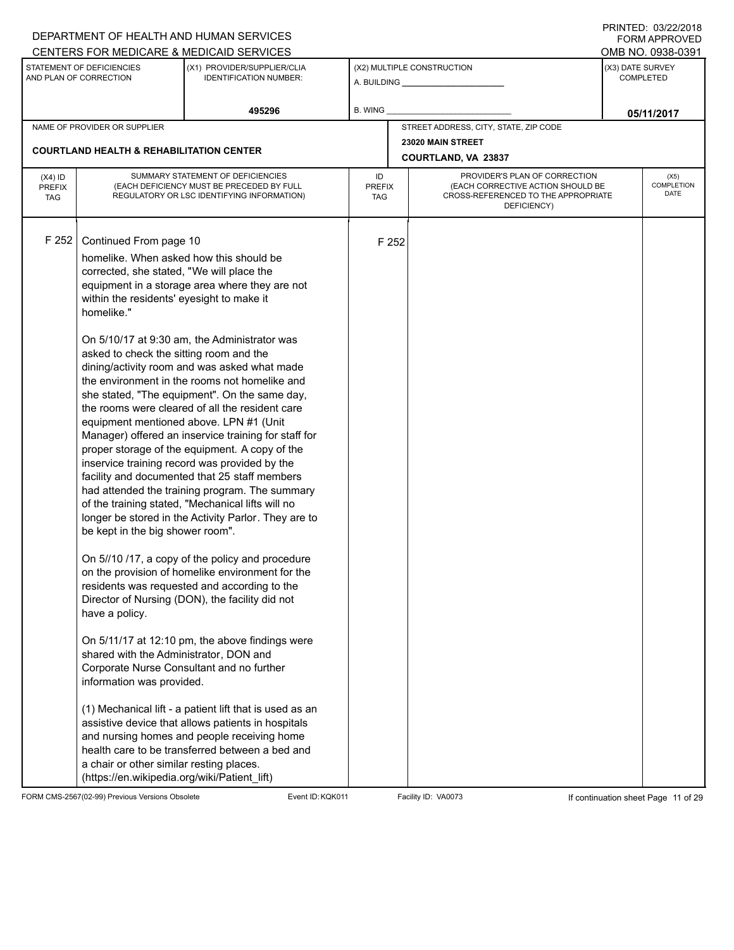|                                          |                                                                                                                                                                                                                                                                                                                                                                                                                                               | DEPARTMENT OF HEALTH AND HUMAN SERVICES                                                                                                                                                                                                                                                                                                                                                                                                                                                                                                                                                                                                                                                                                                                                                                                                                                                                                                                                                                                                                                                                                                                                                                                                                 |                            |       |                                                                                                                          | 11111111122.0072212010<br><b>FORM APPROVED</b><br>OMB NO. 0938-0391 |
|------------------------------------------|-----------------------------------------------------------------------------------------------------------------------------------------------------------------------------------------------------------------------------------------------------------------------------------------------------------------------------------------------------------------------------------------------------------------------------------------------|---------------------------------------------------------------------------------------------------------------------------------------------------------------------------------------------------------------------------------------------------------------------------------------------------------------------------------------------------------------------------------------------------------------------------------------------------------------------------------------------------------------------------------------------------------------------------------------------------------------------------------------------------------------------------------------------------------------------------------------------------------------------------------------------------------------------------------------------------------------------------------------------------------------------------------------------------------------------------------------------------------------------------------------------------------------------------------------------------------------------------------------------------------------------------------------------------------------------------------------------------------|----------------------------|-------|--------------------------------------------------------------------------------------------------------------------------|---------------------------------------------------------------------|
|                                          | STATEMENT OF DEFICIENCIES                                                                                                                                                                                                                                                                                                                                                                                                                     | CENTERS FOR MEDICARE & MEDICAID SERVICES<br>(X1) PROVIDER/SUPPLIER/CLIA                                                                                                                                                                                                                                                                                                                                                                                                                                                                                                                                                                                                                                                                                                                                                                                                                                                                                                                                                                                                                                                                                                                                                                                 |                            |       | (X2) MULTIPLE CONSTRUCTION                                                                                               | (X3) DATE SURVEY                                                    |
|                                          | AND PLAN OF CORRECTION                                                                                                                                                                                                                                                                                                                                                                                                                        | <b>IDENTIFICATION NUMBER:</b>                                                                                                                                                                                                                                                                                                                                                                                                                                                                                                                                                                                                                                                                                                                                                                                                                                                                                                                                                                                                                                                                                                                                                                                                                           |                            |       | A. BUILDING A. BUILDING                                                                                                  | <b>COMPLETED</b>                                                    |
|                                          |                                                                                                                                                                                                                                                                                                                                                                                                                                               | 495296                                                                                                                                                                                                                                                                                                                                                                                                                                                                                                                                                                                                                                                                                                                                                                                                                                                                                                                                                                                                                                                                                                                                                                                                                                                  | B. WING                    |       |                                                                                                                          | 05/11/2017                                                          |
|                                          | NAME OF PROVIDER OR SUPPLIER                                                                                                                                                                                                                                                                                                                                                                                                                  |                                                                                                                                                                                                                                                                                                                                                                                                                                                                                                                                                                                                                                                                                                                                                                                                                                                                                                                                                                                                                                                                                                                                                                                                                                                         |                            |       | STREET ADDRESS, CITY, STATE, ZIP CODE                                                                                    |                                                                     |
|                                          | <b>COURTLAND HEALTH &amp; REHABILITATION CENTER</b>                                                                                                                                                                                                                                                                                                                                                                                           |                                                                                                                                                                                                                                                                                                                                                                                                                                                                                                                                                                                                                                                                                                                                                                                                                                                                                                                                                                                                                                                                                                                                                                                                                                                         |                            |       | 23020 MAIN STREET<br>COURTLAND, VA 23837                                                                                 |                                                                     |
| $(X4)$ ID<br><b>PREFIX</b><br><b>TAG</b> |                                                                                                                                                                                                                                                                                                                                                                                                                                               | SUMMARY STATEMENT OF DEFICIENCIES<br>(EACH DEFICIENCY MUST BE PRECEDED BY FULL<br>REGULATORY OR LSC IDENTIFYING INFORMATION)                                                                                                                                                                                                                                                                                                                                                                                                                                                                                                                                                                                                                                                                                                                                                                                                                                                                                                                                                                                                                                                                                                                            | ID<br><b>PREFIX</b><br>TAG |       | PROVIDER'S PLAN OF CORRECTION<br>(EACH CORRECTIVE ACTION SHOULD BE<br>CROSS-REFERENCED TO THE APPROPRIATE<br>DEFICIENCY) | (X5)<br>COMPLETION<br><b>DATE</b>                                   |
| F 252                                    | Continued From page 10<br>homelike. When asked how this should be<br>corrected, she stated, "We will place the<br>within the residents' eyesight to make it<br>homelike."<br>asked to check the sitting room and the<br>be kept in the big shower room".<br>have a policy.<br>shared with the Administrator, DON and<br>information was provided.<br>a chair or other similar resting places.<br>(https://en.wikipedia.org/wiki/Patient_lift) | equipment in a storage area where they are not<br>On 5/10/17 at 9:30 am, the Administrator was<br>dining/activity room and was asked what made<br>the environment in the rooms not homelike and<br>she stated, "The equipment". On the same day,<br>the rooms were cleared of all the resident care<br>equipment mentioned above. LPN #1 (Unit<br>Manager) offered an inservice training for staff for<br>proper storage of the equipment. A copy of the<br>inservice training record was provided by the<br>facility and documented that 25 staff members<br>had attended the training program. The summary<br>of the training stated, "Mechanical lifts will no<br>longer be stored in the Activity Parlor. They are to<br>On 5//10 /17, a copy of the policy and procedure<br>on the provision of homelike environment for the<br>residents was requested and according to the<br>Director of Nursing (DON), the facility did not<br>On 5/11/17 at 12:10 pm, the above findings were<br>Corporate Nurse Consultant and no further<br>(1) Mechanical lift - a patient lift that is used as an<br>assistive device that allows patients in hospitals<br>and nursing homes and people receiving home<br>health care to be transferred between a bed and |                            | F 252 |                                                                                                                          |                                                                     |

FORM CMS-2567(02-99) Previous Versions Obsolete Event ID:KQK011 Facility ID: VA0073 If continuation sheet Page 11 of 29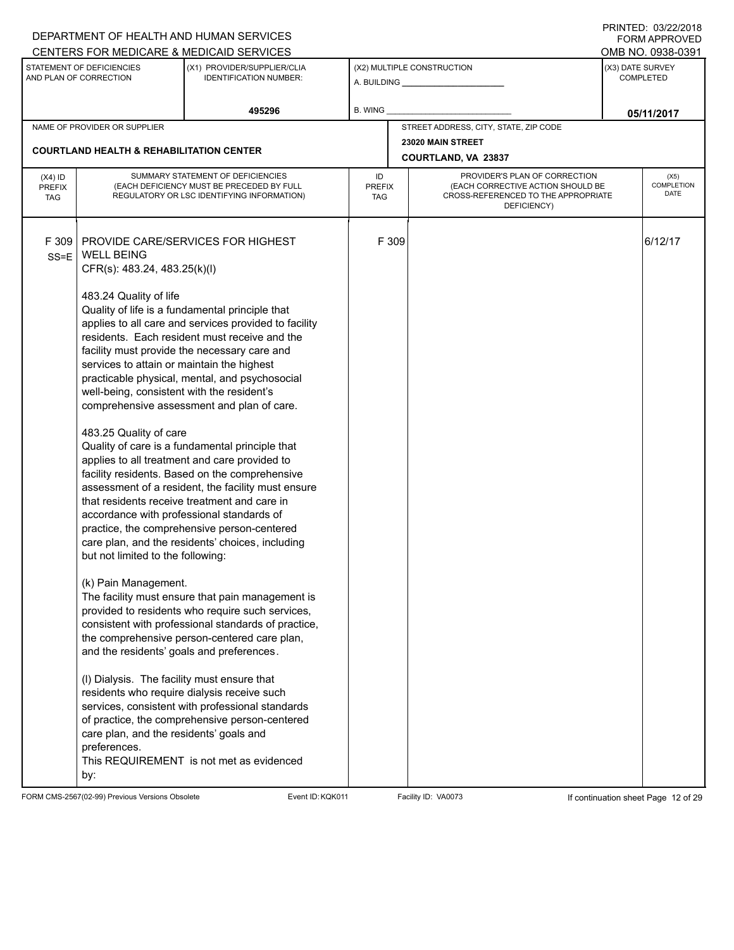| CENTERS FOR MEDICARE & MEDICAID SERVICES<br>OMB NO. 0938-0391<br>(X3) DATE SURVEY<br>STATEMENT OF DEFICIENCIES<br>(X1) PROVIDER/SUPPLIER/CLIA<br>(X2) MULTIPLE CONSTRUCTION<br>AND PLAN OF CORRECTION<br><b>COMPLETED</b><br><b>IDENTIFICATION NUMBER:</b><br>495296<br>B. WING<br>05/11/2017<br>STREET ADDRESS, CITY, STATE, ZIP CODE<br>NAME OF PROVIDER OR SUPPLIER<br>23020 MAIN STREET<br><b>COURTLAND HEALTH &amp; REHABILITATION CENTER</b><br>COURTLAND, VA 23837<br>SUMMARY STATEMENT OF DEFICIENCIES<br>PROVIDER'S PLAN OF CORRECTION<br>ID<br>$(X4)$ ID<br>(X5)<br>(EACH DEFICIENCY MUST BE PRECEDED BY FULL<br>(EACH CORRECTIVE ACTION SHOULD BE<br><b>PREFIX</b><br>PREFIX<br>DATE<br>CROSS-REFERENCED TO THE APPROPRIATE<br>REGULATORY OR LSC IDENTIFYING INFORMATION)<br><b>TAG</b><br><b>TAG</b><br>DEFICIENCY)<br>F 309<br>F 309<br>PROVIDE CARE/SERVICES FOR HIGHEST<br>6/12/17<br><b>WELL BEING</b><br>$SS=E$<br>CFR(s): 483.24, 483.25(k)(l)<br>483.24 Quality of life<br>Quality of life is a fundamental principle that<br>applies to all care and services provided to facility<br>residents. Each resident must receive and the<br>facility must provide the necessary care and<br>services to attain or maintain the highest<br>practicable physical, mental, and psychosocial<br>well-being, consistent with the resident's<br>comprehensive assessment and plan of care.<br>483.25 Quality of care<br>Quality of care is a fundamental principle that<br>applies to all treatment and care provided to<br>facility residents. Based on the comprehensive<br>assessment of a resident, the facility must ensure<br>that residents receive treatment and care in<br>accordance with professional standards of<br>practice, the comprehensive person-centered<br>care plan, and the residents' choices, including |  | DEPARTMENT OF HEALTH AND HUMAN SERVICES |  |  | I INITILD. 00/ <i>LLIL</i> 0 IO<br><b>FORM APPROVED</b> |
|-------------------------------------------------------------------------------------------------------------------------------------------------------------------------------------------------------------------------------------------------------------------------------------------------------------------------------------------------------------------------------------------------------------------------------------------------------------------------------------------------------------------------------------------------------------------------------------------------------------------------------------------------------------------------------------------------------------------------------------------------------------------------------------------------------------------------------------------------------------------------------------------------------------------------------------------------------------------------------------------------------------------------------------------------------------------------------------------------------------------------------------------------------------------------------------------------------------------------------------------------------------------------------------------------------------------------------------------------------------------------------------------------------------------------------------------------------------------------------------------------------------------------------------------------------------------------------------------------------------------------------------------------------------------------------------------------------------------------------------------------------------------------------------------------------------------------------------------|--|-----------------------------------------|--|--|---------------------------------------------------------|
|                                                                                                                                                                                                                                                                                                                                                                                                                                                                                                                                                                                                                                                                                                                                                                                                                                                                                                                                                                                                                                                                                                                                                                                                                                                                                                                                                                                                                                                                                                                                                                                                                                                                                                                                                                                                                                           |  |                                         |  |  |                                                         |
|                                                                                                                                                                                                                                                                                                                                                                                                                                                                                                                                                                                                                                                                                                                                                                                                                                                                                                                                                                                                                                                                                                                                                                                                                                                                                                                                                                                                                                                                                                                                                                                                                                                                                                                                                                                                                                           |  |                                         |  |  |                                                         |
|                                                                                                                                                                                                                                                                                                                                                                                                                                                                                                                                                                                                                                                                                                                                                                                                                                                                                                                                                                                                                                                                                                                                                                                                                                                                                                                                                                                                                                                                                                                                                                                                                                                                                                                                                                                                                                           |  |                                         |  |  |                                                         |
|                                                                                                                                                                                                                                                                                                                                                                                                                                                                                                                                                                                                                                                                                                                                                                                                                                                                                                                                                                                                                                                                                                                                                                                                                                                                                                                                                                                                                                                                                                                                                                                                                                                                                                                                                                                                                                           |  |                                         |  |  |                                                         |
|                                                                                                                                                                                                                                                                                                                                                                                                                                                                                                                                                                                                                                                                                                                                                                                                                                                                                                                                                                                                                                                                                                                                                                                                                                                                                                                                                                                                                                                                                                                                                                                                                                                                                                                                                                                                                                           |  |                                         |  |  |                                                         |
|                                                                                                                                                                                                                                                                                                                                                                                                                                                                                                                                                                                                                                                                                                                                                                                                                                                                                                                                                                                                                                                                                                                                                                                                                                                                                                                                                                                                                                                                                                                                                                                                                                                                                                                                                                                                                                           |  |                                         |  |  | COMPLETION                                              |
| but not limited to the following:<br>(k) Pain Management.<br>The facility must ensure that pain management is<br>provided to residents who require such services,<br>consistent with professional standards of practice,<br>the comprehensive person-centered care plan,<br>and the residents' goals and preferences.<br>(I) Dialysis. The facility must ensure that<br>residents who require dialysis receive such<br>services, consistent with professional standards<br>of practice, the comprehensive person-centered<br>care plan, and the residents' goals and<br>preferences.<br>This REQUIREMENT is not met as evidenced                                                                                                                                                                                                                                                                                                                                                                                                                                                                                                                                                                                                                                                                                                                                                                                                                                                                                                                                                                                                                                                                                                                                                                                                          |  |                                         |  |  |                                                         |

FORM CMS-2567(02-99) Previous Versions Obsolete Event ID:KQK011 Facility ID: VA0073 If continuation sheet Page 12 of 29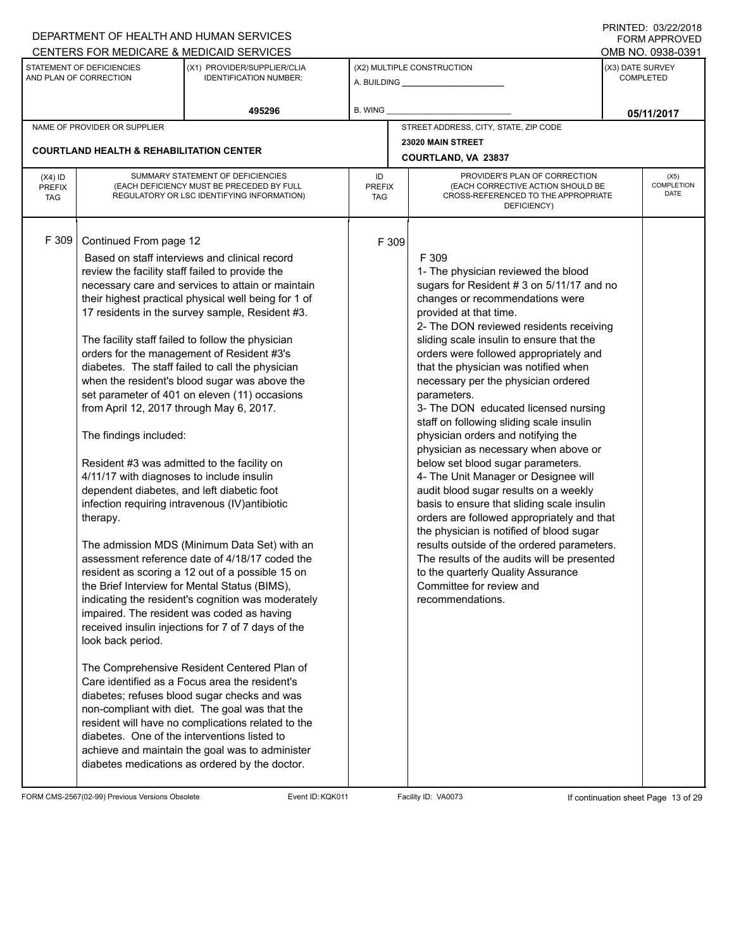|                                          |                                                                                                                                                                                                                                                                                                                                                                            | DEPARTMENT OF HEALTH AND HUMAN SERVICES                                                                                                                                                                                                                                                                                                                                                                                                                                                                                                                                                                                                                                                                                                                                                                                                                                                                                                                                                                                                                                                                                                                                                                                                                  |                            |       |                                                                                                                                                                                                                                                                                                                                                                                                                                                                                                                                                                                                                                                                                                                                                                                                                                                                                                                                                                                                          |                                      | 11111111127.0072212010<br>FORM APPROVED |
|------------------------------------------|----------------------------------------------------------------------------------------------------------------------------------------------------------------------------------------------------------------------------------------------------------------------------------------------------------------------------------------------------------------------------|----------------------------------------------------------------------------------------------------------------------------------------------------------------------------------------------------------------------------------------------------------------------------------------------------------------------------------------------------------------------------------------------------------------------------------------------------------------------------------------------------------------------------------------------------------------------------------------------------------------------------------------------------------------------------------------------------------------------------------------------------------------------------------------------------------------------------------------------------------------------------------------------------------------------------------------------------------------------------------------------------------------------------------------------------------------------------------------------------------------------------------------------------------------------------------------------------------------------------------------------------------|----------------------------|-------|----------------------------------------------------------------------------------------------------------------------------------------------------------------------------------------------------------------------------------------------------------------------------------------------------------------------------------------------------------------------------------------------------------------------------------------------------------------------------------------------------------------------------------------------------------------------------------------------------------------------------------------------------------------------------------------------------------------------------------------------------------------------------------------------------------------------------------------------------------------------------------------------------------------------------------------------------------------------------------------------------------|--------------------------------------|-----------------------------------------|
|                                          |                                                                                                                                                                                                                                                                                                                                                                            | CENTERS FOR MEDICARE & MEDICAID SERVICES                                                                                                                                                                                                                                                                                                                                                                                                                                                                                                                                                                                                                                                                                                                                                                                                                                                                                                                                                                                                                                                                                                                                                                                                                 |                            |       |                                                                                                                                                                                                                                                                                                                                                                                                                                                                                                                                                                                                                                                                                                                                                                                                                                                                                                                                                                                                          | OMB NO. 0938-0391                    |                                         |
|                                          | STATEMENT OF DEFICIENCIES<br>AND PLAN OF CORRECTION                                                                                                                                                                                                                                                                                                                        | (X1) PROVIDER/SUPPLIER/CLIA<br><b>IDENTIFICATION NUMBER:</b>                                                                                                                                                                                                                                                                                                                                                                                                                                                                                                                                                                                                                                                                                                                                                                                                                                                                                                                                                                                                                                                                                                                                                                                             | (X2) MULTIPLE CONSTRUCTION |       |                                                                                                                                                                                                                                                                                                                                                                                                                                                                                                                                                                                                                                                                                                                                                                                                                                                                                                                                                                                                          | (X3) DATE SURVEY<br><b>COMPLETED</b> |                                         |
|                                          |                                                                                                                                                                                                                                                                                                                                                                            | 495296                                                                                                                                                                                                                                                                                                                                                                                                                                                                                                                                                                                                                                                                                                                                                                                                                                                                                                                                                                                                                                                                                                                                                                                                                                                   | B. WING                    |       |                                                                                                                                                                                                                                                                                                                                                                                                                                                                                                                                                                                                                                                                                                                                                                                                                                                                                                                                                                                                          |                                      | 05/11/2017                              |
|                                          | NAME OF PROVIDER OR SUPPLIER                                                                                                                                                                                                                                                                                                                                               |                                                                                                                                                                                                                                                                                                                                                                                                                                                                                                                                                                                                                                                                                                                                                                                                                                                                                                                                                                                                                                                                                                                                                                                                                                                          |                            |       | STREET ADDRESS, CITY, STATE, ZIP CODE                                                                                                                                                                                                                                                                                                                                                                                                                                                                                                                                                                                                                                                                                                                                                                                                                                                                                                                                                                    |                                      |                                         |
|                                          | <b>COURTLAND HEALTH &amp; REHABILITATION CENTER</b>                                                                                                                                                                                                                                                                                                                        |                                                                                                                                                                                                                                                                                                                                                                                                                                                                                                                                                                                                                                                                                                                                                                                                                                                                                                                                                                                                                                                                                                                                                                                                                                                          |                            |       | 23020 MAIN STREET                                                                                                                                                                                                                                                                                                                                                                                                                                                                                                                                                                                                                                                                                                                                                                                                                                                                                                                                                                                        |                                      |                                         |
|                                          |                                                                                                                                                                                                                                                                                                                                                                            |                                                                                                                                                                                                                                                                                                                                                                                                                                                                                                                                                                                                                                                                                                                                                                                                                                                                                                                                                                                                                                                                                                                                                                                                                                                          |                            |       | COURTLAND, VA 23837                                                                                                                                                                                                                                                                                                                                                                                                                                                                                                                                                                                                                                                                                                                                                                                                                                                                                                                                                                                      |                                      |                                         |
| $(X4)$ ID<br><b>PREFIX</b><br><b>TAG</b> |                                                                                                                                                                                                                                                                                                                                                                            | SUMMARY STATEMENT OF DEFICIENCIES<br>(EACH DEFICIENCY MUST BE PRECEDED BY FULL<br>REGULATORY OR LSC IDENTIFYING INFORMATION)                                                                                                                                                                                                                                                                                                                                                                                                                                                                                                                                                                                                                                                                                                                                                                                                                                                                                                                                                                                                                                                                                                                             | ID<br><b>PREFIX</b><br>TAG |       | PROVIDER'S PLAN OF CORRECTION<br>(EACH CORRECTIVE ACTION SHOULD BE<br>CROSS-REFERENCED TO THE APPROPRIATE<br>DEFICIENCY)                                                                                                                                                                                                                                                                                                                                                                                                                                                                                                                                                                                                                                                                                                                                                                                                                                                                                 |                                      | (X5)<br><b>COMPLETION</b><br>DATE       |
| F 309                                    | Continued From page 12<br>review the facility staff failed to provide the<br>from April 12, 2017 through May 6, 2017.<br>The findings included:<br>Resident #3 was admitted to the facility on<br>4/11/17 with diagnoses to include insulin<br>dependent diabetes, and left diabetic foot<br>therapy.<br>look back period.<br>diabetes. One of the interventions listed to | Based on staff interviews and clinical record<br>necessary care and services to attain or maintain<br>their highest practical physical well being for 1 of<br>17 residents in the survey sample, Resident #3.<br>The facility staff failed to follow the physician<br>orders for the management of Resident #3's<br>diabetes. The staff failed to call the physician<br>when the resident's blood sugar was above the<br>set parameter of 401 on eleven (11) occasions<br>infection requiring intravenous (IV) antibiotic<br>The admission MDS (Minimum Data Set) with an<br>assessment reference date of 4/18/17 coded the<br>resident as scoring a 12 out of a possible 15 on<br>the Brief Interview for Mental Status (BIMS),<br>indicating the resident's cognition was moderately<br>impaired. The resident was coded as having<br>received insulin injections for 7 of 7 days of the<br>The Comprehensive Resident Centered Plan of<br>Care identified as a Focus area the resident's<br>diabetes; refuses blood sugar checks and was<br>non-compliant with diet. The goal was that the<br>resident will have no complications related to the<br>achieve and maintain the goal was to administer<br>diabetes medications as ordered by the doctor. |                            | F 309 | F 309<br>1- The physician reviewed the blood<br>sugars for Resident # 3 on 5/11/17 and no<br>changes or recommendations were<br>provided at that time.<br>2- The DON reviewed residents receiving<br>sliding scale insulin to ensure that the<br>orders were followed appropriately and<br>that the physician was notified when<br>necessary per the physician ordered<br>parameters.<br>3- The DON educated licensed nursing<br>staff on following sliding scale insulin<br>physician orders and notifying the<br>physician as necessary when above or<br>below set blood sugar parameters.<br>4- The Unit Manager or Designee will<br>audit blood sugar results on a weekly<br>basis to ensure that sliding scale insulin<br>orders are followed appropriately and that<br>the physician is notified of blood sugar<br>results outside of the ordered parameters.<br>The results of the audits will be presented<br>to the quarterly Quality Assurance<br>Committee for review and<br>recommendations. |                                      |                                         |

FORM CMS-2567(02-99) Previous Versions Obsolete Event ID:KQK011 Facility ID: VA0073 If continuation sheet Page 13 of 29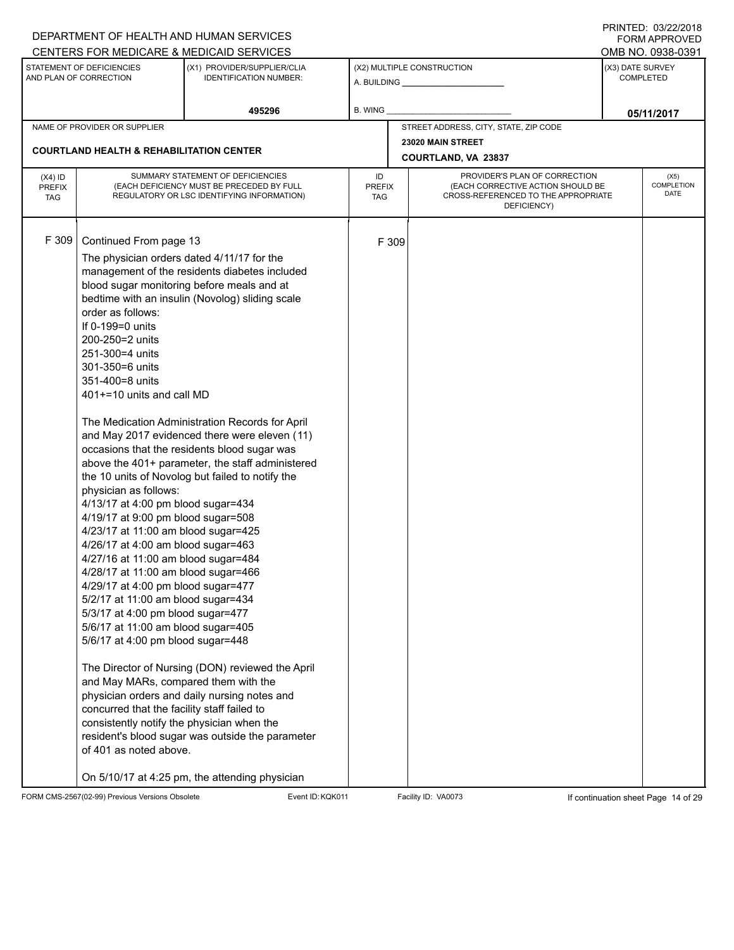|                             |                                                                           | DEPARTMENT OF HEALTH AND HUMAN SERVICES                                                       |                      |       |                                                                          |                  | 11111111127.0012212010<br>FORM APPROVED |
|-----------------------------|---------------------------------------------------------------------------|-----------------------------------------------------------------------------------------------|----------------------|-------|--------------------------------------------------------------------------|------------------|-----------------------------------------|
|                             | STATEMENT OF DEFICIENCIES                                                 | CENTERS FOR MEDICARE & MEDICAID SERVICES<br>(X1) PROVIDER/SUPPLIER/CLIA                       |                      |       | (X2) MULTIPLE CONSTRUCTION                                               | (X3) DATE SURVEY | OMB NO. 0938-0391                       |
|                             | AND PLAN OF CORRECTION                                                    | <b>IDENTIFICATION NUMBER:</b>                                                                 |                      |       | A. BUILDING <b>A.</b> BUILDING                                           |                  | <b>COMPLETED</b>                        |
|                             |                                                                           | 495296                                                                                        | B. WING              |       |                                                                          |                  | 05/11/2017                              |
|                             | NAME OF PROVIDER OR SUPPLIER                                              |                                                                                               |                      |       | STREET ADDRESS, CITY, STATE, ZIP CODE                                    |                  |                                         |
|                             | <b>COURTLAND HEALTH &amp; REHABILITATION CENTER</b>                       |                                                                                               |                      |       | 23020 MAIN STREET                                                        |                  |                                         |
|                             |                                                                           |                                                                                               |                      |       | COURTLAND, VA 23837                                                      |                  |                                         |
| $(X4)$ ID                   |                                                                           | SUMMARY STATEMENT OF DEFICIENCIES                                                             | ID                   |       | PROVIDER'S PLAN OF CORRECTION                                            |                  | (X5)                                    |
| <b>PREFIX</b><br><b>TAG</b> |                                                                           | (EACH DEFICIENCY MUST BE PRECEDED BY FULL<br>REGULATORY OR LSC IDENTIFYING INFORMATION)       | <b>PREFIX</b><br>TAG |       | (EACH CORRECTIVE ACTION SHOULD BE<br>CROSS-REFERENCED TO THE APPROPRIATE |                  | COMPLETION<br>DATE                      |
|                             |                                                                           |                                                                                               |                      |       | DEFICIENCY)                                                              |                  |                                         |
|                             |                                                                           |                                                                                               |                      |       |                                                                          |                  |                                         |
| F 309                       | Continued From page 13                                                    |                                                                                               |                      | F 309 |                                                                          |                  |                                         |
|                             | The physician orders dated 4/11/17 for the                                |                                                                                               |                      |       |                                                                          |                  |                                         |
|                             |                                                                           | management of the residents diabetes included                                                 |                      |       |                                                                          |                  |                                         |
|                             |                                                                           | blood sugar monitoring before meals and at<br>bedtime with an insulin (Novolog) sliding scale |                      |       |                                                                          |                  |                                         |
|                             | order as follows:                                                         |                                                                                               |                      |       |                                                                          |                  |                                         |
|                             | If 0-199=0 units                                                          |                                                                                               |                      |       |                                                                          |                  |                                         |
|                             | 200-250=2 units                                                           |                                                                                               |                      |       |                                                                          |                  |                                         |
|                             | 251-300=4 units                                                           |                                                                                               |                      |       |                                                                          |                  |                                         |
|                             | 301-350=6 units                                                           |                                                                                               |                      |       |                                                                          |                  |                                         |
|                             | 351-400=8 units<br>401+=10 units and call MD                              |                                                                                               |                      |       |                                                                          |                  |                                         |
|                             |                                                                           |                                                                                               |                      |       |                                                                          |                  |                                         |
|                             |                                                                           | The Medication Administration Records for April                                               |                      |       |                                                                          |                  |                                         |
|                             |                                                                           | and May 2017 evidenced there were eleven (11)                                                 |                      |       |                                                                          |                  |                                         |
|                             |                                                                           | occasions that the residents blood sugar was                                                  |                      |       |                                                                          |                  |                                         |
|                             |                                                                           | above the 401+ parameter, the staff administered                                              |                      |       |                                                                          |                  |                                         |
|                             | physician as follows:                                                     | the 10 units of Novolog but failed to notify the                                              |                      |       |                                                                          |                  |                                         |
|                             | 4/13/17 at 4:00 pm blood sugar=434                                        |                                                                                               |                      |       |                                                                          |                  |                                         |
|                             | 4/19/17 at 9:00 pm blood sugar=508                                        |                                                                                               |                      |       |                                                                          |                  |                                         |
|                             | 4/23/17 at 11:00 am blood sugar=425                                       |                                                                                               |                      |       |                                                                          |                  |                                         |
|                             | 4/26/17 at 4:00 am blood sugar=463                                        |                                                                                               |                      |       |                                                                          |                  |                                         |
|                             | 4/27/16 at 11:00 am blood sugar=484                                       |                                                                                               |                      |       |                                                                          |                  |                                         |
|                             | 4/28/17 at 11:00 am blood sugar=466<br>4/29/17 at 4:00 pm blood sugar=477 |                                                                                               |                      |       |                                                                          |                  |                                         |
|                             | 5/2/17 at 11:00 am blood sugar=434                                        |                                                                                               |                      |       |                                                                          |                  |                                         |
|                             | 5/3/17 at 4:00 pm blood sugar=477                                         |                                                                                               |                      |       |                                                                          |                  |                                         |
|                             | 5/6/17 at 11:00 am blood sugar=405                                        |                                                                                               |                      |       |                                                                          |                  |                                         |
|                             | 5/6/17 at 4:00 pm blood sugar=448                                         |                                                                                               |                      |       |                                                                          |                  |                                         |
|                             |                                                                           | The Director of Nursing (DON) reviewed the April                                              |                      |       |                                                                          |                  |                                         |
|                             | and May MARs, compared them with the                                      |                                                                                               |                      |       |                                                                          |                  |                                         |
|                             |                                                                           | physician orders and daily nursing notes and                                                  |                      |       |                                                                          |                  |                                         |
|                             | concurred that the facility staff failed to                               |                                                                                               |                      |       |                                                                          |                  |                                         |
|                             | consistently notify the physician when the                                |                                                                                               |                      |       |                                                                          |                  |                                         |
|                             |                                                                           | resident's blood sugar was outside the parameter                                              |                      |       |                                                                          |                  |                                         |
|                             | of 401 as noted above.                                                    |                                                                                               |                      |       |                                                                          |                  |                                         |
|                             |                                                                           | On 5/10/17 at 4:25 pm, the attending physician                                                |                      |       |                                                                          |                  |                                         |

FORM CMS-2567(02-99) Previous Versions Obsolete Event ID:KQK011 Facility ID: VA0073 If continuation sheet Page 14 of 29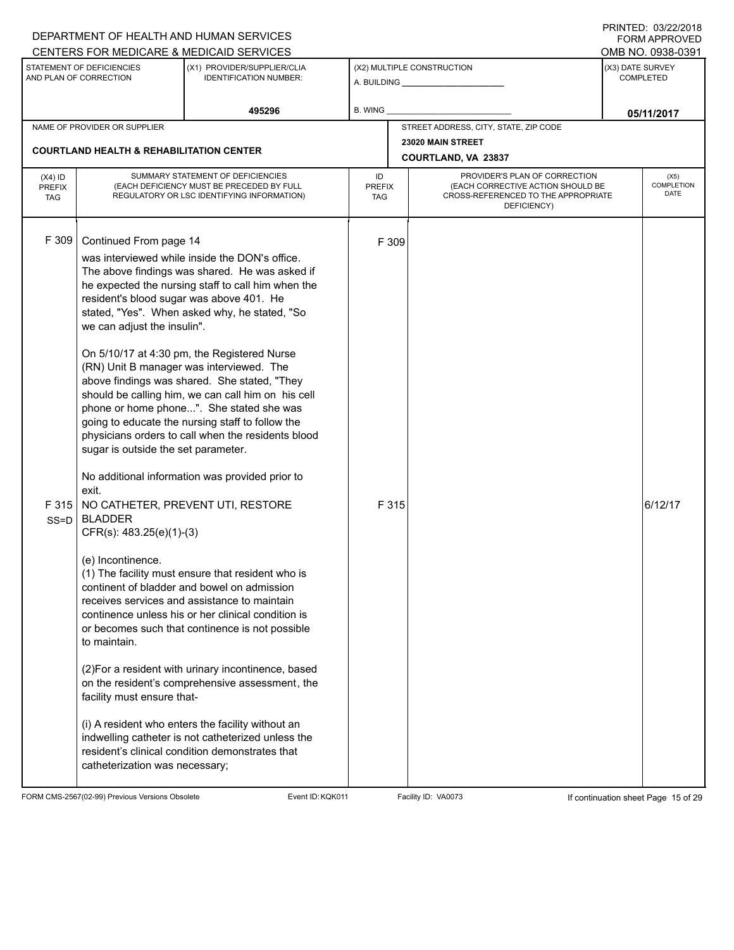| DEPARTMENT OF HEALTH AND HUMAN SERVICES |                                                                                                                                                                                                                                                                                                                                                                                                                                                                                                                                                                                                                                                                                                                                                                                                                                                                                                                                                                                                                                                                                                                                                                                                                                                                                                                                                                                                                                                                                                                                                                                                                     |                                 |                                                                                                                                                   | <b>FORM APPROVED</b>                                                                                      |
|-----------------------------------------|---------------------------------------------------------------------------------------------------------------------------------------------------------------------------------------------------------------------------------------------------------------------------------------------------------------------------------------------------------------------------------------------------------------------------------------------------------------------------------------------------------------------------------------------------------------------------------------------------------------------------------------------------------------------------------------------------------------------------------------------------------------------------------------------------------------------------------------------------------------------------------------------------------------------------------------------------------------------------------------------------------------------------------------------------------------------------------------------------------------------------------------------------------------------------------------------------------------------------------------------------------------------------------------------------------------------------------------------------------------------------------------------------------------------------------------------------------------------------------------------------------------------------------------------------------------------------------------------------------------------|---------------------------------|---------------------------------------------------------------------------------------------------------------------------------------------------|-----------------------------------------------------------------------------------------------------------|
|                                         |                                                                                                                                                                                                                                                                                                                                                                                                                                                                                                                                                                                                                                                                                                                                                                                                                                                                                                                                                                                                                                                                                                                                                                                                                                                                                                                                                                                                                                                                                                                                                                                                                     |                                 |                                                                                                                                                   | OMB NO. 0938-0391                                                                                         |
|                                         |                                                                                                                                                                                                                                                                                                                                                                                                                                                                                                                                                                                                                                                                                                                                                                                                                                                                                                                                                                                                                                                                                                                                                                                                                                                                                                                                                                                                                                                                                                                                                                                                                     |                                 | (X3) DATE SURVEY<br><b>COMPLETED</b>                                                                                                              |                                                                                                           |
| 495296                                  | B. WING                                                                                                                                                                                                                                                                                                                                                                                                                                                                                                                                                                                                                                                                                                                                                                                                                                                                                                                                                                                                                                                                                                                                                                                                                                                                                                                                                                                                                                                                                                                                                                                                             |                                 |                                                                                                                                                   | 05/11/2017                                                                                                |
|                                         |                                                                                                                                                                                                                                                                                                                                                                                                                                                                                                                                                                                                                                                                                                                                                                                                                                                                                                                                                                                                                                                                                                                                                                                                                                                                                                                                                                                                                                                                                                                                                                                                                     |                                 |                                                                                                                                                   |                                                                                                           |
|                                         |                                                                                                                                                                                                                                                                                                                                                                                                                                                                                                                                                                                                                                                                                                                                                                                                                                                                                                                                                                                                                                                                                                                                                                                                                                                                                                                                                                                                                                                                                                                                                                                                                     |                                 |                                                                                                                                                   |                                                                                                           |
|                                         | ID<br><b>TAG</b>                                                                                                                                                                                                                                                                                                                                                                                                                                                                                                                                                                                                                                                                                                                                                                                                                                                                                                                                                                                                                                                                                                                                                                                                                                                                                                                                                                                                                                                                                                                                                                                                    | DEFICIENCY)                     |                                                                                                                                                   | (X5)<br>COMPLETION<br>DATE                                                                                |
|                                         |                                                                                                                                                                                                                                                                                                                                                                                                                                                                                                                                                                                                                                                                                                                                                                                                                                                                                                                                                                                                                                                                                                                                                                                                                                                                                                                                                                                                                                                                                                                                                                                                                     |                                 |                                                                                                                                                   | 6/12/17                                                                                                   |
|                                         | CENTERS FOR MEDICARE & MEDICAID SERVICES<br>(X1) PROVIDER/SUPPLIER/CLIA<br><b>IDENTIFICATION NUMBER:</b><br><b>COURTLAND HEALTH &amp; REHABILITATION CENTER</b><br>SUMMARY STATEMENT OF DEFICIENCIES<br>(EACH DEFICIENCY MUST BE PRECEDED BY FULL<br>REGULATORY OR LSC IDENTIFYING INFORMATION)<br>was interviewed while inside the DON's office.<br>The above findings was shared. He was asked if<br>he expected the nursing staff to call him when the<br>resident's blood sugar was above 401. He<br>stated, "Yes". When asked why, he stated, "So<br>On 5/10/17 at 4:30 pm, the Registered Nurse<br>(RN) Unit B manager was interviewed. The<br>above findings was shared. She stated, "They<br>should be calling him, we can call him on his cell<br>phone or home phone". She stated she was<br>going to educate the nursing staff to follow the<br>physicians orders to call when the residents blood<br>sugar is outside the set parameter.<br>No additional information was provided prior to<br>NO CATHETER, PREVENT UTI, RESTORE<br>(1) The facility must ensure that resident who is<br>continent of bladder and bowel on admission<br>receives services and assistance to maintain<br>continence unless his or her clinical condition is<br>or becomes such that continence is not possible<br>(2) For a resident with urinary incontinence, based<br>on the resident's comprehensive assessment, the<br>(i) A resident who enters the facility without an<br>indwelling catheter is not catheterized unless the<br>resident's clinical condition demonstrates that<br>catheterization was necessary; | <b>PREFIX</b><br>F 309<br>F 315 | (X2) MULTIPLE CONSTRUCTION<br>A. BUILDING <b>A.</b> BUILDING<br>STREET ADDRESS, CITY, STATE, ZIP CODE<br>23020 MAIN STREET<br>COURTLAND, VA 23837 | PROVIDER'S PLAN OF CORRECTION<br>(EACH CORRECTIVE ACTION SHOULD BE<br>CROSS-REFERENCED TO THE APPROPRIATE |

FORM CMS-2567(02-99) Previous Versions Obsolete Event ID:KQK011 Facility ID: VA0073 If continuation sheet Page 15 of 29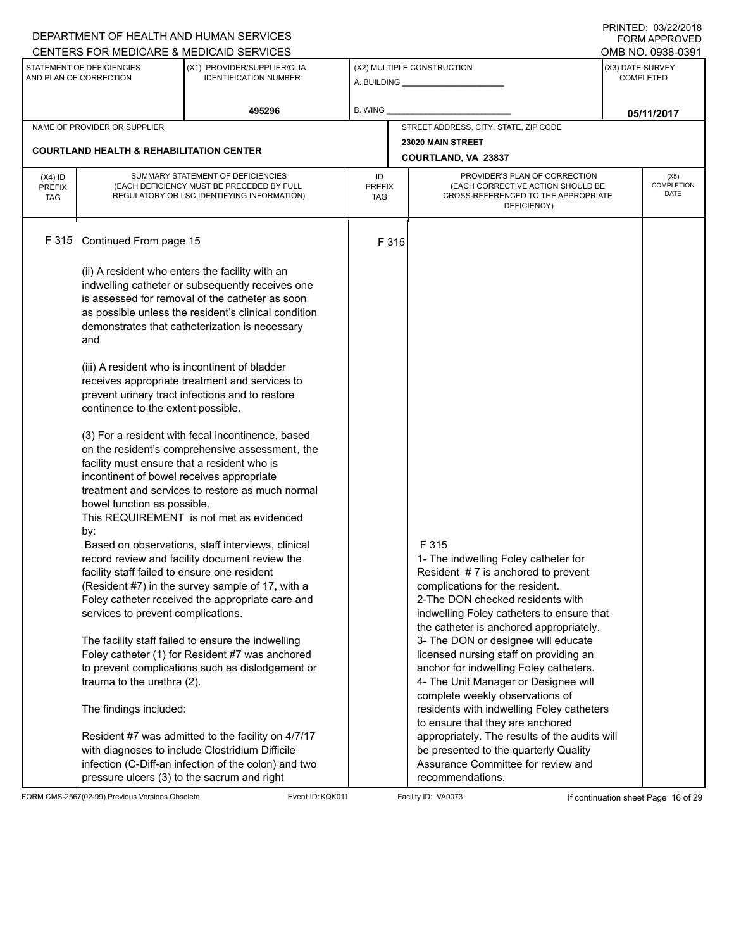|                                          |                                                                                                                                | DEPARTMENT OF HEALTH AND HUMAN SERVICES<br>CENTERS FOR MEDICARE & MEDICAID SERVICES                                                                                                                                                                              |                                   |                                                                                                                                                                                                                                                    |                                      | <b>FININILU. VJIZZIZVIO</b><br>FORM APPROVED<br>OMB NO. 0938-0391 |  |
|------------------------------------------|--------------------------------------------------------------------------------------------------------------------------------|------------------------------------------------------------------------------------------------------------------------------------------------------------------------------------------------------------------------------------------------------------------|-----------------------------------|----------------------------------------------------------------------------------------------------------------------------------------------------------------------------------------------------------------------------------------------------|--------------------------------------|-------------------------------------------------------------------|--|
|                                          | STATEMENT OF DEFICIENCIES<br>AND PLAN OF CORRECTION                                                                            | (X1) PROVIDER/SUPPLIER/CLIA<br><b>IDENTIFICATION NUMBER:</b>                                                                                                                                                                                                     |                                   | (X2) MULTIPLE CONSTRUCTION                                                                                                                                                                                                                         | (X3) DATE SURVEY<br><b>COMPLETED</b> |                                                                   |  |
|                                          |                                                                                                                                | 495296                                                                                                                                                                                                                                                           | <b>B. WING</b>                    |                                                                                                                                                                                                                                                    |                                      | 05/11/2017                                                        |  |
|                                          | NAME OF PROVIDER OR SUPPLIER                                                                                                   |                                                                                                                                                                                                                                                                  |                                   | STREET ADDRESS, CITY, STATE, ZIP CODE                                                                                                                                                                                                              |                                      |                                                                   |  |
|                                          | <b>COURTLAND HEALTH &amp; REHABILITATION CENTER</b>                                                                            |                                                                                                                                                                                                                                                                  |                                   | 23020 MAIN STREET<br><b>COURTLAND, VA 23837</b>                                                                                                                                                                                                    |                                      |                                                                   |  |
| $(X4)$ ID<br><b>PREFIX</b><br><b>TAG</b> |                                                                                                                                | SUMMARY STATEMENT OF DEFICIENCIES<br>(EACH DEFICIENCY MUST BE PRECEDED BY FULL<br>REGULATORY OR LSC IDENTIFYING INFORMATION)                                                                                                                                     | ID<br><b>PREFIX</b><br><b>TAG</b> | PROVIDER'S PLAN OF CORRECTION<br>(EACH CORRECTIVE ACTION SHOULD BE<br>CROSS-REFERENCED TO THE APPROPRIATE<br>DEFICIENCY)                                                                                                                           |                                      | (X5)<br><b>COMPLETION</b><br><b>DATE</b>                          |  |
| F 315                                    | Continued From page 15                                                                                                         |                                                                                                                                                                                                                                                                  | F 315                             |                                                                                                                                                                                                                                                    |                                      |                                                                   |  |
|                                          | and                                                                                                                            | (ii) A resident who enters the facility with an<br>indwelling catheter or subsequently receives one<br>is assessed for removal of the catheter as soon<br>as possible unless the resident's clinical condition<br>demonstrates that catheterization is necessary |                                   |                                                                                                                                                                                                                                                    |                                      |                                                                   |  |
|                                          | continence to the extent possible.                                                                                             | (iii) A resident who is incontinent of bladder<br>receives appropriate treatment and services to<br>prevent urinary tract infections and to restore                                                                                                              |                                   |                                                                                                                                                                                                                                                    |                                      |                                                                   |  |
|                                          | facility must ensure that a resident who is<br>incontinent of bowel receives appropriate<br>bowel function as possible.<br>by: | (3) For a resident with fecal incontinence, based<br>on the resident's comprehensive assessment, the<br>treatment and services to restore as much normal<br>This REQUIREMENT is not met as evidenced                                                             |                                   |                                                                                                                                                                                                                                                    |                                      |                                                                   |  |
|                                          | facility staff failed to ensure one resident<br>services to prevent complications.                                             | Based on observations, staff interviews, clinical<br>record review and facility document review the<br>(Resident #7) in the survey sample of 17, with a<br>Foley catheter received the appropriate care and                                                      |                                   | F 315<br>1- The indwelling Foley catheter for<br>Resident #7 is anchored to prevent<br>complications for the resident.<br>2-The DON checked residents with<br>indwelling Foley catheters to ensure that<br>the catheter is anchored appropriately. |                                      |                                                                   |  |
|                                          | trauma to the urethra (2).                                                                                                     | The facility staff failed to ensure the indwelling<br>Foley catheter (1) for Resident #7 was anchored<br>to prevent complications such as dislodgement or                                                                                                        |                                   | 3- The DON or designee will educate<br>licensed nursing staff on providing an<br>anchor for indwelling Foley catheters.<br>4- The Unit Manager or Designee will<br>complete weekly observations of                                                 |                                      |                                                                   |  |
|                                          | The findings included:<br>pressure ulcers (3) to the sacrum and right                                                          | Resident #7 was admitted to the facility on 4/7/17<br>with diagnoses to include Clostridium Difficile<br>infection (C-Diff-an infection of the colon) and two                                                                                                    |                                   | residents with indwelling Foley catheters<br>to ensure that they are anchored<br>appropriately. The results of the audits will<br>be presented to the quarterly Quality<br>Assurance Committee for review and<br>recommendations.                  |                                      |                                                                   |  |

FORM CMS-2567(02-99) Previous Versions Obsolete Event ID:KQK011 Facility ID: VA0073 If continuation sheet Page 16 of 29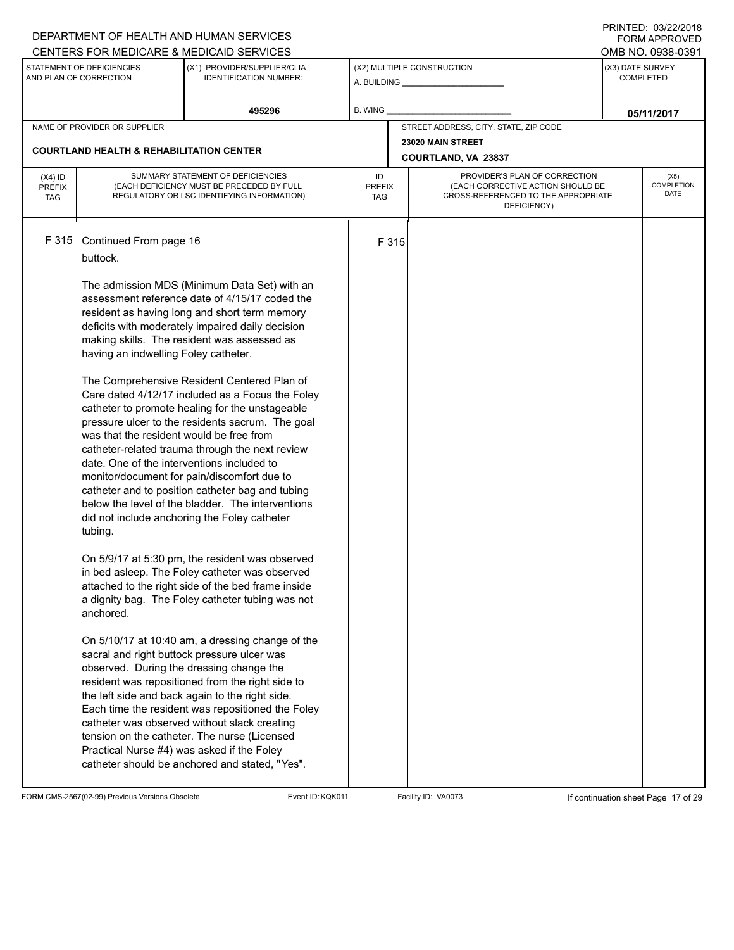|                                          |                                                                                                                                                                                              | DEPARTMENT OF HEALTH AND HUMAN SERVICES                                                                                                                                                                                                                                                                                                                                                                                                                                                                                                                                                                                                                                                                                                                                                                                                                                                                                                                                                    |                            |       |                                                                                                                          | I INITILD. 09/44/4010<br><b>FORM APPROVED</b> |
|------------------------------------------|----------------------------------------------------------------------------------------------------------------------------------------------------------------------------------------------|--------------------------------------------------------------------------------------------------------------------------------------------------------------------------------------------------------------------------------------------------------------------------------------------------------------------------------------------------------------------------------------------------------------------------------------------------------------------------------------------------------------------------------------------------------------------------------------------------------------------------------------------------------------------------------------------------------------------------------------------------------------------------------------------------------------------------------------------------------------------------------------------------------------------------------------------------------------------------------------------|----------------------------|-------|--------------------------------------------------------------------------------------------------------------------------|-----------------------------------------------|
|                                          |                                                                                                                                                                                              | CENTERS FOR MEDICARE & MEDICAID SERVICES                                                                                                                                                                                                                                                                                                                                                                                                                                                                                                                                                                                                                                                                                                                                                                                                                                                                                                                                                   |                            |       |                                                                                                                          | OMB NO. 0938-0391                             |
|                                          | STATEMENT OF DEFICIENCIES<br>AND PLAN OF CORRECTION                                                                                                                                          | (X1) PROVIDER/SUPPLIER/CLIA<br><b>IDENTIFICATION NUMBER:</b>                                                                                                                                                                                                                                                                                                                                                                                                                                                                                                                                                                                                                                                                                                                                                                                                                                                                                                                               |                            |       | (X2) MULTIPLE CONSTRUCTION                                                                                               | (X3) DATE SURVEY<br><b>COMPLETED</b>          |
|                                          |                                                                                                                                                                                              | 495296                                                                                                                                                                                                                                                                                                                                                                                                                                                                                                                                                                                                                                                                                                                                                                                                                                                                                                                                                                                     | B. WING                    |       |                                                                                                                          | 05/11/2017                                    |
|                                          | NAME OF PROVIDER OR SUPPLIER                                                                                                                                                                 |                                                                                                                                                                                                                                                                                                                                                                                                                                                                                                                                                                                                                                                                                                                                                                                                                                                                                                                                                                                            |                            |       | STREET ADDRESS, CITY, STATE, ZIP CODE                                                                                    |                                               |
|                                          | <b>COURTLAND HEALTH &amp; REHABILITATION CENTER</b>                                                                                                                                          |                                                                                                                                                                                                                                                                                                                                                                                                                                                                                                                                                                                                                                                                                                                                                                                                                                                                                                                                                                                            |                            |       | 23020 MAIN STREET<br>COURTLAND, VA 23837                                                                                 |                                               |
| $(X4)$ ID<br><b>PREFIX</b><br><b>TAG</b> |                                                                                                                                                                                              | SUMMARY STATEMENT OF DEFICIENCIES<br>(EACH DEFICIENCY MUST BE PRECEDED BY FULL<br>REGULATORY OR LSC IDENTIFYING INFORMATION)                                                                                                                                                                                                                                                                                                                                                                                                                                                                                                                                                                                                                                                                                                                                                                                                                                                               | ID<br><b>PREFIX</b><br>TAG |       | PROVIDER'S PLAN OF CORRECTION<br>(EACH CORRECTIVE ACTION SHOULD BE<br>CROSS-REFERENCED TO THE APPROPRIATE<br>DEFICIENCY) | (X5)<br><b>COMPLETION</b><br><b>DATE</b>      |
| F 315                                    | Continued From page 16<br>buttock.<br>having an indwelling Foley catheter.<br>was that the resident would be free from<br>date. One of the interventions included to<br>tubing.<br>anchored. | The admission MDS (Minimum Data Set) with an<br>assessment reference date of 4/15/17 coded the<br>resident as having long and short term memory<br>deficits with moderately impaired daily decision<br>making skills. The resident was assessed as<br>The Comprehensive Resident Centered Plan of<br>Care dated 4/12/17 included as a Focus the Foley<br>catheter to promote healing for the unstageable<br>pressure ulcer to the residents sacrum. The goal<br>catheter-related trauma through the next review<br>monitor/document for pain/discomfort due to<br>catheter and to position catheter bag and tubing<br>below the level of the bladder. The interventions<br>did not include anchoring the Foley catheter<br>On 5/9/17 at 5:30 pm, the resident was observed<br>in bed asleep. The Foley catheter was observed<br>attached to the right side of the bed frame inside<br>a dignity bag. The Foley catheter tubing was not<br>On 5/10/17 at 10:40 am, a dressing change of the |                            | F 315 |                                                                                                                          |                                               |
|                                          | observed. During the dressing change the<br>Practical Nurse #4) was asked if the Foley                                                                                                       | sacral and right buttock pressure ulcer was<br>resident was repositioned from the right side to<br>the left side and back again to the right side.<br>Each time the resident was repositioned the Foley<br>catheter was observed without slack creating<br>tension on the catheter. The nurse (Licensed<br>catheter should be anchored and stated, "Yes".                                                                                                                                                                                                                                                                                                                                                                                                                                                                                                                                                                                                                                  |                            |       |                                                                                                                          |                                               |

FORM CMS-2567(02-99) Previous Versions Obsolete Event ID:KQK011 Facility ID: VA0073 If continuation sheet Page 17 of 29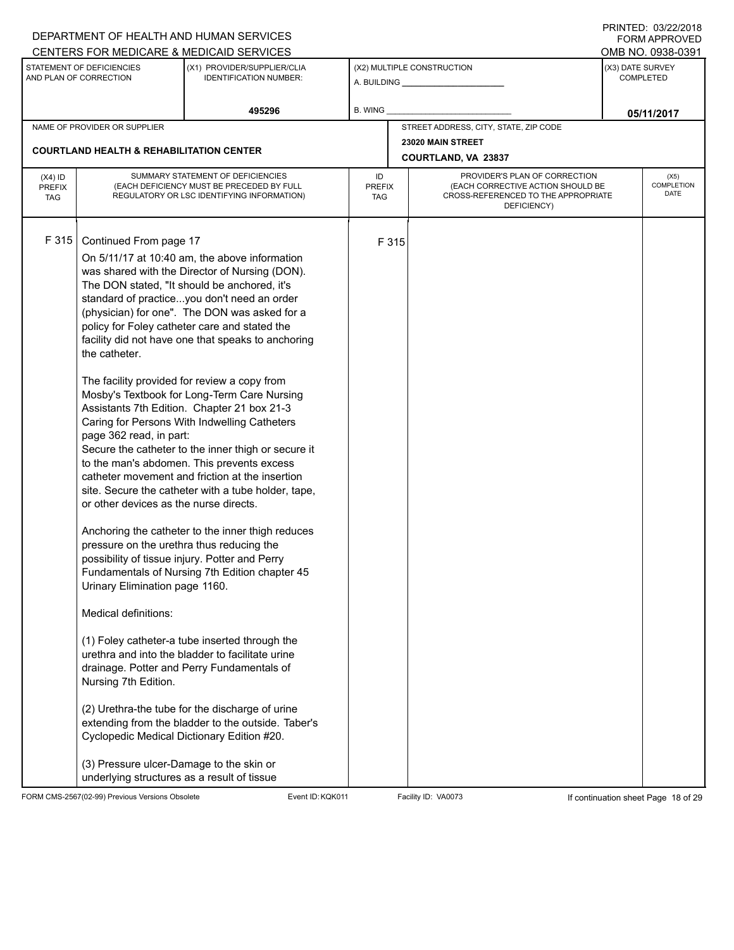|                                          |                                                                                                                                                                                                                                                                                                                                        | DEPARTMENT OF HEALTH AND HUMAN SERVICES                                                                                                                                                                                                                                                                                                                                                                                                                                                                                                                                                                                                                                                                                                                                                                                                                                                                                                                                                                                                                                                                                                                                                                                                 |                            |       |                                                                                                                          |                  | I INITILD. 09/44/4010<br><b>FORM APPROVED</b> |
|------------------------------------------|----------------------------------------------------------------------------------------------------------------------------------------------------------------------------------------------------------------------------------------------------------------------------------------------------------------------------------------|-----------------------------------------------------------------------------------------------------------------------------------------------------------------------------------------------------------------------------------------------------------------------------------------------------------------------------------------------------------------------------------------------------------------------------------------------------------------------------------------------------------------------------------------------------------------------------------------------------------------------------------------------------------------------------------------------------------------------------------------------------------------------------------------------------------------------------------------------------------------------------------------------------------------------------------------------------------------------------------------------------------------------------------------------------------------------------------------------------------------------------------------------------------------------------------------------------------------------------------------|----------------------------|-------|--------------------------------------------------------------------------------------------------------------------------|------------------|-----------------------------------------------|
|                                          |                                                                                                                                                                                                                                                                                                                                        | CENTERS FOR MEDICARE & MEDICAID SERVICES                                                                                                                                                                                                                                                                                                                                                                                                                                                                                                                                                                                                                                                                                                                                                                                                                                                                                                                                                                                                                                                                                                                                                                                                |                            |       |                                                                                                                          |                  | OMB NO. 0938-0391                             |
|                                          | STATEMENT OF DEFICIENCIES<br>AND PLAN OF CORRECTION                                                                                                                                                                                                                                                                                    | (X1) PROVIDER/SUPPLIER/CLIA<br><b>IDENTIFICATION NUMBER:</b>                                                                                                                                                                                                                                                                                                                                                                                                                                                                                                                                                                                                                                                                                                                                                                                                                                                                                                                                                                                                                                                                                                                                                                            |                            |       | (X2) MULTIPLE CONSTRUCTION                                                                                               | (X3) DATE SURVEY | <b>COMPLETED</b>                              |
|                                          |                                                                                                                                                                                                                                                                                                                                        | 495296                                                                                                                                                                                                                                                                                                                                                                                                                                                                                                                                                                                                                                                                                                                                                                                                                                                                                                                                                                                                                                                                                                                                                                                                                                  | B. WING                    |       |                                                                                                                          |                  | 05/11/2017                                    |
|                                          | NAME OF PROVIDER OR SUPPLIER                                                                                                                                                                                                                                                                                                           |                                                                                                                                                                                                                                                                                                                                                                                                                                                                                                                                                                                                                                                                                                                                                                                                                                                                                                                                                                                                                                                                                                                                                                                                                                         |                            |       | STREET ADDRESS, CITY, STATE, ZIP CODE                                                                                    |                  |                                               |
|                                          | <b>COURTLAND HEALTH &amp; REHABILITATION CENTER</b>                                                                                                                                                                                                                                                                                    |                                                                                                                                                                                                                                                                                                                                                                                                                                                                                                                                                                                                                                                                                                                                                                                                                                                                                                                                                                                                                                                                                                                                                                                                                                         |                            |       | 23020 MAIN STREET<br>COURTLAND, VA 23837                                                                                 |                  |                                               |
| $(X4)$ ID<br><b>PREFIX</b><br><b>TAG</b> |                                                                                                                                                                                                                                                                                                                                        | SUMMARY STATEMENT OF DEFICIENCIES<br>(EACH DEFICIENCY MUST BE PRECEDED BY FULL<br>REGULATORY OR LSC IDENTIFYING INFORMATION)                                                                                                                                                                                                                                                                                                                                                                                                                                                                                                                                                                                                                                                                                                                                                                                                                                                                                                                                                                                                                                                                                                            | ID<br><b>PREFIX</b><br>TAG |       | PROVIDER'S PLAN OF CORRECTION<br>(EACH CORRECTIVE ACTION SHOULD BE<br>CROSS-REFERENCED TO THE APPROPRIATE<br>DEFICIENCY) |                  | (X5)<br>COMPLETION<br>DATE                    |
| F 315                                    | Continued From page 17<br>the catheter.<br>page 362 read, in part:<br>or other devices as the nurse directs.<br>pressure on the urethra thus reducing the<br>Urinary Elimination page 1160.<br>Medical definitions:<br>Nursing 7th Edition.<br>(3) Pressure ulcer-Damage to the skin or<br>underlying structures as a result of tissue | On 5/11/17 at 10:40 am, the above information<br>was shared with the Director of Nursing (DON).<br>The DON stated, "It should be anchored, it's<br>standard of practiceyou don't need an order<br>(physician) for one". The DON was asked for a<br>policy for Foley catheter care and stated the<br>facility did not have one that speaks to anchoring<br>The facility provided for review a copy from<br>Mosby's Textbook for Long-Term Care Nursing<br>Assistants 7th Edition. Chapter 21 box 21-3<br>Caring for Persons With Indwelling Catheters<br>Secure the catheter to the inner thigh or secure it<br>to the man's abdomen. This prevents excess<br>catheter movement and friction at the insertion<br>site. Secure the catheter with a tube holder, tape,<br>Anchoring the catheter to the inner thigh reduces<br>possibility of tissue injury. Potter and Perry<br>Fundamentals of Nursing 7th Edition chapter 45<br>(1) Foley catheter-a tube inserted through the<br>urethra and into the bladder to facilitate urine<br>drainage. Potter and Perry Fundamentals of<br>(2) Urethra-the tube for the discharge of urine<br>extending from the bladder to the outside. Taber's<br>Cyclopedic Medical Dictionary Edition #20. |                            | F 315 |                                                                                                                          |                  |                                               |

FORM CMS-2567(02-99) Previous Versions Obsolete Event ID:KQK011 Facility ID: VA0073 If continuation sheet Page 18 of 29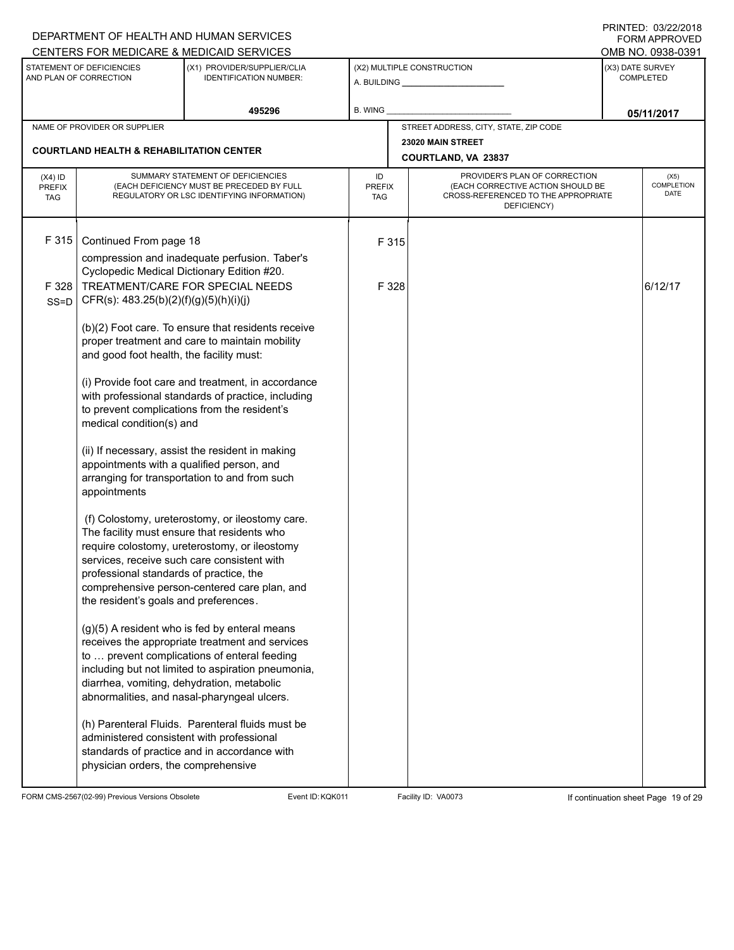|                                          | DEPARTMENT OF HEALTH AND HUMAN SERVICES<br>CENTERS FOR MEDICARE & MEDICAID SERVICES                                                                                                                                                                                                                                                                                                                                                                                                                                                                                     |                                                                                                                                                                                                                                                                                                                                                                                                                                                                                                                                                                                                                                                                                                                                                                                                                                                                                                                                                                             |                                   |                                                                                                                          | <b>FNINILU.</b> VJIZZI<br>FORM APPROVED<br>OMB NO. 0938-0391 |
|------------------------------------------|-------------------------------------------------------------------------------------------------------------------------------------------------------------------------------------------------------------------------------------------------------------------------------------------------------------------------------------------------------------------------------------------------------------------------------------------------------------------------------------------------------------------------------------------------------------------------|-----------------------------------------------------------------------------------------------------------------------------------------------------------------------------------------------------------------------------------------------------------------------------------------------------------------------------------------------------------------------------------------------------------------------------------------------------------------------------------------------------------------------------------------------------------------------------------------------------------------------------------------------------------------------------------------------------------------------------------------------------------------------------------------------------------------------------------------------------------------------------------------------------------------------------------------------------------------------------|-----------------------------------|--------------------------------------------------------------------------------------------------------------------------|--------------------------------------------------------------|
|                                          | STATEMENT OF DEFICIENCIES<br>AND PLAN OF CORRECTION                                                                                                                                                                                                                                                                                                                                                                                                                                                                                                                     | (X1) PROVIDER/SUPPLIER/CLIA<br><b>IDENTIFICATION NUMBER:</b>                                                                                                                                                                                                                                                                                                                                                                                                                                                                                                                                                                                                                                                                                                                                                                                                                                                                                                                |                                   | (X2) MULTIPLE CONSTRUCTION                                                                                               | (X3) DATE SURVEY<br><b>COMPLETED</b>                         |
|                                          |                                                                                                                                                                                                                                                                                                                                                                                                                                                                                                                                                                         | 495296                                                                                                                                                                                                                                                                                                                                                                                                                                                                                                                                                                                                                                                                                                                                                                                                                                                                                                                                                                      | <b>B. WING</b>                    |                                                                                                                          | 05/11/2017                                                   |
|                                          | NAME OF PROVIDER OR SUPPLIER                                                                                                                                                                                                                                                                                                                                                                                                                                                                                                                                            |                                                                                                                                                                                                                                                                                                                                                                                                                                                                                                                                                                                                                                                                                                                                                                                                                                                                                                                                                                             |                                   | STREET ADDRESS, CITY, STATE, ZIP CODE                                                                                    |                                                              |
|                                          | <b>COURTLAND HEALTH &amp; REHABILITATION CENTER</b>                                                                                                                                                                                                                                                                                                                                                                                                                                                                                                                     |                                                                                                                                                                                                                                                                                                                                                                                                                                                                                                                                                                                                                                                                                                                                                                                                                                                                                                                                                                             |                                   | 23020 MAIN STREET<br>COURTLAND, VA 23837                                                                                 |                                                              |
| $(X4)$ ID<br><b>PREFIX</b><br><b>TAG</b> |                                                                                                                                                                                                                                                                                                                                                                                                                                                                                                                                                                         | SUMMARY STATEMENT OF DEFICIENCIES<br>(EACH DEFICIENCY MUST BE PRECEDED BY FULL<br>REGULATORY OR LSC IDENTIFYING INFORMATION)                                                                                                                                                                                                                                                                                                                                                                                                                                                                                                                                                                                                                                                                                                                                                                                                                                                | ID<br><b>PREFIX</b><br><b>TAG</b> | PROVIDER'S PLAN OF CORRECTION<br>(EACH CORRECTIVE ACTION SHOULD BE<br>CROSS-REFERENCED TO THE APPROPRIATE<br>DEFICIENCY) | (X5)<br><b>COMPLETION</b><br><b>DATE</b>                     |
| F 315<br>F 328<br>SS=D                   | Continued From page 18<br>Cyclopedic Medical Dictionary Edition #20.<br>CFR(s): 483.25(b)(2)(f)(g)(5)(h)(i)(j)<br>and good foot health, the facility must:<br>medical condition(s) and<br>appointments with a qualified person, and<br>appointments<br>The facility must ensure that residents who<br>services, receive such care consistent with<br>professional standards of practice, the<br>the resident's goals and preferences.<br>diarrhea, vomiting, dehydration, metabolic<br>administered consistent with professional<br>physician orders, the comprehensive | compression and inadequate perfusion. Taber's<br>TREATMENT/CARE FOR SPECIAL NEEDS<br>(b)(2) Foot care. To ensure that residents receive<br>proper treatment and care to maintain mobility<br>(i) Provide foot care and treatment, in accordance<br>with professional standards of practice, including<br>to prevent complications from the resident's<br>(ii) If necessary, assist the resident in making<br>arranging for transportation to and from such<br>(f) Colostomy, ureterostomy, or ileostomy care.<br>require colostomy, ureterostomy, or ileostomy<br>comprehensive person-centered care plan, and<br>(g)(5) A resident who is fed by enteral means<br>receives the appropriate treatment and services<br>to  prevent complications of enteral feeding<br>including but not limited to aspiration pneumonia,<br>abnormalities, and nasal-pharyngeal ulcers.<br>(h) Parenteral Fluids. Parenteral fluids must be<br>standards of practice and in accordance with | F 315<br>F 328                    |                                                                                                                          | 6/12/17                                                      |

FORM CMS-2567(02-99) Previous Versions Obsolete Event ID:KQK011 Facility ID: VA0073 If continuation sheet Page 19 of 29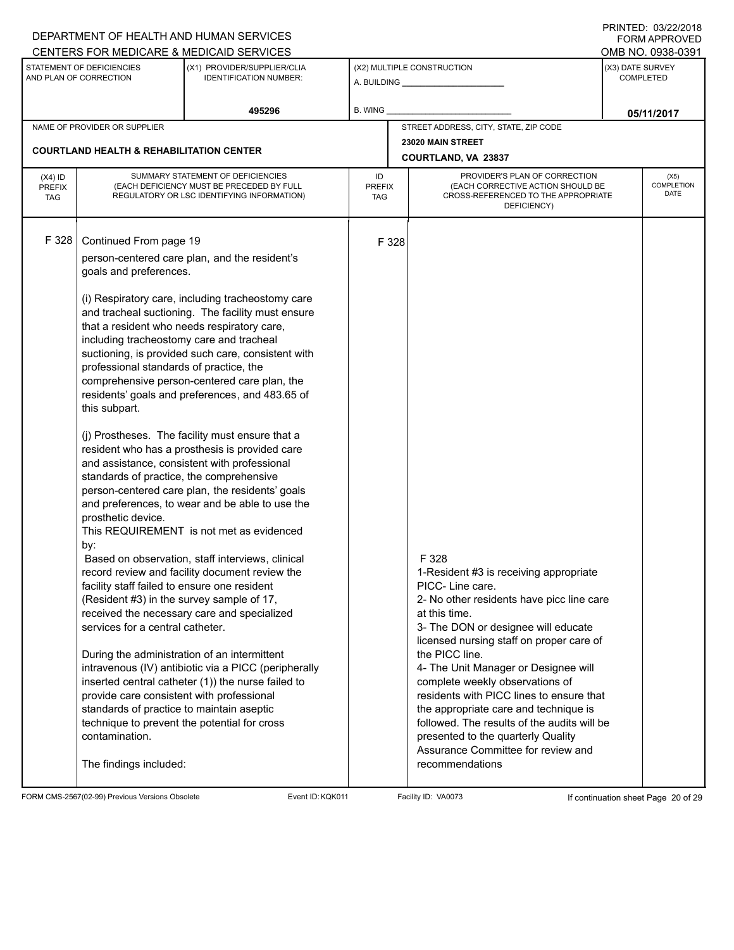|                                          |                                                                                                                                                                                                                                                                                                                                                                                                                                                                                                                                                                                                                               | DEPARTMENT OF HEALTH AND HUMAN SERVICES                                                                                                                                                                                                                                                                                                                                                                                                                                                                                                                                                                                                                                                                                                                                                                                                                                                    |                                   |       |                                                                                                                                                                                                                                                                                                                                                                                                                                                                                             |                                      | I INITILU. <i>001 LEI L</i> UIU<br><b>FORM APPROVED</b> |
|------------------------------------------|-------------------------------------------------------------------------------------------------------------------------------------------------------------------------------------------------------------------------------------------------------------------------------------------------------------------------------------------------------------------------------------------------------------------------------------------------------------------------------------------------------------------------------------------------------------------------------------------------------------------------------|--------------------------------------------------------------------------------------------------------------------------------------------------------------------------------------------------------------------------------------------------------------------------------------------------------------------------------------------------------------------------------------------------------------------------------------------------------------------------------------------------------------------------------------------------------------------------------------------------------------------------------------------------------------------------------------------------------------------------------------------------------------------------------------------------------------------------------------------------------------------------------------------|-----------------------------------|-------|---------------------------------------------------------------------------------------------------------------------------------------------------------------------------------------------------------------------------------------------------------------------------------------------------------------------------------------------------------------------------------------------------------------------------------------------------------------------------------------------|--------------------------------------|---------------------------------------------------------|
|                                          |                                                                                                                                                                                                                                                                                                                                                                                                                                                                                                                                                                                                                               | CENTERS FOR MEDICARE & MEDICAID SERVICES                                                                                                                                                                                                                                                                                                                                                                                                                                                                                                                                                                                                                                                                                                                                                                                                                                                   |                                   |       |                                                                                                                                                                                                                                                                                                                                                                                                                                                                                             |                                      | OMB NO. 0938-0391                                       |
|                                          | STATEMENT OF DEFICIENCIES<br>AND PLAN OF CORRECTION                                                                                                                                                                                                                                                                                                                                                                                                                                                                                                                                                                           | (X1) PROVIDER/SUPPLIER/CLIA<br><b>IDENTIFICATION NUMBER:</b>                                                                                                                                                                                                                                                                                                                                                                                                                                                                                                                                                                                                                                                                                                                                                                                                                               |                                   |       | (X2) MULTIPLE CONSTRUCTION<br>A. BUILDING <b>A.</b> BUILDING                                                                                                                                                                                                                                                                                                                                                                                                                                | (X3) DATE SURVEY<br><b>COMPLETED</b> |                                                         |
|                                          |                                                                                                                                                                                                                                                                                                                                                                                                                                                                                                                                                                                                                               | 495296                                                                                                                                                                                                                                                                                                                                                                                                                                                                                                                                                                                                                                                                                                                                                                                                                                                                                     | B. WING                           |       |                                                                                                                                                                                                                                                                                                                                                                                                                                                                                             |                                      | 05/11/2017                                              |
|                                          | NAME OF PROVIDER OR SUPPLIER                                                                                                                                                                                                                                                                                                                                                                                                                                                                                                                                                                                                  |                                                                                                                                                                                                                                                                                                                                                                                                                                                                                                                                                                                                                                                                                                                                                                                                                                                                                            |                                   |       | STREET ADDRESS, CITY, STATE, ZIP CODE                                                                                                                                                                                                                                                                                                                                                                                                                                                       |                                      |                                                         |
|                                          | <b>COURTLAND HEALTH &amp; REHABILITATION CENTER</b>                                                                                                                                                                                                                                                                                                                                                                                                                                                                                                                                                                           |                                                                                                                                                                                                                                                                                                                                                                                                                                                                                                                                                                                                                                                                                                                                                                                                                                                                                            |                                   |       | 23020 MAIN STREET                                                                                                                                                                                                                                                                                                                                                                                                                                                                           |                                      |                                                         |
|                                          |                                                                                                                                                                                                                                                                                                                                                                                                                                                                                                                                                                                                                               |                                                                                                                                                                                                                                                                                                                                                                                                                                                                                                                                                                                                                                                                                                                                                                                                                                                                                            |                                   |       | COURTLAND, VA 23837                                                                                                                                                                                                                                                                                                                                                                                                                                                                         |                                      |                                                         |
| $(X4)$ ID<br><b>PREFIX</b><br><b>TAG</b> |                                                                                                                                                                                                                                                                                                                                                                                                                                                                                                                                                                                                                               | SUMMARY STATEMENT OF DEFICIENCIES<br>(EACH DEFICIENCY MUST BE PRECEDED BY FULL<br>REGULATORY OR LSC IDENTIFYING INFORMATION)                                                                                                                                                                                                                                                                                                                                                                                                                                                                                                                                                                                                                                                                                                                                                               | ID<br><b>PREFIX</b><br><b>TAG</b> |       | PROVIDER'S PLAN OF CORRECTION<br>(EACH CORRECTIVE ACTION SHOULD BE<br>CROSS-REFERENCED TO THE APPROPRIATE<br>DEFICIENCY)                                                                                                                                                                                                                                                                                                                                                                    |                                      | (X5)<br>COMPLETION<br><b>DATE</b>                       |
| F 328                                    | Continued From page 19<br>goals and preferences.<br>that a resident who needs respiratory care,<br>including tracheostomy care and tracheal<br>professional standards of practice, the<br>this subpart.<br>standards of practice, the comprehensive<br>prosthetic device.<br>by:<br>facility staff failed to ensure one resident<br>(Resident #3) in the survey sample of 17,<br>services for a central catheter.<br>During the administration of an intermittent<br>provide care consistent with professional<br>standards of practice to maintain aseptic<br>technique to prevent the potential for cross<br>contamination. | person-centered care plan, and the resident's<br>(i) Respiratory care, including tracheostomy care<br>and tracheal suctioning. The facility must ensure<br>suctioning, is provided such care, consistent with<br>comprehensive person-centered care plan, the<br>residents' goals and preferences, and 483.65 of<br>(j) Prostheses. The facility must ensure that a<br>resident who has a prosthesis is provided care<br>and assistance, consistent with professional<br>person-centered care plan, the residents' goals<br>and preferences, to wear and be able to use the<br>This REQUIREMENT is not met as evidenced<br>Based on observation, staff interviews, clinical<br>record review and facility document review the<br>received the necessary care and specialized<br>intravenous (IV) antibiotic via a PICC (peripherally<br>inserted central catheter (1)) the nurse failed to |                                   | F 328 | F 328<br>1-Resident #3 is receiving appropriate<br>PICC- Line care.<br>2- No other residents have picc line care<br>at this time.<br>3- The DON or designee will educate<br>licensed nursing staff on proper care of<br>the PICC line.<br>4- The Unit Manager or Designee will<br>complete weekly observations of<br>residents with PICC lines to ensure that<br>the appropriate care and technique is<br>followed. The results of the audits will be<br>presented to the quarterly Quality |                                      |                                                         |
|                                          | The findings included:                                                                                                                                                                                                                                                                                                                                                                                                                                                                                                                                                                                                        |                                                                                                                                                                                                                                                                                                                                                                                                                                                                                                                                                                                                                                                                                                                                                                                                                                                                                            |                                   |       | Assurance Committee for review and<br>recommendations                                                                                                                                                                                                                                                                                                                                                                                                                                       |                                      |                                                         |

FORM CMS-2567(02-99) Previous Versions Obsolete Event ID:KQK011 Facility ID: VA0073 If continuation sheet Page 20 of 29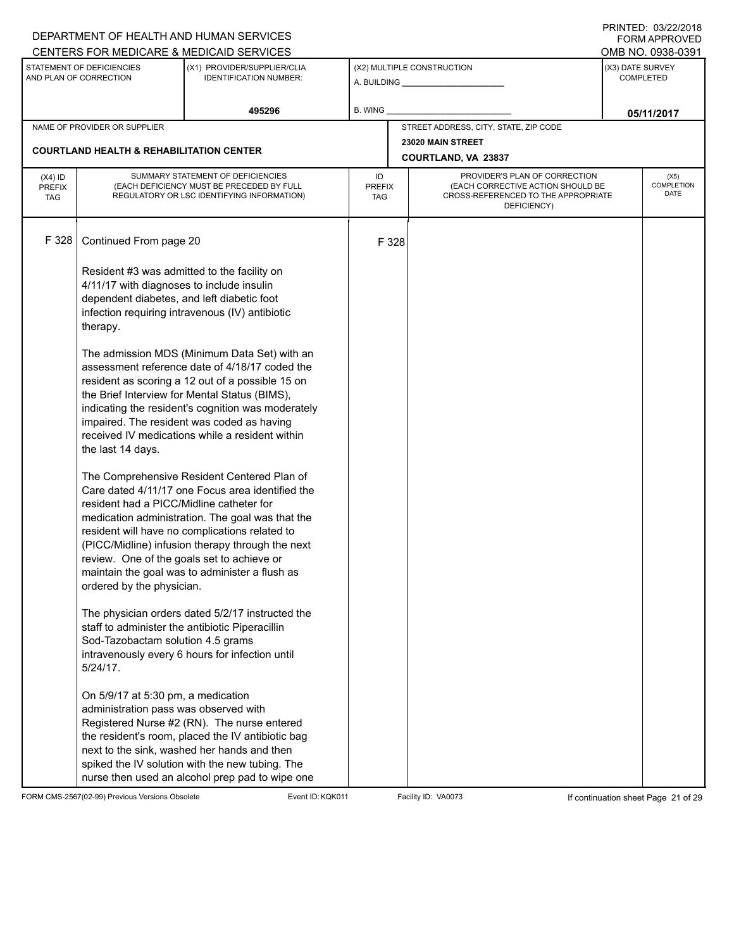|                             |                                                     | DEPARTMENT OF HEALTH AND HUMAN SERVICES                                                             |             |                                                                                           |                                       |                           | 11111111122.0072212010<br><b>FORM APPROVED</b> |  |
|-----------------------------|-----------------------------------------------------|-----------------------------------------------------------------------------------------------------|-------------|-------------------------------------------------------------------------------------------|---------------------------------------|---------------------------|------------------------------------------------|--|
|                             | STATEMENT OF DEFICIENCIES                           | CENTERS FOR MEDICARE & MEDICAID SERVICES<br>(X1) PROVIDER/SUPPLIER/CLIA                             |             |                                                                                           | (X2) MULTIPLE CONSTRUCTION            | (X3) DATE SURVEY          | OMB NO. 0938-0391                              |  |
|                             | AND PLAN OF CORRECTION                              | <b>IDENTIFICATION NUMBER:</b>                                                                       |             |                                                                                           | A. BUILDING <b>A.</b> BUILDING        |                           | <b>COMPLETED</b>                               |  |
|                             |                                                     | 495296                                                                                              | B. WING     |                                                                                           |                                       |                           |                                                |  |
|                             | NAME OF PROVIDER OR SUPPLIER                        |                                                                                                     |             |                                                                                           | STREET ADDRESS, CITY, STATE, ZIP CODE |                           | 05/11/2017                                     |  |
|                             |                                                     |                                                                                                     |             |                                                                                           | 23020 MAIN STREET                     |                           |                                                |  |
|                             | <b>COURTLAND HEALTH &amp; REHABILITATION CENTER</b> |                                                                                                     |             |                                                                                           | COURTLAND, VA 23837                   |                           |                                                |  |
| $(X4)$ ID                   |                                                     | SUMMARY STATEMENT OF DEFICIENCIES                                                                   | ID          |                                                                                           | PROVIDER'S PLAN OF CORRECTION         |                           | (X5)                                           |  |
| <b>PREFIX</b><br><b>TAG</b> |                                                     | (EACH DEFICIENCY MUST BE PRECEDED BY FULL<br>REGULATORY OR LSC IDENTIFYING INFORMATION)             | TAG         | (EACH CORRECTIVE ACTION SHOULD BE<br><b>PREFIX</b><br>CROSS-REFERENCED TO THE APPROPRIATE |                                       | COMPLETION<br><b>DATE</b> |                                                |  |
|                             |                                                     |                                                                                                     | DEFICIENCY) |                                                                                           |                                       |                           |                                                |  |
| F 328                       |                                                     |                                                                                                     |             |                                                                                           |                                       |                           |                                                |  |
|                             | Continued From page 20                              |                                                                                                     | F 328       |                                                                                           |                                       |                           |                                                |  |
|                             | Resident #3 was admitted to the facility on         |                                                                                                     |             |                                                                                           |                                       |                           |                                                |  |
|                             | 4/11/17 with diagnoses to include insulin           |                                                                                                     |             |                                                                                           |                                       |                           |                                                |  |
|                             | dependent diabetes, and left diabetic foot          |                                                                                                     |             |                                                                                           |                                       |                           |                                                |  |
|                             |                                                     | infection requiring intravenous (IV) antibiotic                                                     |             |                                                                                           |                                       |                           |                                                |  |
|                             | therapy.                                            |                                                                                                     |             |                                                                                           |                                       |                           |                                                |  |
|                             |                                                     | The admission MDS (Minimum Data Set) with an                                                        |             |                                                                                           |                                       |                           |                                                |  |
|                             |                                                     | assessment reference date of 4/18/17 coded the                                                      |             |                                                                                           |                                       |                           |                                                |  |
|                             |                                                     | resident as scoring a 12 out of a possible 15 on                                                    |             |                                                                                           |                                       |                           |                                                |  |
|                             |                                                     | the Brief Interview for Mental Status (BIMS),<br>indicating the resident's cognition was moderately |             |                                                                                           |                                       |                           |                                                |  |
|                             |                                                     | impaired. The resident was coded as having                                                          |             |                                                                                           |                                       |                           |                                                |  |
|                             |                                                     | received IV medications while a resident within                                                     |             |                                                                                           |                                       |                           |                                                |  |
|                             | the last 14 days.                                   |                                                                                                     |             |                                                                                           |                                       |                           |                                                |  |
|                             |                                                     | The Comprehensive Resident Centered Plan of                                                         |             |                                                                                           |                                       |                           |                                                |  |
|                             |                                                     | Care dated 4/11/17 one Focus area identified the                                                    |             |                                                                                           |                                       |                           |                                                |  |
|                             | resident had a PICC/Midline catheter for            |                                                                                                     |             |                                                                                           |                                       |                           |                                                |  |
|                             |                                                     | medication administration. The goal was that the                                                    |             |                                                                                           |                                       |                           |                                                |  |
|                             |                                                     | resident will have no complications related to<br>(PICC/Midline) infusion therapy through the next  |             |                                                                                           |                                       |                           |                                                |  |
|                             | review. One of the goals set to achieve or          |                                                                                                     |             |                                                                                           |                                       |                           |                                                |  |
|                             |                                                     | maintain the goal was to administer a flush as                                                      |             |                                                                                           |                                       |                           |                                                |  |
|                             | ordered by the physician.                           |                                                                                                     |             |                                                                                           |                                       |                           |                                                |  |
|                             |                                                     | The physician orders dated 5/2/17 instructed the                                                    |             |                                                                                           |                                       |                           |                                                |  |
|                             |                                                     | staff to administer the antibiotic Piperacillin                                                     |             |                                                                                           |                                       |                           |                                                |  |
|                             | Sod-Tazobactam solution 4.5 grams                   |                                                                                                     |             |                                                                                           |                                       |                           |                                                |  |
|                             |                                                     | intravenously every 6 hours for infection until                                                     |             |                                                                                           |                                       |                           |                                                |  |
|                             | 5/24/17.                                            |                                                                                                     |             |                                                                                           |                                       |                           |                                                |  |
|                             | On 5/9/17 at 5:30 pm, a medication                  |                                                                                                     |             |                                                                                           |                                       |                           |                                                |  |
|                             | administration pass was observed with               |                                                                                                     |             |                                                                                           |                                       |                           |                                                |  |
|                             |                                                     | Registered Nurse #2 (RN). The nurse entered                                                         |             |                                                                                           |                                       |                           |                                                |  |
|                             |                                                     | the resident's room, placed the IV antibiotic bag                                                   |             |                                                                                           |                                       |                           |                                                |  |
|                             |                                                     | next to the sink, washed her hands and then<br>spiked the IV solution with the new tubing. The      |             |                                                                                           |                                       |                           |                                                |  |
|                             |                                                     | nurse then used an alcohol prep pad to wipe one                                                     |             |                                                                                           |                                       |                           |                                                |  |

FORM CMS-2567(02-99) Previous Versions Obsolete Event ID:KQK011 Facility ID: VA0073 If continuation sheet Page 21 of 29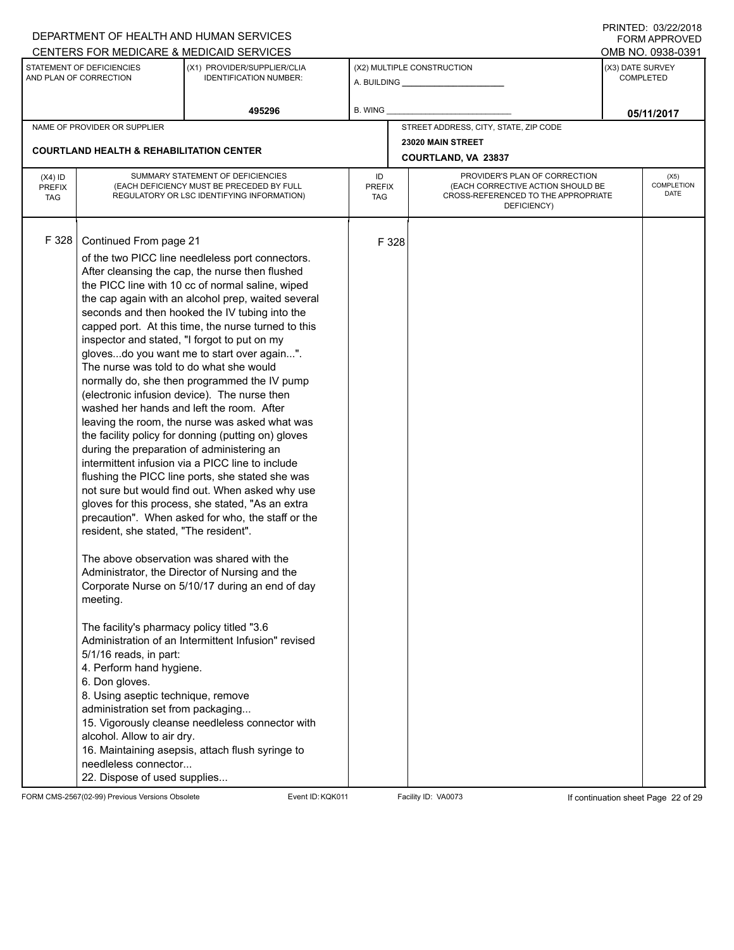|                                          |                                                                                                                                                                                                                                                                                                                                                                                                                                                                                                             | DEPARTMENT OF HEALTH AND HUMAN SERVICES                                                                                                                                                                                                                                                                                                                                                                                                                                                                                                                                                                                                                                                                                                                                                                                                                                                                                                                                                                                                                                                                                                                                                                          |                                                                                                                                                               |       |                                                              |                  | 11111111122.0072212010<br><b>FORM APPROVED</b> |
|------------------------------------------|-------------------------------------------------------------------------------------------------------------------------------------------------------------------------------------------------------------------------------------------------------------------------------------------------------------------------------------------------------------------------------------------------------------------------------------------------------------------------------------------------------------|------------------------------------------------------------------------------------------------------------------------------------------------------------------------------------------------------------------------------------------------------------------------------------------------------------------------------------------------------------------------------------------------------------------------------------------------------------------------------------------------------------------------------------------------------------------------------------------------------------------------------------------------------------------------------------------------------------------------------------------------------------------------------------------------------------------------------------------------------------------------------------------------------------------------------------------------------------------------------------------------------------------------------------------------------------------------------------------------------------------------------------------------------------------------------------------------------------------|---------------------------------------------------------------------------------------------------------------------------------------------------------------|-------|--------------------------------------------------------------|------------------|------------------------------------------------|
|                                          |                                                                                                                                                                                                                                                                                                                                                                                                                                                                                                             | CENTERS FOR MEDICARE & MEDICAID SERVICES                                                                                                                                                                                                                                                                                                                                                                                                                                                                                                                                                                                                                                                                                                                                                                                                                                                                                                                                                                                                                                                                                                                                                                         |                                                                                                                                                               |       |                                                              |                  | OMB NO. 0938-0391                              |
|                                          | STATEMENT OF DEFICIENCIES<br>AND PLAN OF CORRECTION                                                                                                                                                                                                                                                                                                                                                                                                                                                         | (X1) PROVIDER/SUPPLIER/CLIA<br><b>IDENTIFICATION NUMBER:</b>                                                                                                                                                                                                                                                                                                                                                                                                                                                                                                                                                                                                                                                                                                                                                                                                                                                                                                                                                                                                                                                                                                                                                     |                                                                                                                                                               |       | (X2) MULTIPLE CONSTRUCTION<br>A. BUILDING <b>A.</b> BUILDING | (X3) DATE SURVEY | <b>COMPLETED</b>                               |
|                                          |                                                                                                                                                                                                                                                                                                                                                                                                                                                                                                             | 495296                                                                                                                                                                                                                                                                                                                                                                                                                                                                                                                                                                                                                                                                                                                                                                                                                                                                                                                                                                                                                                                                                                                                                                                                           | B. WING                                                                                                                                                       |       |                                                              |                  | 05/11/2017                                     |
|                                          | NAME OF PROVIDER OR SUPPLIER                                                                                                                                                                                                                                                                                                                                                                                                                                                                                |                                                                                                                                                                                                                                                                                                                                                                                                                                                                                                                                                                                                                                                                                                                                                                                                                                                                                                                                                                                                                                                                                                                                                                                                                  |                                                                                                                                                               |       | STREET ADDRESS, CITY, STATE, ZIP CODE                        |                  |                                                |
|                                          | <b>COURTLAND HEALTH &amp; REHABILITATION CENTER</b>                                                                                                                                                                                                                                                                                                                                                                                                                                                         |                                                                                                                                                                                                                                                                                                                                                                                                                                                                                                                                                                                                                                                                                                                                                                                                                                                                                                                                                                                                                                                                                                                                                                                                                  |                                                                                                                                                               |       | 23020 MAIN STREET<br>COURTLAND, VA 23837                     |                  |                                                |
| $(X4)$ ID<br><b>PREFIX</b><br><b>TAG</b> |                                                                                                                                                                                                                                                                                                                                                                                                                                                                                                             | SUMMARY STATEMENT OF DEFICIENCIES<br>(EACH DEFICIENCY MUST BE PRECEDED BY FULL<br>REGULATORY OR LSC IDENTIFYING INFORMATION)                                                                                                                                                                                                                                                                                                                                                                                                                                                                                                                                                                                                                                                                                                                                                                                                                                                                                                                                                                                                                                                                                     | PROVIDER'S PLAN OF CORRECTION<br>ID<br><b>PREFIX</b><br>(EACH CORRECTIVE ACTION SHOULD BE<br>CROSS-REFERENCED TO THE APPROPRIATE<br><b>TAG</b><br>DEFICIENCY) |       |                                                              |                  | (X5)<br><b>COMPLETION</b><br><b>DATE</b>       |
| F328                                     | Continued From page 21<br>inspector and stated, "I forgot to put on my<br>The nurse was told to do what she would<br>during the preparation of administering an<br>resident, she stated, "The resident".<br>meeting.<br>The facility's pharmacy policy titled "3.6<br>5/1/16 reads, in part:<br>4. Perform hand hygiene.<br>6. Don gloves.<br>8. Using aseptic technique, remove<br>administration set from packaging<br>alcohol. Allow to air dry.<br>needleless connector<br>22. Dispose of used supplies | of the two PICC line needleless port connectors.<br>After cleansing the cap, the nurse then flushed<br>the PICC line with 10 cc of normal saline, wiped<br>the cap again with an alcohol prep, waited several<br>seconds and then hooked the IV tubing into the<br>capped port. At this time, the nurse turned to this<br>glovesdo you want me to start over again".<br>normally do, she then programmed the IV pump<br>(electronic infusion device). The nurse then<br>washed her hands and left the room. After<br>leaving the room, the nurse was asked what was<br>the facility policy for donning (putting on) gloves<br>intermittent infusion via a PICC line to include<br>flushing the PICC line ports, she stated she was<br>not sure but would find out. When asked why use<br>gloves for this process, she stated, "As an extra<br>precaution". When asked for who, the staff or the<br>The above observation was shared with the<br>Administrator, the Director of Nursing and the<br>Corporate Nurse on 5/10/17 during an end of day<br>Administration of an Intermittent Infusion" revised<br>15. Vigorously cleanse needleless connector with<br>16. Maintaining asepsis, attach flush syringe to |                                                                                                                                                               | F 328 |                                                              |                  |                                                |

FORM CMS-2567(02-99) Previous Versions Obsolete Event ID:KQK011 Facility ID: VA0073 If continuation sheet Page 22 of 29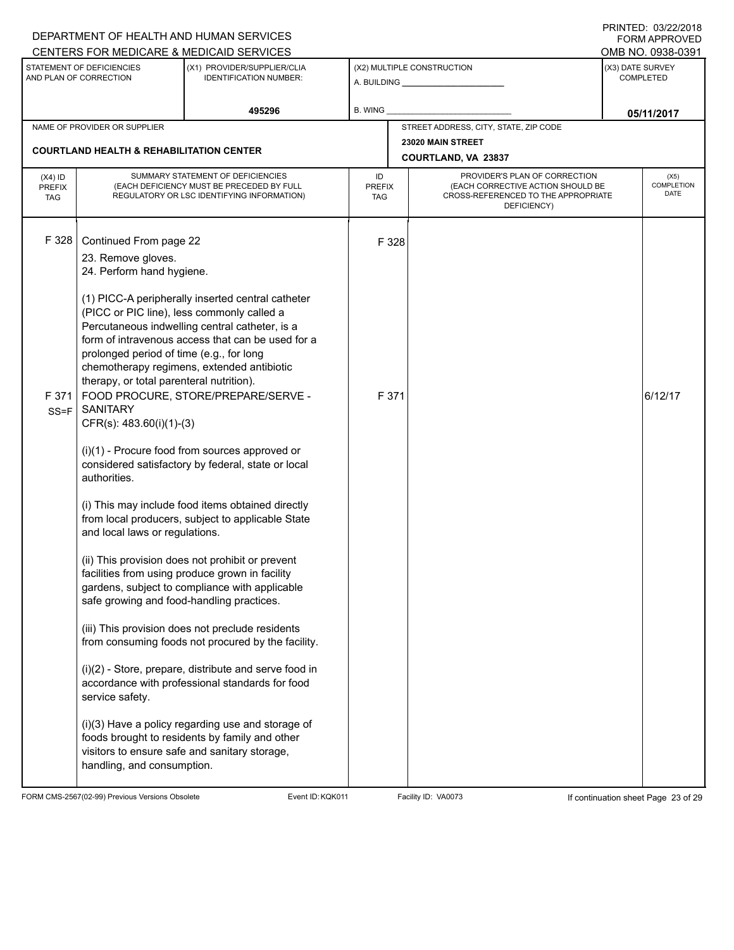|                                          |                                                                                                                                                                                                                                                                   | DEPARTMENT OF HEALTH AND HUMAN SERVICES<br>CENTERS FOR MEDICARE & MEDICAID SERVICES                                                                                                                                                                                                                                                                                                                                                                                                                                                                                                                                                                                                                 |                                   |                                                                                                                          | <b>FINISILU.</b> VJIZZI<br><b>FORM APPROVED</b><br>OMB NO. 0938-0391 |                                   |  |
|------------------------------------------|-------------------------------------------------------------------------------------------------------------------------------------------------------------------------------------------------------------------------------------------------------------------|-----------------------------------------------------------------------------------------------------------------------------------------------------------------------------------------------------------------------------------------------------------------------------------------------------------------------------------------------------------------------------------------------------------------------------------------------------------------------------------------------------------------------------------------------------------------------------------------------------------------------------------------------------------------------------------------------------|-----------------------------------|--------------------------------------------------------------------------------------------------------------------------|----------------------------------------------------------------------|-----------------------------------|--|
|                                          | STATEMENT OF DEFICIENCIES<br>AND PLAN OF CORRECTION                                                                                                                                                                                                               | (X1) PROVIDER/SUPPLIER/CLIA<br><b>IDENTIFICATION NUMBER:</b>                                                                                                                                                                                                                                                                                                                                                                                                                                                                                                                                                                                                                                        |                                   | (X2) MULTIPLE CONSTRUCTION                                                                                               | (X3) DATE SURVEY<br><b>COMPLETED</b>                                 |                                   |  |
|                                          |                                                                                                                                                                                                                                                                   | 495296                                                                                                                                                                                                                                                                                                                                                                                                                                                                                                                                                                                                                                                                                              | <b>B. WING</b>                    |                                                                                                                          |                                                                      | 05/11/2017                        |  |
|                                          | NAME OF PROVIDER OR SUPPLIER                                                                                                                                                                                                                                      |                                                                                                                                                                                                                                                                                                                                                                                                                                                                                                                                                                                                                                                                                                     |                                   | STREET ADDRESS, CITY, STATE, ZIP CODE                                                                                    |                                                                      |                                   |  |
|                                          | <b>COURTLAND HEALTH &amp; REHABILITATION CENTER</b>                                                                                                                                                                                                               |                                                                                                                                                                                                                                                                                                                                                                                                                                                                                                                                                                                                                                                                                                     |                                   | 23020 MAIN STREET<br><b>COURTLAND, VA 23837</b>                                                                          |                                                                      |                                   |  |
| $(X4)$ ID<br><b>PREFIX</b><br><b>TAG</b> |                                                                                                                                                                                                                                                                   | SUMMARY STATEMENT OF DEFICIENCIES<br>(EACH DEFICIENCY MUST BE PRECEDED BY FULL<br>REGULATORY OR LSC IDENTIFYING INFORMATION)                                                                                                                                                                                                                                                                                                                                                                                                                                                                                                                                                                        | ID<br><b>PREFIX</b><br><b>TAG</b> | PROVIDER'S PLAN OF CORRECTION<br>(EACH CORRECTIVE ACTION SHOULD BE<br>CROSS-REFERENCED TO THE APPROPRIATE<br>DEFICIENCY) |                                                                      | (X5)<br><b>COMPLETION</b><br>DATE |  |
| F 328<br>F 371<br>$SS = F$               | Continued From page 22<br>23. Remove gloves.<br>24. Perform hand hygiene.<br>(PICC or PIC line), less commonly called a<br>prolonged period of time (e.g., for long<br>therapy, or total parenteral nutrition).<br><b>SANITARY</b><br>$CFR(s)$ : 483.60(i)(1)-(3) | (1) PICC-A peripherally inserted central catheter<br>Percutaneous indwelling central catheter, is a<br>form of intravenous access that can be used for a<br>chemotherapy regimens, extended antibiotic<br>FOOD PROCURE, STORE/PREPARE/SERVE -<br>$(i)(1)$ - Procure food from sources approved or                                                                                                                                                                                                                                                                                                                                                                                                   | F 328<br>F 371                    |                                                                                                                          |                                                                      | 6/12/17                           |  |
|                                          | authorities.<br>and local laws or regulations.<br>safe growing and food-handling practices.<br>service safety.<br>handling, and consumption.                                                                                                                      | considered satisfactory by federal, state or local<br>(i) This may include food items obtained directly<br>from local producers, subject to applicable State<br>(ii) This provision does not prohibit or prevent<br>facilities from using produce grown in facility<br>gardens, subject to compliance with applicable<br>(iii) This provision does not preclude residents<br>from consuming foods not procured by the facility.<br>(i)(2) - Store, prepare, distribute and serve food in<br>accordance with professional standards for food<br>(i)(3) Have a policy regarding use and storage of<br>foods brought to residents by family and other<br>visitors to ensure safe and sanitary storage, |                                   |                                                                                                                          |                                                                      |                                   |  |

FORM CMS-2567(02-99) Previous Versions Obsolete Event ID:KQK011 Facility ID: VA0073 If continuation sheet Page 23 of 29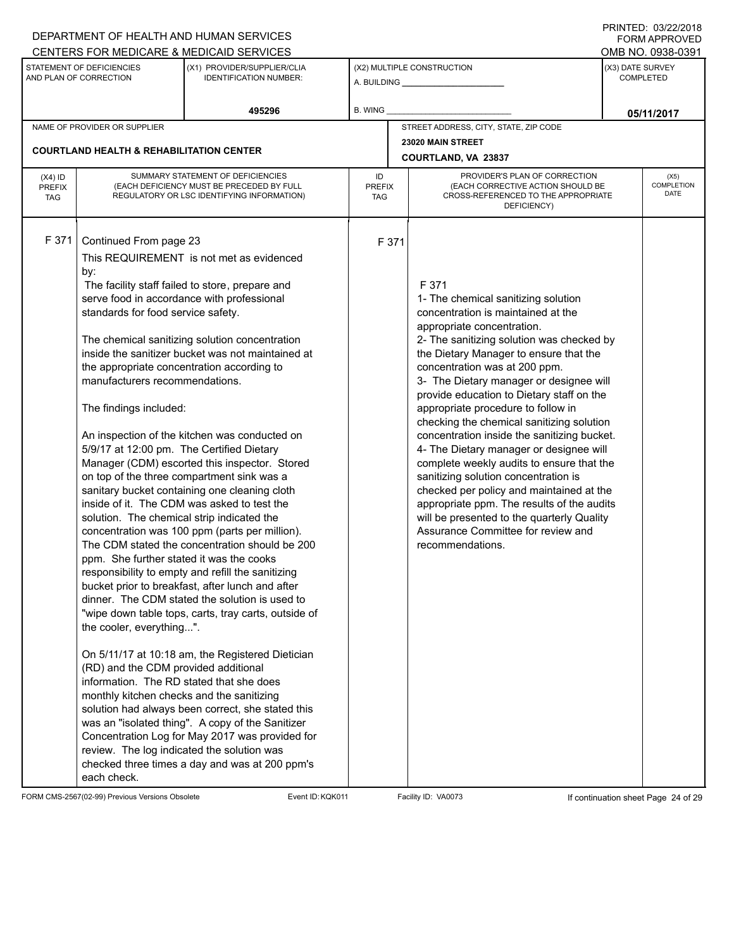|                                          |                                                                                                                                                                                                                                                                                                                                                                                                                                                                                                                                                                                              | DEPARTMENT OF HEALTH AND HUMAN SERVICES                                                                                                                                                                                                                                                                                                                                                                                                                                                                                                                                                                                                                                                                                                                                                                                                                                                                                                                                                                                                     |                            |                                                                                                                                                                                                                                                                                                                                                                                                                                                                                                                                                                                                                                                                                                                                                                                                      |                                      | $1111$ $1112$ . $0312212010$<br><b>FORM APPROVED</b><br>OMB NO. 0938-0391 |
|------------------------------------------|----------------------------------------------------------------------------------------------------------------------------------------------------------------------------------------------------------------------------------------------------------------------------------------------------------------------------------------------------------------------------------------------------------------------------------------------------------------------------------------------------------------------------------------------------------------------------------------------|---------------------------------------------------------------------------------------------------------------------------------------------------------------------------------------------------------------------------------------------------------------------------------------------------------------------------------------------------------------------------------------------------------------------------------------------------------------------------------------------------------------------------------------------------------------------------------------------------------------------------------------------------------------------------------------------------------------------------------------------------------------------------------------------------------------------------------------------------------------------------------------------------------------------------------------------------------------------------------------------------------------------------------------------|----------------------------|------------------------------------------------------------------------------------------------------------------------------------------------------------------------------------------------------------------------------------------------------------------------------------------------------------------------------------------------------------------------------------------------------------------------------------------------------------------------------------------------------------------------------------------------------------------------------------------------------------------------------------------------------------------------------------------------------------------------------------------------------------------------------------------------------|--------------------------------------|---------------------------------------------------------------------------|
|                                          | STATEMENT OF DEFICIENCIES<br>AND PLAN OF CORRECTION                                                                                                                                                                                                                                                                                                                                                                                                                                                                                                                                          | CENTERS FOR MEDICARE & MEDICAID SERVICES<br>(X1) PROVIDER/SUPPLIER/CLIA<br><b>IDENTIFICATION NUMBER:</b>                                                                                                                                                                                                                                                                                                                                                                                                                                                                                                                                                                                                                                                                                                                                                                                                                                                                                                                                    |                            | (X2) MULTIPLE CONSTRUCTION                                                                                                                                                                                                                                                                                                                                                                                                                                                                                                                                                                                                                                                                                                                                                                           | (X3) DATE SURVEY<br><b>COMPLETED</b> |                                                                           |
|                                          |                                                                                                                                                                                                                                                                                                                                                                                                                                                                                                                                                                                              | 495296                                                                                                                                                                                                                                                                                                                                                                                                                                                                                                                                                                                                                                                                                                                                                                                                                                                                                                                                                                                                                                      | B. WING                    |                                                                                                                                                                                                                                                                                                                                                                                                                                                                                                                                                                                                                                                                                                                                                                                                      |                                      | 05/11/2017                                                                |
|                                          | NAME OF PROVIDER OR SUPPLIER                                                                                                                                                                                                                                                                                                                                                                                                                                                                                                                                                                 |                                                                                                                                                                                                                                                                                                                                                                                                                                                                                                                                                                                                                                                                                                                                                                                                                                                                                                                                                                                                                                             |                            | STREET ADDRESS, CITY, STATE, ZIP CODE                                                                                                                                                                                                                                                                                                                                                                                                                                                                                                                                                                                                                                                                                                                                                                |                                      |                                                                           |
|                                          | <b>COURTLAND HEALTH &amp; REHABILITATION CENTER</b>                                                                                                                                                                                                                                                                                                                                                                                                                                                                                                                                          |                                                                                                                                                                                                                                                                                                                                                                                                                                                                                                                                                                                                                                                                                                                                                                                                                                                                                                                                                                                                                                             |                            | 23020 MAIN STREET<br>COURTLAND, VA 23837                                                                                                                                                                                                                                                                                                                                                                                                                                                                                                                                                                                                                                                                                                                                                             |                                      |                                                                           |
| $(X4)$ ID<br><b>PREFIX</b><br><b>TAG</b> |                                                                                                                                                                                                                                                                                                                                                                                                                                                                                                                                                                                              | SUMMARY STATEMENT OF DEFICIENCIES<br>(EACH DEFICIENCY MUST BE PRECEDED BY FULL<br>REGULATORY OR LSC IDENTIFYING INFORMATION)                                                                                                                                                                                                                                                                                                                                                                                                                                                                                                                                                                                                                                                                                                                                                                                                                                                                                                                | ID<br><b>PREFIX</b><br>TAG | PROVIDER'S PLAN OF CORRECTION<br>(EACH CORRECTIVE ACTION SHOULD BE<br>CROSS-REFERENCED TO THE APPROPRIATE<br>DEFICIENCY)                                                                                                                                                                                                                                                                                                                                                                                                                                                                                                                                                                                                                                                                             |                                      | (X5)<br>COMPLETION<br>DATE                                                |
| F 371                                    | Continued From page 23<br>by:<br>serve food in accordance with professional<br>standards for food service safety.<br>the appropriate concentration according to<br>manufacturers recommendations.<br>The findings included:<br>5/9/17 at 12:00 pm. The Certified Dietary<br>solution. The chemical strip indicated the<br>ppm. She further stated it was the cooks<br>the cooler, everything".<br>(RD) and the CDM provided additional<br>information. The RD stated that she does<br>monthly kitchen checks and the sanitizing<br>review. The log indicated the solution was<br>each check. | This REQUIREMENT is not met as evidenced<br>The facility staff failed to store, prepare and<br>The chemical sanitizing solution concentration<br>inside the sanitizer bucket was not maintained at<br>An inspection of the kitchen was conducted on<br>Manager (CDM) escorted this inspector. Stored<br>on top of the three compartment sink was a<br>sanitary bucket containing one cleaning cloth<br>inside of it. The CDM was asked to test the<br>concentration was 100 ppm (parts per million).<br>The CDM stated the concentration should be 200<br>responsibility to empty and refill the sanitizing<br>bucket prior to breakfast, after lunch and after<br>dinner. The CDM stated the solution is used to<br>"wipe down table tops, carts, tray carts, outside of<br>On 5/11/17 at 10:18 am, the Registered Dietician<br>solution had always been correct, she stated this<br>was an "isolated thing". A copy of the Sanitizer<br>Concentration Log for May 2017 was provided for<br>checked three times a day and was at 200 ppm's | F 371                      | F 371<br>1- The chemical sanitizing solution<br>concentration is maintained at the<br>appropriate concentration.<br>2- The sanitizing solution was checked by<br>the Dietary Manager to ensure that the<br>concentration was at 200 ppm.<br>3- The Dietary manager or designee will<br>provide education to Dietary staff on the<br>appropriate procedure to follow in<br>checking the chemical sanitizing solution<br>concentration inside the sanitizing bucket.<br>4- The Dietary manager or designee will<br>complete weekly audits to ensure that the<br>sanitizing solution concentration is<br>checked per policy and maintained at the<br>appropriate ppm. The results of the audits<br>will be presented to the quarterly Quality<br>Assurance Committee for review and<br>recommendations. |                                      |                                                                           |

FORM CMS-2567(02-99) Previous Versions Obsolete Event ID:KQK011 Facility ID: VA0073 If continuation sheet Page 24 of 29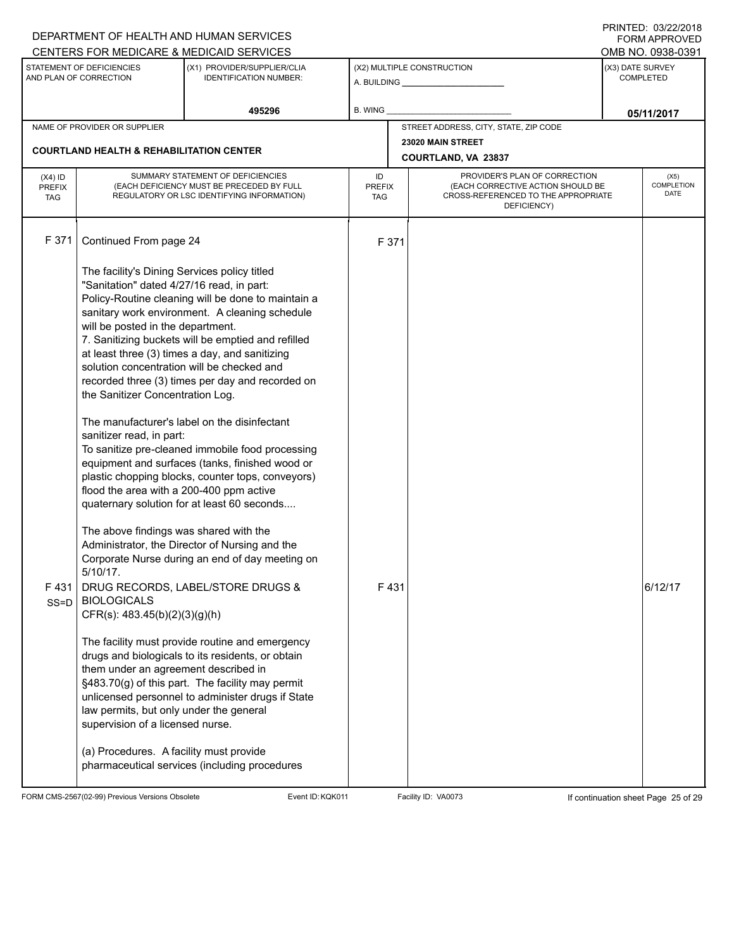|                                                                                                                                                                           |                                                                                                                                                                                                                                              | DEPARTMENT OF HEALTH AND HUMAN SERVICES                                                                                                                                                                                                                                                                                                                                                                                 |                                   |                            |                                                                                                                          |                                       | I INITILD. 09/44/4010<br>FORM APPROVED |  |
|---------------------------------------------------------------------------------------------------------------------------------------------------------------------------|----------------------------------------------------------------------------------------------------------------------------------------------------------------------------------------------------------------------------------------------|-------------------------------------------------------------------------------------------------------------------------------------------------------------------------------------------------------------------------------------------------------------------------------------------------------------------------------------------------------------------------------------------------------------------------|-----------------------------------|----------------------------|--------------------------------------------------------------------------------------------------------------------------|---------------------------------------|----------------------------------------|--|
| CENTERS FOR MEDICARE & MEDICAID SERVICES<br>STATEMENT OF DEFICIENCIES<br>(X1) PROVIDER/SUPPLIER/CLIA<br>AND PLAN OF CORRECTION<br><b>IDENTIFICATION NUMBER:</b><br>495296 |                                                                                                                                                                                                                                              |                                                                                                                                                                                                                                                                                                                                                                                                                         |                                   | (X2) MULTIPLE CONSTRUCTION | (X3) DATE SURVEY                                                                                                         | OMB NO. 0938-0391<br><b>COMPLETED</b> |                                        |  |
|                                                                                                                                                                           |                                                                                                                                                                                                                                              | B. WING                                                                                                                                                                                                                                                                                                                                                                                                                 |                                   |                            | 05/11/2017                                                                                                               |                                       |                                        |  |
|                                                                                                                                                                           | NAME OF PROVIDER OR SUPPLIER                                                                                                                                                                                                                 |                                                                                                                                                                                                                                                                                                                                                                                                                         |                                   |                            | STREET ADDRESS, CITY, STATE, ZIP CODE                                                                                    |                                       |                                        |  |
|                                                                                                                                                                           | <b>COURTLAND HEALTH &amp; REHABILITATION CENTER</b>                                                                                                                                                                                          |                                                                                                                                                                                                                                                                                                                                                                                                                         |                                   |                            | 23020 MAIN STREET<br>COURTLAND, VA 23837                                                                                 |                                       |                                        |  |
| $(X4)$ ID<br>PREFIX<br><b>TAG</b>                                                                                                                                         | SUMMARY STATEMENT OF DEFICIENCIES<br>(EACH DEFICIENCY MUST BE PRECEDED BY FULL<br>REGULATORY OR LSC IDENTIFYING INFORMATION)                                                                                                                 |                                                                                                                                                                                                                                                                                                                                                                                                                         | ID<br><b>PREFIX</b><br><b>TAG</b> |                            | PROVIDER'S PLAN OF CORRECTION<br>(EACH CORRECTIVE ACTION SHOULD BE<br>CROSS-REFERENCED TO THE APPROPRIATE<br>DEFICIENCY) |                                       | (X5)<br>COMPLETION<br>DATE             |  |
| F 371                                                                                                                                                                     | Continued From page 24                                                                                                                                                                                                                       |                                                                                                                                                                                                                                                                                                                                                                                                                         |                                   | F 371                      |                                                                                                                          |                                       |                                        |  |
|                                                                                                                                                                           | The facility's Dining Services policy titled<br>"Sanitation" dated 4/27/16 read, in part:<br>will be posted in the department.<br>solution concentration will be checked and<br>the Sanitizer Concentration Log.<br>sanitizer read, in part: | Policy-Routine cleaning will be done to maintain a<br>sanitary work environment. A cleaning schedule<br>7. Sanitizing buckets will be emptied and refilled<br>at least three (3) times a day, and sanitizing<br>recorded three (3) times per day and recorded on<br>The manufacturer's label on the disinfectant<br>To sanitize pre-cleaned immobile food processing<br>equipment and surfaces (tanks, finished wood or |                                   |                            |                                                                                                                          |                                       |                                        |  |
| F431<br>$SS = D$                                                                                                                                                          | flood the area with a 200-400 ppm active<br>The above findings was shared with the<br>$5/10/17$ .<br><b>BIOLOGICALS</b><br>$CFR(s)$ : 483.45(b)(2)(3)(g)(h)                                                                                  | plastic chopping blocks, counter tops, conveyors)<br>quaternary solution for at least 60 seconds<br>Administrator, the Director of Nursing and the<br>Corporate Nurse during an end of day meeting on<br>DRUG RECORDS, LABEL/STORE DRUGS &                                                                                                                                                                              |                                   | F431                       |                                                                                                                          |                                       | 6/12/17                                |  |
|                                                                                                                                                                           | them under an agreement described in<br>law permits, but only under the general<br>supervision of a licensed nurse.                                                                                                                          | The facility must provide routine and emergency<br>drugs and biologicals to its residents, or obtain<br>§483.70(g) of this part. The facility may permit<br>unlicensed personnel to administer drugs if State                                                                                                                                                                                                           |                                   |                            |                                                                                                                          |                                       |                                        |  |
|                                                                                                                                                                           | (a) Procedures. A facility must provide                                                                                                                                                                                                      | pharmaceutical services (including procedures                                                                                                                                                                                                                                                                                                                                                                           |                                   |                            |                                                                                                                          |                                       |                                        |  |

FORM CMS-2567(02-99) Previous Versions Obsolete Event ID:KQK011 Facility ID: VA0073 If continuation sheet Page 25 of 29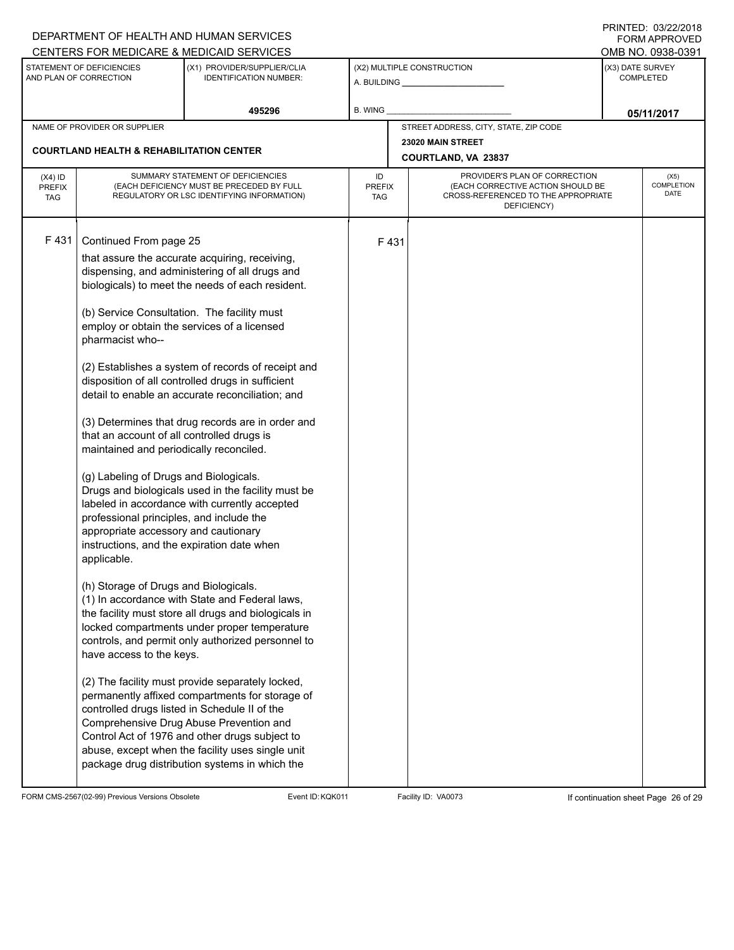|                                                     |                                                                                                                                                                                                                                                                                                                                                                                                     | DEPARTMENT OF HEALTH AND HUMAN SERVICES<br>CENTERS FOR MEDICARE & MEDICAID SERVICES                                                                                                                                                                                                                                                                                                                                                                                                                                                                                                                                                                                                                                                                                                                                                                                                                                                                                                                                                                                                                                                                     |                            |                                          |                                                                                                                          |                                      | 11111111122.0072212010<br>FORM APPROVED<br>OMB NO. 0938-0391 |  |
|-----------------------------------------------------|-----------------------------------------------------------------------------------------------------------------------------------------------------------------------------------------------------------------------------------------------------------------------------------------------------------------------------------------------------------------------------------------------------|---------------------------------------------------------------------------------------------------------------------------------------------------------------------------------------------------------------------------------------------------------------------------------------------------------------------------------------------------------------------------------------------------------------------------------------------------------------------------------------------------------------------------------------------------------------------------------------------------------------------------------------------------------------------------------------------------------------------------------------------------------------------------------------------------------------------------------------------------------------------------------------------------------------------------------------------------------------------------------------------------------------------------------------------------------------------------------------------------------------------------------------------------------|----------------------------|------------------------------------------|--------------------------------------------------------------------------------------------------------------------------|--------------------------------------|--------------------------------------------------------------|--|
| STATEMENT OF DEFICIENCIES<br>AND PLAN OF CORRECTION |                                                                                                                                                                                                                                                                                                                                                                                                     | (X1) PROVIDER/SUPPLIER/CLIA<br><b>IDENTIFICATION NUMBER:</b>                                                                                                                                                                                                                                                                                                                                                                                                                                                                                                                                                                                                                                                                                                                                                                                                                                                                                                                                                                                                                                                                                            |                            |                                          | (X2) MULTIPLE CONSTRUCTION                                                                                               | (X3) DATE SURVEY<br><b>COMPLETED</b> |                                                              |  |
|                                                     |                                                                                                                                                                                                                                                                                                                                                                                                     | 495296<br>B. WING                                                                                                                                                                                                                                                                                                                                                                                                                                                                                                                                                                                                                                                                                                                                                                                                                                                                                                                                                                                                                                                                                                                                       |                            |                                          |                                                                                                                          |                                      | 05/11/2017                                                   |  |
|                                                     | NAME OF PROVIDER OR SUPPLIER                                                                                                                                                                                                                                                                                                                                                                        |                                                                                                                                                                                                                                                                                                                                                                                                                                                                                                                                                                                                                                                                                                                                                                                                                                                                                                                                                                                                                                                                                                                                                         |                            |                                          | STREET ADDRESS, CITY, STATE, ZIP CODE                                                                                    |                                      |                                                              |  |
|                                                     | <b>COURTLAND HEALTH &amp; REHABILITATION CENTER</b>                                                                                                                                                                                                                                                                                                                                                 |                                                                                                                                                                                                                                                                                                                                                                                                                                                                                                                                                                                                                                                                                                                                                                                                                                                                                                                                                                                                                                                                                                                                                         |                            | 23020 MAIN STREET<br>COURTLAND, VA 23837 |                                                                                                                          |                                      |                                                              |  |
| $(X4)$ ID<br><b>PREFIX</b><br><b>TAG</b>            | SUMMARY STATEMENT OF DEFICIENCIES<br>(EACH DEFICIENCY MUST BE PRECEDED BY FULL<br>REGULATORY OR LSC IDENTIFYING INFORMATION)                                                                                                                                                                                                                                                                        |                                                                                                                                                                                                                                                                                                                                                                                                                                                                                                                                                                                                                                                                                                                                                                                                                                                                                                                                                                                                                                                                                                                                                         | ID<br><b>PREFIX</b><br>TAG |                                          | PROVIDER'S PLAN OF CORRECTION<br>(EACH CORRECTIVE ACTION SHOULD BE<br>CROSS-REFERENCED TO THE APPROPRIATE<br>DEFICIENCY) |                                      | (X5)<br>COMPLETION<br>DATE                                   |  |
| F431                                                | Continued From page 25<br>pharmacist who--<br>that an account of all controlled drugs is<br>maintained and periodically reconciled.<br>(g) Labeling of Drugs and Biologicals.<br>professional principles, and include the<br>appropriate accessory and cautionary<br>instructions, and the expiration date when<br>applicable.<br>(h) Storage of Drugs and Biologicals.<br>have access to the keys. | that assure the accurate acquiring, receiving,<br>dispensing, and administering of all drugs and<br>biologicals) to meet the needs of each resident.<br>(b) Service Consultation. The facility must<br>employ or obtain the services of a licensed<br>(2) Establishes a system of records of receipt and<br>disposition of all controlled drugs in sufficient<br>detail to enable an accurate reconciliation; and<br>(3) Determines that drug records are in order and<br>Drugs and biologicals used in the facility must be<br>labeled in accordance with currently accepted<br>(1) In accordance with State and Federal laws,<br>the facility must store all drugs and biologicals in<br>locked compartments under proper temperature<br>controls, and permit only authorized personnel to<br>(2) The facility must provide separately locked,<br>permanently affixed compartments for storage of<br>controlled drugs listed in Schedule II of the<br>Comprehensive Drug Abuse Prevention and<br>Control Act of 1976 and other drugs subject to<br>abuse, except when the facility uses single unit<br>package drug distribution systems in which the |                            | F431                                     |                                                                                                                          |                                      |                                                              |  |

FORM CMS-2567(02-99) Previous Versions Obsolete Event ID:KQK011 Facility ID: VA0073 If continuation sheet Page 26 of 29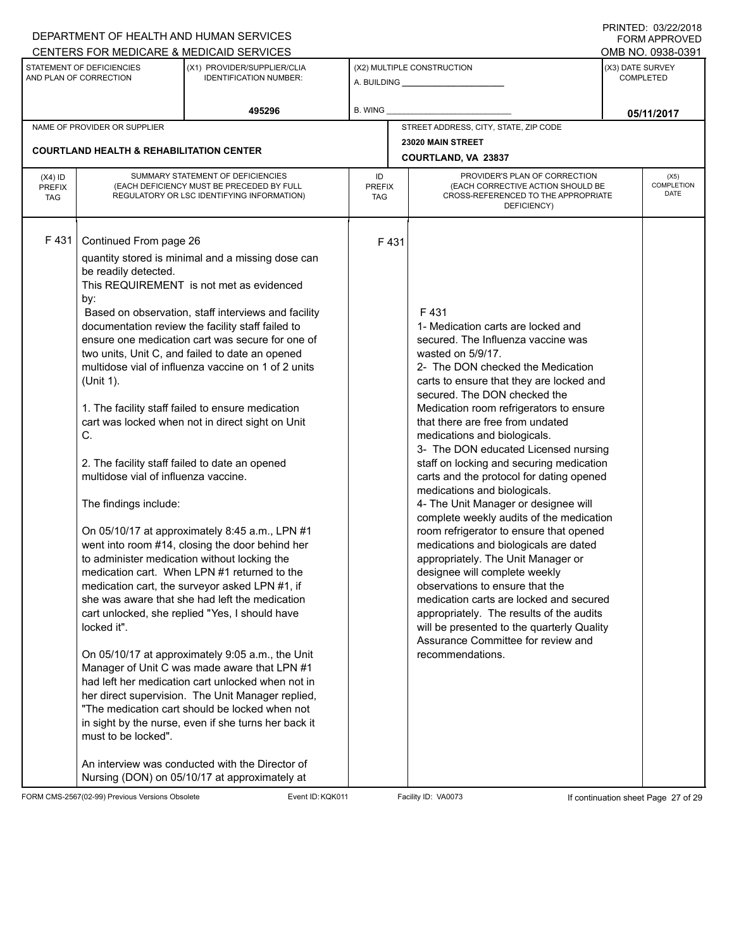|                                                                   |                                                                                                                                                                                 | DEPARTMENT OF HEALTH AND HUMAN SERVICES                                                                                                                                                                                                                                                                                                                                                                                                                                                                                                                                                                                                                                                                                                                                                                                                                                                                                                                                                                                                                                                                                                                                                                                                                                                                                   |  |               |                                                                                                                                                                                                                                                                                                                                                                                                                                                                                                                                                                                                                                                                                                                                                                                                                                                                                                                                                                                        |                  | FORM APPROVED                         |  |
|-------------------------------------------------------------------|---------------------------------------------------------------------------------------------------------------------------------------------------------------------------------|---------------------------------------------------------------------------------------------------------------------------------------------------------------------------------------------------------------------------------------------------------------------------------------------------------------------------------------------------------------------------------------------------------------------------------------------------------------------------------------------------------------------------------------------------------------------------------------------------------------------------------------------------------------------------------------------------------------------------------------------------------------------------------------------------------------------------------------------------------------------------------------------------------------------------------------------------------------------------------------------------------------------------------------------------------------------------------------------------------------------------------------------------------------------------------------------------------------------------------------------------------------------------------------------------------------------------|--|---------------|----------------------------------------------------------------------------------------------------------------------------------------------------------------------------------------------------------------------------------------------------------------------------------------------------------------------------------------------------------------------------------------------------------------------------------------------------------------------------------------------------------------------------------------------------------------------------------------------------------------------------------------------------------------------------------------------------------------------------------------------------------------------------------------------------------------------------------------------------------------------------------------------------------------------------------------------------------------------------------------|------------------|---------------------------------------|--|
|                                                                   | STATEMENT OF DEFICIENCIES                                                                                                                                                       | CENTERS FOR MEDICARE & MEDICAID SERVICES<br>(X1) PROVIDER/SUPPLIER/CLIA                                                                                                                                                                                                                                                                                                                                                                                                                                                                                                                                                                                                                                                                                                                                                                                                                                                                                                                                                                                                                                                                                                                                                                                                                                                   |  |               |                                                                                                                                                                                                                                                                                                                                                                                                                                                                                                                                                                                                                                                                                                                                                                                                                                                                                                                                                                                        |                  | OMB NO. 0938-0391<br>(X3) DATE SURVEY |  |
| AND PLAN OF CORRECTION<br><b>IDENTIFICATION NUMBER:</b><br>495296 |                                                                                                                                                                                 | (X2) MULTIPLE CONSTRUCTION<br>A. BUILDING <b>A.</b> BUILDING                                                                                                                                                                                                                                                                                                                                                                                                                                                                                                                                                                                                                                                                                                                                                                                                                                                                                                                                                                                                                                                                                                                                                                                                                                                              |  |               |                                                                                                                                                                                                                                                                                                                                                                                                                                                                                                                                                                                                                                                                                                                                                                                                                                                                                                                                                                                        | <b>COMPLETED</b> |                                       |  |
|                                                                   |                                                                                                                                                                                 | B. WING                                                                                                                                                                                                                                                                                                                                                                                                                                                                                                                                                                                                                                                                                                                                                                                                                                                                                                                                                                                                                                                                                                                                                                                                                                                                                                                   |  |               | 05/11/2017                                                                                                                                                                                                                                                                                                                                                                                                                                                                                                                                                                                                                                                                                                                                                                                                                                                                                                                                                                             |                  |                                       |  |
|                                                                   | NAME OF PROVIDER OR SUPPLIER                                                                                                                                                    |                                                                                                                                                                                                                                                                                                                                                                                                                                                                                                                                                                                                                                                                                                                                                                                                                                                                                                                                                                                                                                                                                                                                                                                                                                                                                                                           |  |               | STREET ADDRESS, CITY, STATE, ZIP CODE                                                                                                                                                                                                                                                                                                                                                                                                                                                                                                                                                                                                                                                                                                                                                                                                                                                                                                                                                  |                  |                                       |  |
|                                                                   | <b>COURTLAND HEALTH &amp; REHABILITATION CENTER</b>                                                                                                                             |                                                                                                                                                                                                                                                                                                                                                                                                                                                                                                                                                                                                                                                                                                                                                                                                                                                                                                                                                                                                                                                                                                                                                                                                                                                                                                                           |  |               | 23020 MAIN STREET<br>COURTLAND, VA 23837                                                                                                                                                                                                                                                                                                                                                                                                                                                                                                                                                                                                                                                                                                                                                                                                                                                                                                                                               |                  |                                       |  |
| $(X4)$ ID<br><b>PREFIX</b><br><b>TAG</b>                          | SUMMARY STATEMENT OF DEFICIENCIES<br>(EACH DEFICIENCY MUST BE PRECEDED BY FULL<br>REGULATORY OR LSC IDENTIFYING INFORMATION)                                                    |                                                                                                                                                                                                                                                                                                                                                                                                                                                                                                                                                                                                                                                                                                                                                                                                                                                                                                                                                                                                                                                                                                                                                                                                                                                                                                                           |  | <b>PREFIX</b> | PROVIDER'S PLAN OF CORRECTION<br>(EACH CORRECTIVE ACTION SHOULD BE<br>CROSS-REFERENCED TO THE APPROPRIATE<br>DEFICIENCY)                                                                                                                                                                                                                                                                                                                                                                                                                                                                                                                                                                                                                                                                                                                                                                                                                                                               |                  | (X5)<br>COMPLETION<br>DATE            |  |
| F431                                                              | Continued From page 26<br>be readily detected.<br>by:<br>(Unit 1).<br>C.<br>multidose vial of influenza vaccine.<br>The findings include:<br>locked it".<br>must to be locked". | quantity stored is minimal and a missing dose can<br>This REQUIREMENT is not met as evidenced<br>Based on observation, staff interviews and facility<br>documentation review the facility staff failed to<br>ensure one medication cart was secure for one of<br>two units, Unit C, and failed to date an opened<br>multidose vial of influenza vaccine on 1 of 2 units<br>1. The facility staff failed to ensure medication<br>cart was locked when not in direct sight on Unit<br>2. The facility staff failed to date an opened<br>On 05/10/17 at approximately 8:45 a.m., LPN #1<br>went into room #14, closing the door behind her<br>to administer medication without locking the<br>medication cart. When LPN #1 returned to the<br>medication cart, the surveyor asked LPN #1, if<br>she was aware that she had left the medication<br>cart unlocked, she replied "Yes, I should have<br>On 05/10/17 at approximately 9:05 a.m., the Unit<br>Manager of Unit C was made aware that LPN #1<br>had left her medication cart unlocked when not in<br>her direct supervision. The Unit Manager replied,<br>"The medication cart should be locked when not<br>in sight by the nurse, even if she turns her back it<br>An interview was conducted with the Director of<br>Nursing (DON) on 05/10/17 at approximately at |  | F431          | F431<br>1- Medication carts are locked and<br>secured. The Influenza vaccine was<br>wasted on 5/9/17.<br>2- The DON checked the Medication<br>carts to ensure that they are locked and<br>secured. The DON checked the<br>Medication room refrigerators to ensure<br>that there are free from undated<br>medications and biologicals.<br>3- The DON educated Licensed nursing<br>staff on locking and securing medication<br>carts and the protocol for dating opened<br>medications and biologicals.<br>4- The Unit Manager or designee will<br>complete weekly audits of the medication<br>room refrigerator to ensure that opened<br>medications and biologicals are dated<br>appropriately. The Unit Manager or<br>designee will complete weekly<br>observations to ensure that the<br>medication carts are locked and secured<br>appropriately. The results of the audits<br>will be presented to the quarterly Quality<br>Assurance Committee for review and<br>recommendations. |                  |                                       |  |

FORM CMS-2567(02-99) Previous Versions Obsolete Event ID:KQK011 Facility ID: VA0073 If continuation sheet Page 27 of 29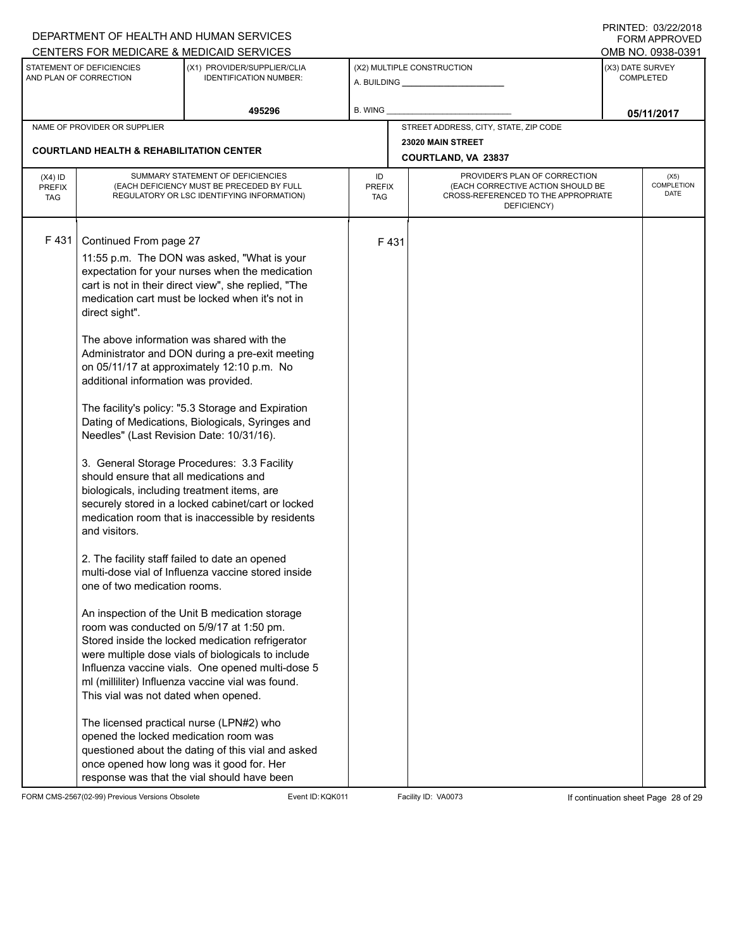|                                                     |                                                                                                                                                                                                                                                                                                                                                                                                     | DEPARTMENT OF HEALTH AND HUMAN SERVICES<br>CENTERS FOR MEDICARE & MEDICAID SERVICES                                                                                                                                                                                                                                                                                                                                                                                                                                                                                                                                                                                                                                                                                                                                                                                                                                                                                                                                                                                                                                                                                                                    |                |                                                 |                                                                                                                          |            | <b>FININILU. VJIZZIZVIO</b><br><b>FORM APPROVED</b>       |  |
|-----------------------------------------------------|-----------------------------------------------------------------------------------------------------------------------------------------------------------------------------------------------------------------------------------------------------------------------------------------------------------------------------------------------------------------------------------------------------|--------------------------------------------------------------------------------------------------------------------------------------------------------------------------------------------------------------------------------------------------------------------------------------------------------------------------------------------------------------------------------------------------------------------------------------------------------------------------------------------------------------------------------------------------------------------------------------------------------------------------------------------------------------------------------------------------------------------------------------------------------------------------------------------------------------------------------------------------------------------------------------------------------------------------------------------------------------------------------------------------------------------------------------------------------------------------------------------------------------------------------------------------------------------------------------------------------|----------------|-------------------------------------------------|--------------------------------------------------------------------------------------------------------------------------|------------|-----------------------------------------------------------|--|
| STATEMENT OF DEFICIENCIES<br>AND PLAN OF CORRECTION |                                                                                                                                                                                                                                                                                                                                                                                                     | (X1) PROVIDER/SUPPLIER/CLIA<br><b>IDENTIFICATION NUMBER:</b>                                                                                                                                                                                                                                                                                                                                                                                                                                                                                                                                                                                                                                                                                                                                                                                                                                                                                                                                                                                                                                                                                                                                           |                | (X2) MULTIPLE CONSTRUCTION                      |                                                                                                                          |            | OMB NO. 0938-0391<br>(X3) DATE SURVEY<br><b>COMPLETED</b> |  |
|                                                     |                                                                                                                                                                                                                                                                                                                                                                                                     | 495296                                                                                                                                                                                                                                                                                                                                                                                                                                                                                                                                                                                                                                                                                                                                                                                                                                                                                                                                                                                                                                                                                                                                                                                                 | <b>B. WING</b> |                                                 |                                                                                                                          | 05/11/2017 |                                                           |  |
|                                                     | NAME OF PROVIDER OR SUPPLIER                                                                                                                                                                                                                                                                                                                                                                        |                                                                                                                                                                                                                                                                                                                                                                                                                                                                                                                                                                                                                                                                                                                                                                                                                                                                                                                                                                                                                                                                                                                                                                                                        |                |                                                 | STREET ADDRESS, CITY, STATE, ZIP CODE                                                                                    |            |                                                           |  |
|                                                     | <b>COURTLAND HEALTH &amp; REHABILITATION CENTER</b>                                                                                                                                                                                                                                                                                                                                                 |                                                                                                                                                                                                                                                                                                                                                                                                                                                                                                                                                                                                                                                                                                                                                                                                                                                                                                                                                                                                                                                                                                                                                                                                        |                | 23020 MAIN STREET<br><b>COURTLAND, VA 23837</b> |                                                                                                                          |            |                                                           |  |
| $(X4)$ ID<br><b>PREFIX</b><br><b>TAG</b>            | SUMMARY STATEMENT OF DEFICIENCIES<br>(EACH DEFICIENCY MUST BE PRECEDED BY FULL<br>REGULATORY OR LSC IDENTIFYING INFORMATION)                                                                                                                                                                                                                                                                        |                                                                                                                                                                                                                                                                                                                                                                                                                                                                                                                                                                                                                                                                                                                                                                                                                                                                                                                                                                                                                                                                                                                                                                                                        |                | <b>PREFIX</b><br><b>TAG</b>                     | PROVIDER'S PLAN OF CORRECTION<br>(EACH CORRECTIVE ACTION SHOULD BE<br>CROSS-REFERENCED TO THE APPROPRIATE<br>DEFICIENCY) |            | (X5)<br>COMPLETION<br><b>DATE</b>                         |  |
| F431                                                | Continued From page 27<br>direct sight".<br>additional information was provided.<br>Needles" (Last Revision Date: 10/31/16).<br>should ensure that all medications and<br>biologicals, including treatment items, are<br>and visitors.<br>one of two medication rooms.<br>This vial was not dated when opened.<br>The licensed practical nurse (LPN#2) who<br>opened the locked medication room was | 11:55 p.m. The DON was asked, "What is your<br>expectation for your nurses when the medication<br>cart is not in their direct view", she replied, "The<br>medication cart must be locked when it's not in<br>The above information was shared with the<br>Administrator and DON during a pre-exit meeting<br>on 05/11/17 at approximately 12:10 p.m. No<br>The facility's policy: "5.3 Storage and Expiration<br>Dating of Medications, Biologicals, Syringes and<br>3. General Storage Procedures: 3.3 Facility<br>securely stored in a locked cabinet/cart or locked<br>medication room that is inaccessible by residents<br>2. The facility staff failed to date an opened<br>multi-dose vial of Influenza vaccine stored inside<br>An inspection of the Unit B medication storage<br>room was conducted on 5/9/17 at 1:50 pm.<br>Stored inside the locked medication refrigerator<br>were multiple dose vials of biologicals to include<br>Influenza vaccine vials. One opened multi-dose 5<br>ml (milliliter) Influenza vaccine vial was found.<br>questioned about the dating of this vial and asked<br>once opened how long was it good for. Her<br>response was that the vial should have been |                | F431                                            |                                                                                                                          |            |                                                           |  |

FORM CMS-2567(02-99) Previous Versions Obsolete Event ID:KQK011 Facility ID: VA0073 If continuation sheet Page 28 of 29